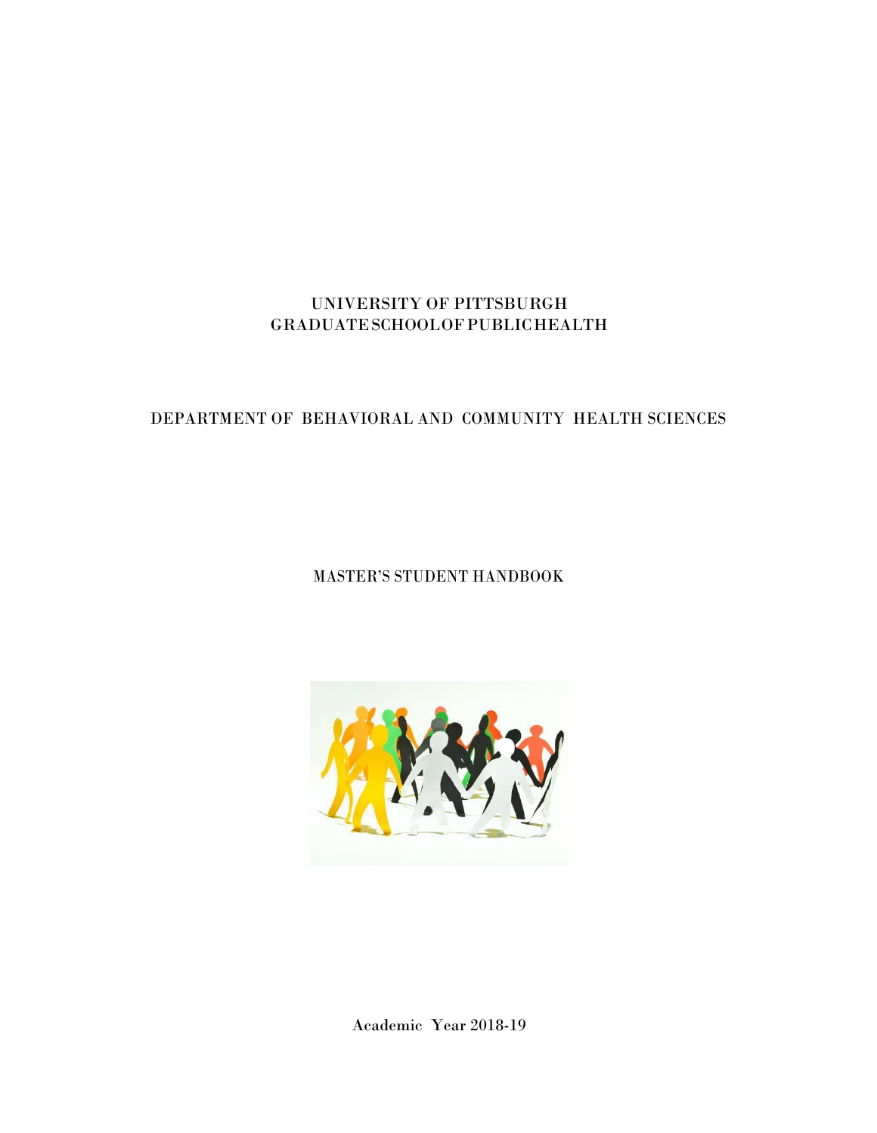# UNIVERSITY OF PITTSBURGH GRADUATESCHOOLOFPUBLICHEALTH

# DEPARTMENT OF BEHAVIORAL AND COMMUNITY HEALTH SCIENCES

# MASTER'S STUDENT HANDBOOK



Academic Year 2018-19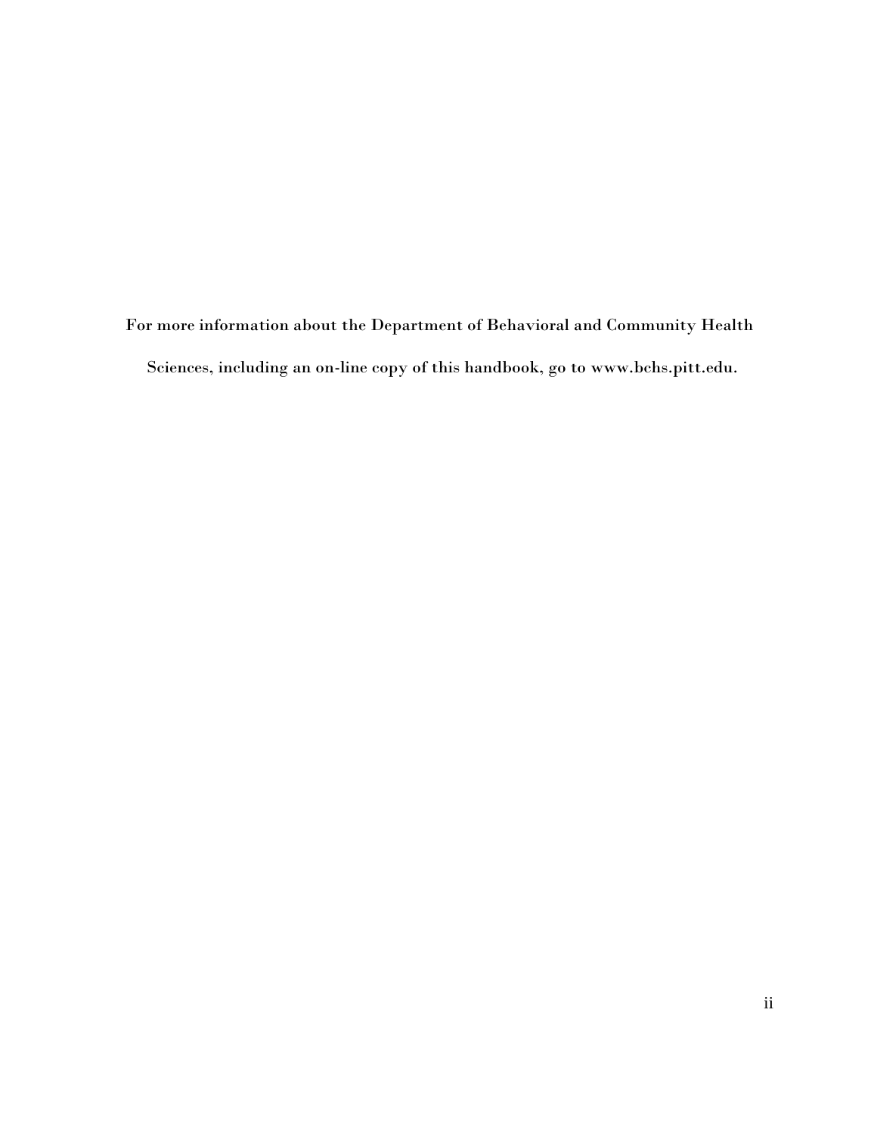For more information about the Department of Behavioral and Community Health Sciences, including an on-line copy of this handbook, go to [www.bchs.pitt.edu.](http://www.bchs.pitt.edu/)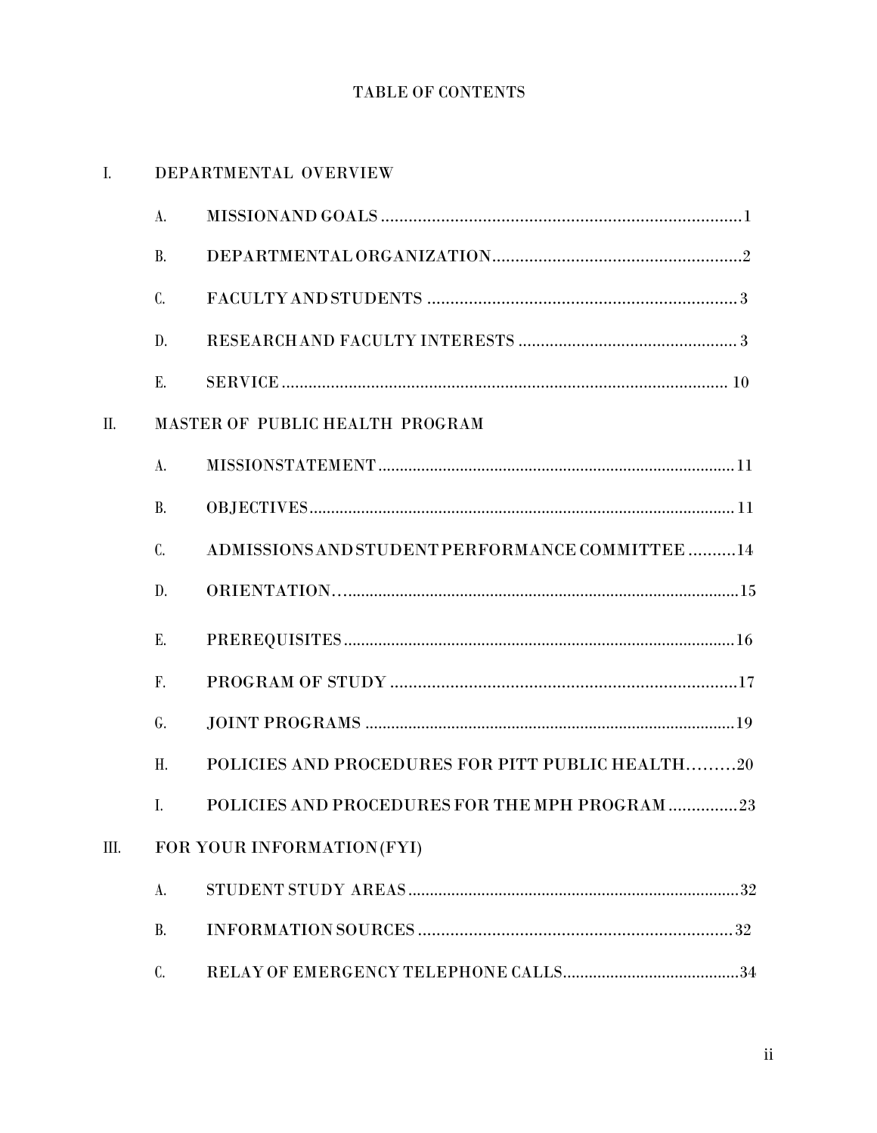# TABLE OF CONTENTS

# I. DEPARTMENTAL OVERVIEW

|     | A.        |                                                  |
|-----|-----------|--------------------------------------------------|
|     | <b>B.</b> |                                                  |
|     | C.        |                                                  |
|     | D.        |                                                  |
|     | Е.        |                                                  |
| II. |           | MASTER OF PUBLIC HEALTH PROGRAM                  |
|     | A.        |                                                  |
|     | <b>B.</b> |                                                  |
|     | C.        | ADMISSIONS AND STUDENT PERFORMANCE COMMITTEE 14  |
|     | D.        |                                                  |
|     | Ε.        |                                                  |
|     | F.        |                                                  |
|     | G.        |                                                  |
|     | H.        | POLICIES AND PROCEDURES FOR PITT PUBLIC HEALTH20 |
|     | I.        | POLICIES AND PROCEDURES FOR THE MPH PROGRAM 23   |
| Ш.  |           | FOR YOUR INFORMATION (FYI)                       |
|     | A.        |                                                  |
|     | <b>B.</b> |                                                  |
|     | C.        |                                                  |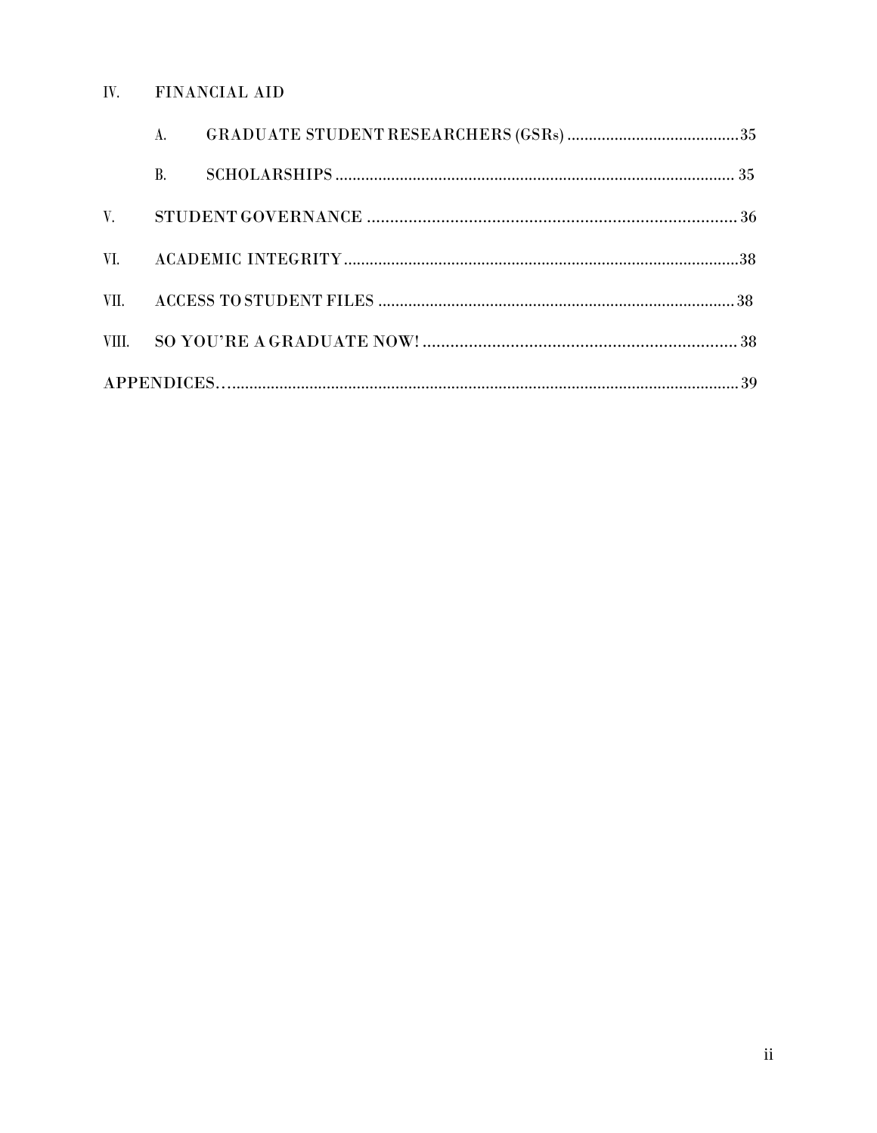#### IV. FINANCIAL AID

|             | Α.        |  |
|-------------|-----------|--|
|             | <b>B.</b> |  |
| $V_{\cdot}$ |           |  |
|             |           |  |
| VII.        |           |  |
|             |           |  |
|             |           |  |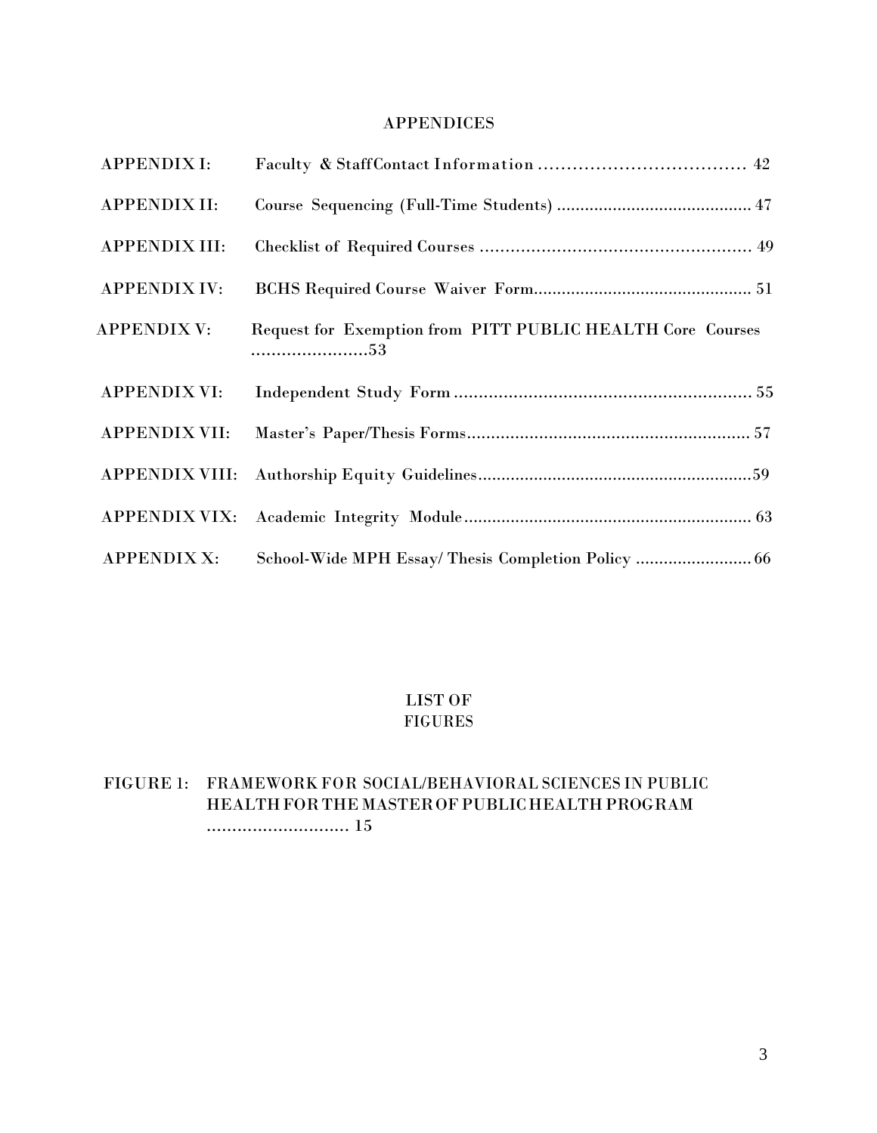## APPENDICES

| <b>APPENDIX I:</b>    |                                                                  |  |
|-----------------------|------------------------------------------------------------------|--|
| APPENDIX II:          |                                                                  |  |
| <b>APPENDIX III:</b>  |                                                                  |  |
| <b>APPENDIX IV:</b>   |                                                                  |  |
| <b>APPENDIX V:</b>    | Request for Exemption from PITT PUBLIC HEALTH Core Courses<br>53 |  |
| <b>APPENDIX VI:</b>   |                                                                  |  |
| APPENDIX VII:         |                                                                  |  |
| <b>APPENDIX VIII:</b> |                                                                  |  |
| <b>APPENDIX VIX:</b>  |                                                                  |  |
| <b>APPENDIX X:</b>    | School-Wide MPH Essay/ Thesis Completion Policy  66              |  |

## LIST OF FIGURES

# FIGURE 1: FRAMEWORK FOR SOCIAL/BEHAVIORAL SCIENCES IN PUBLIC HEALTH FOR THE MASTER OF PUBLIC HEALTH PROGRAM ............................ 15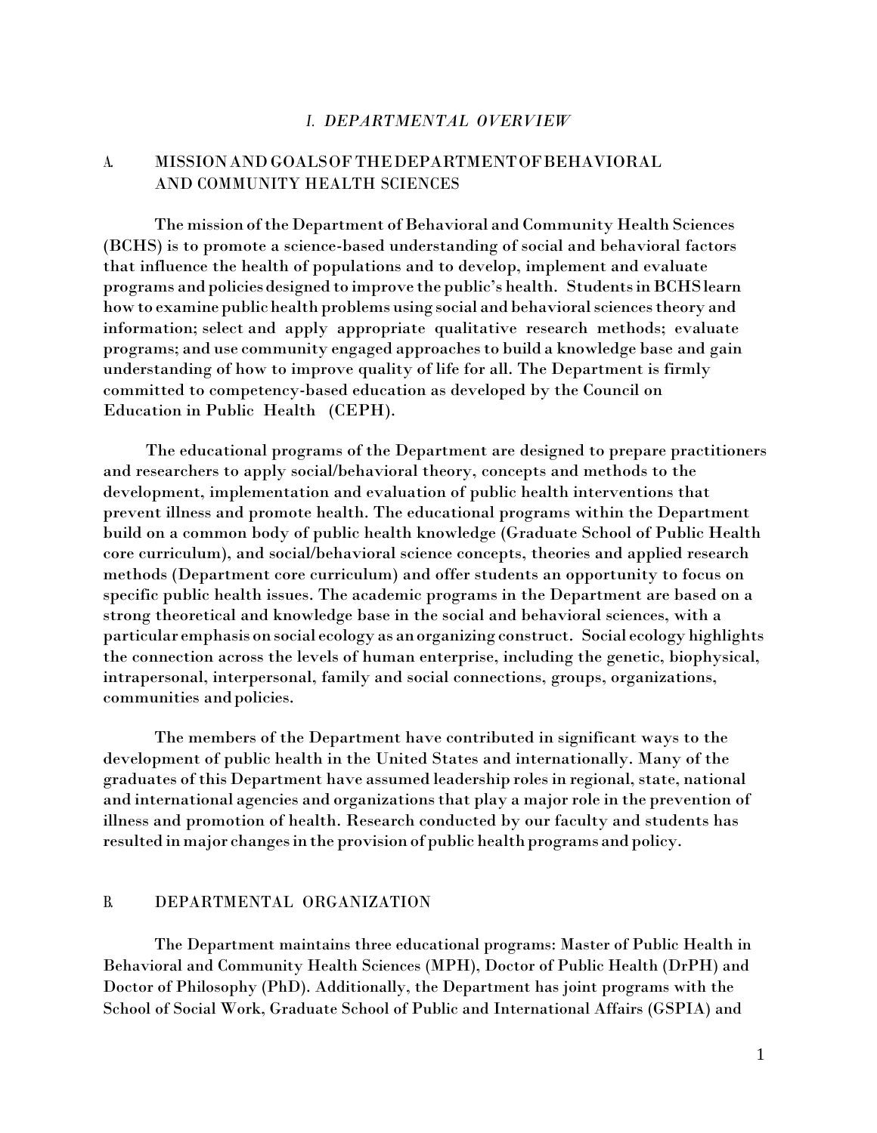#### *I. DEPARTMENTAL OVERVIEW*

## A. MISSIONAND GOALSOF THEDEPARTMENTOFBEHAVIORAL AND COMMUNITY HEALTH SCIENCES

The mission of the Department of Behavioral and Community Health Sciences (BCHS) is to promote a science-based understanding of social and behavioral factors that influence the health of populations and to develop, implement and evaluate programs and policiesdesigned to improve the public's health. StudentsinBCHSlearn how to examine public health problems using social and behavioral sciences theory and information; select and apply appropriate qualitative research methods; evaluate programs; and use community engaged approachesto build a knowledge base and gain understanding of how to improve quality of life for all. The Department is firmly committed to competency-based education as developed by the Council on Education in Public Health (CEPH).

The educational programs of the Department are designed to prepare practitioners and researchers to apply social/behavioral theory, concepts and methods to the development, implementation and evaluation of public health interventions that prevent illness and promote health. The educational programs within the Department build on a common body of public health knowledge (Graduate School of Public Health core curriculum), and social/behavioral science concepts, theories and applied research methods (Department core curriculum) and offer students an opportunity to focus on specific public health issues. The academic programs in the Department are based on a strong theoretical and knowledge base in the social and behavioral sciences, with a particular emphasis on social ecology as anorganizing construct. Social ecology highlights the connection across the levels of human enterprise, including the genetic, biophysical, intrapersonal, interpersonal, family and social connections, groups, organizations, communities and policies.

The members of the Department have contributed in significant ways to the development of public health in the United States and internationally. Many of the graduates of this Department have assumed leadership roles in regional, state, national and international agencies and organizationsthat play a major role in the prevention of illness and promotion of health. Research conducted by our faculty and students has resulted in major changes in the provision of public health programs and policy.

#### B. DEPARTMENTAL ORGANIZATION

The Department maintains three educational programs: Master of Public Health in Behavioral and Community Health Sciences (MPH), Doctor of Public Health (DrPH) and Doctor of Philosophy (PhD). Additionally, the Department has joint programs with the School of Social Work, Graduate School of Public and International Affairs (GSPIA) and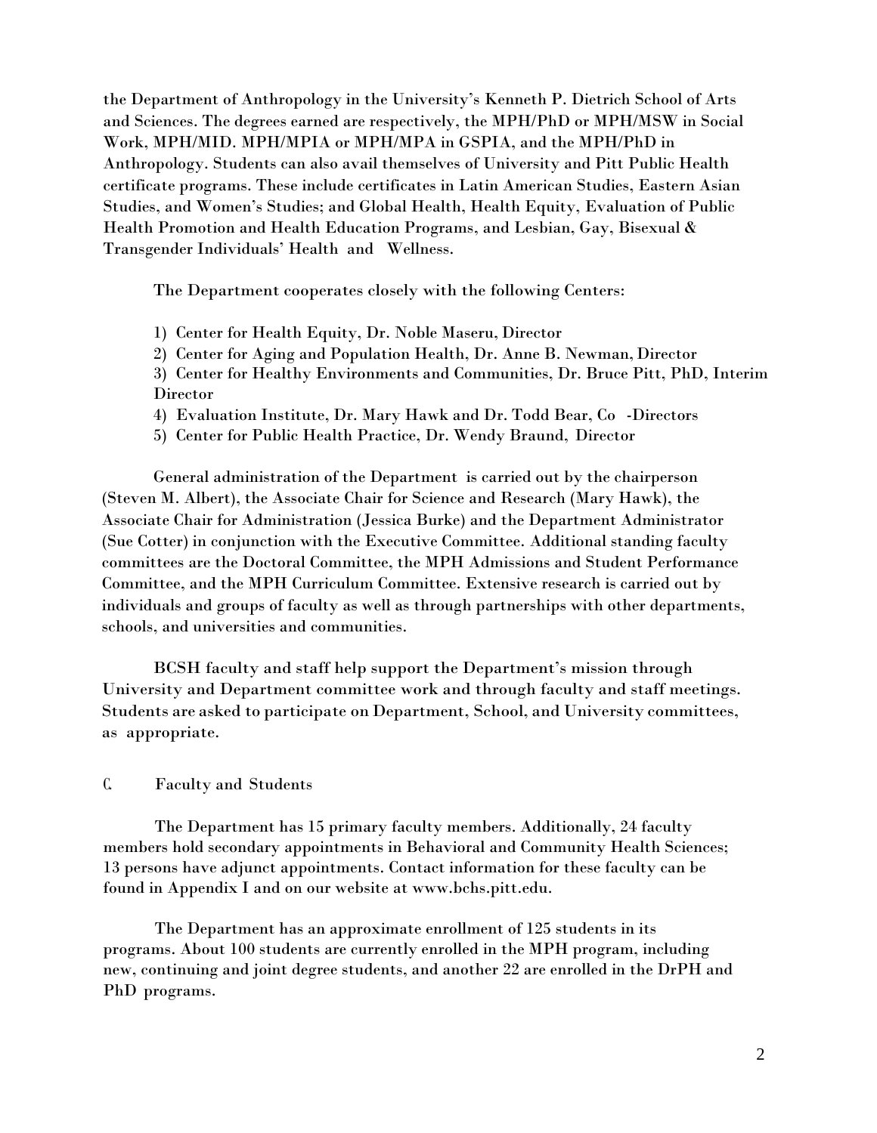the Department of Anthropology in the University's Kenneth P. Dietrich School of Arts and Sciences. The degrees earned are respectively, the MPH/PhD or MPH/MSW in Social Work, MPH/MID. MPH/MPIA or MPH/MPA in GSPIA, and the MPH/PhD in Anthropology. Students can also avail themselves of University and Pitt Public Health certificate programs. These include certificates in Latin American Studies, Eastern Asian Studies, and Women's Studies; and Global Health, Health Equity, [Evaluation](http://www.publichealth.pitt.edu/interior.php?pageID=82&amp%3B3) [of Public](http://www.publichealth.pitt.edu/interior.php?pageID=82&amp%3B3)  [Health Promotion and Health Education Programs,](http://www.publichealth.pitt.edu/interior.php?pageID=82&amp%3B3) and [Lesbian, Gay, Bisexual &](http://www.publichealth.pitt.edu/interior.php?pageID=82&amp%3B5)  [Transgender Individuals' Health and](http://www.publichealth.pitt.edu/interior.php?pageID=82&amp%3B5) [Wellness.](http://www.publichealth.pitt.edu/interior.php?pageID=82&amp%3B5)

The Department cooperates closely with the following Centers:

- 1) Center for Health Equity, Dr. Noble Maseru, Director
- 2) Center for Aging and Population Health, Dr. Anne B. Newman, Director
- 3) Center for Healthy Environments and Communities, Dr. Bruce Pitt, PhD, Interim Director
- 4) Evaluation Institute, Dr. Mary Hawk and Dr. Todd Bear, Co -Directors
- 5) Center for Public Health Practice, Dr. Wendy Braund, Director

General administration of the Department is carried out by the chairperson (Steven M. Albert), the Associate Chair for Science and Research (Mary Hawk), the Associate Chair for Administration (Jessica Burke) and the Department Administrator (Sue Cotter) in conjunction with the Executive Committee. Additional standing faculty committees are the Doctoral Committee, the MPH Admissions and Student Performance Committee, and the MPH Curriculum Committee. Extensive research is carried out by individuals and groups of faculty as well as through partnerships with other departments, schools, and universities and communities.

BCSH faculty and staff help support the Department's mission through University and Department committee work and through faculty and staff meetings. Students are asked to participate on Department, School, and University committees, as appropriate.

### C. Faculty and Students

The Department has 15 primary faculty members. Additionally, 24 faculty members hold secondary appointments in Behavioral and Community Health Sciences; 13 persons have adjunct appointments. Contact information for these faculty can be found in Appendix I and on our website at [www.bchs.pitt.edu.](http://www.bchs.pitt.edu/)

The Department has an approximate enrollment of 125 students in its programs. About 100 students are currently enrolled in the MPH program, including new, continuing and joint degree students, and another 22 are enrolled in the DrPH and PhD programs.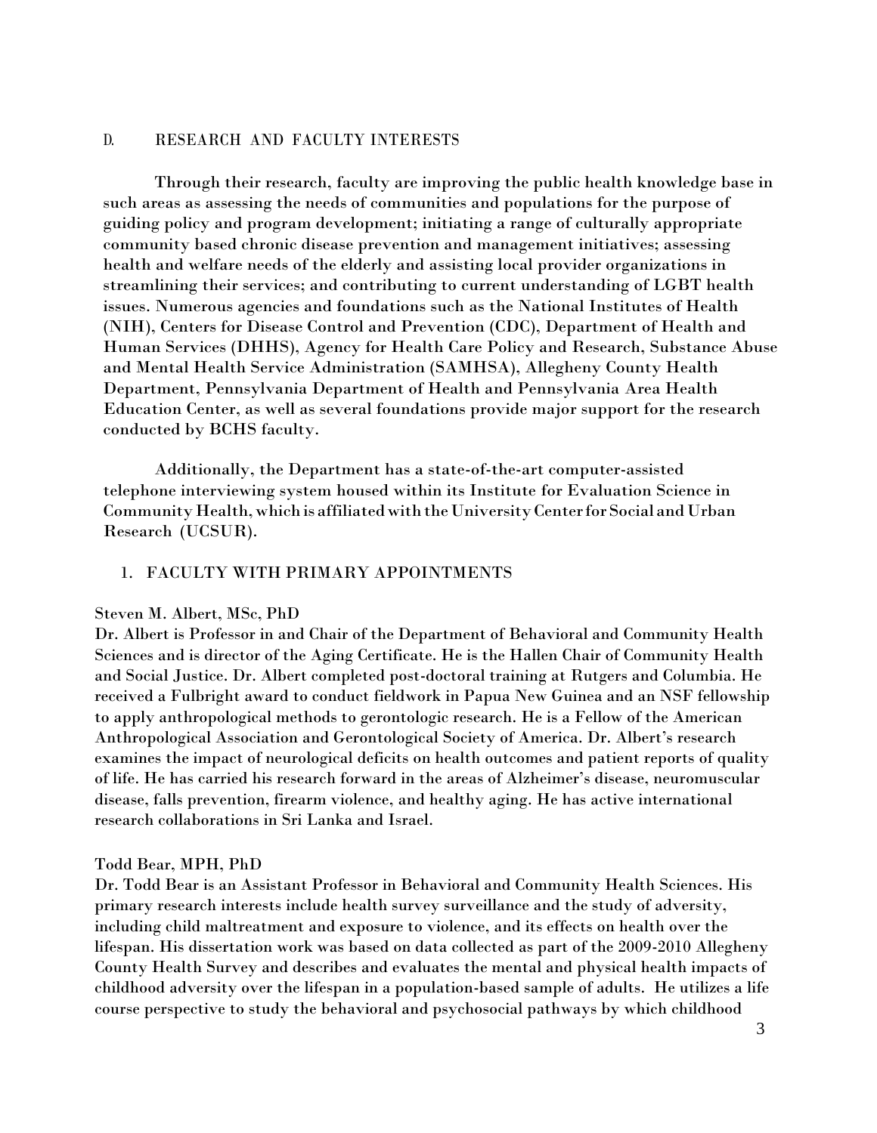#### D. RESEARCH AND FACULTY INTERESTS

Through their research, faculty are improving the public health knowledge base in such areas as assessing the needs of communities and populations for the purpose of guiding policy and program development; initiating a range of culturally appropriate community based chronic disease prevention and management initiatives; assessing health and welfare needs of the elderly and assisting local provider organizations in streamlining their services; and contributing to current understanding of LGBT health issues. Numerous agencies and foundations such as the National Institutes of Health (NIH), Centers for Disease Control and Prevention (CDC), Department of Health and Human Services (DHHS), Agency for Health Care Policy and Research, Substance Abuse and Mental Health Service Administration (SAMHSA), Allegheny County Health Department, Pennsylvania Department of Health and Pennsylvania Area Health Education Center, as well as several foundations provide major support for the research conducted by BCHS faculty.

Additionally, the Department has a state-of-the-art computer-assisted telephone interviewing system housed within its Institute for Evaluation Science in Community Health,whichis affiliatedwiththeUniversityCenterforSocial andUrban Research (UCSUR).

#### 1. FACULTY WITH PRIMARY APPOINTMENTS

#### Steven M. Albert, MSc, PhD

Dr. Albert is Professor in and Chair of the Department of Behavioral and Community Health Sciences and is director of the Aging Certificate. He is the Hallen Chair of Community Health and Social Justice. Dr. Albert completed post-doctoral training at Rutgers and Columbia. He received a Fulbright award to conduct fieldwork in Papua New Guinea and an NSF fellowship to apply anthropological methods to gerontologic research. He is a Fellow of the American Anthropological Association and Gerontological Society of America. Dr. Albert's research examines the impact of neurological deficits on health outcomes and patient reports of quality of life. He has carried his research forward in the areas of Alzheimer's disease, neuromuscular disease, falls prevention, firearm violence, and healthy aging. He has active international research collaborations in Sri Lanka and Israel.

#### Todd Bear, MPH, PhD

Dr. Todd Bear is an Assistant Professor in Behavioral and Community Health Sciences. His primary research interests include health survey surveillance and the study of adversity, including child maltreatment and exposure to violence, and its effects on health over the lifespan. His dissertation work was based on data collected as part of the 2009-2010 Allegheny County Health Survey and describes and evaluates the mental and physical health impacts of childhood adversity over the lifespan in a population-based sample of adults. He utilizes a life course perspective to study the behavioral and psychosocial pathways by which childhood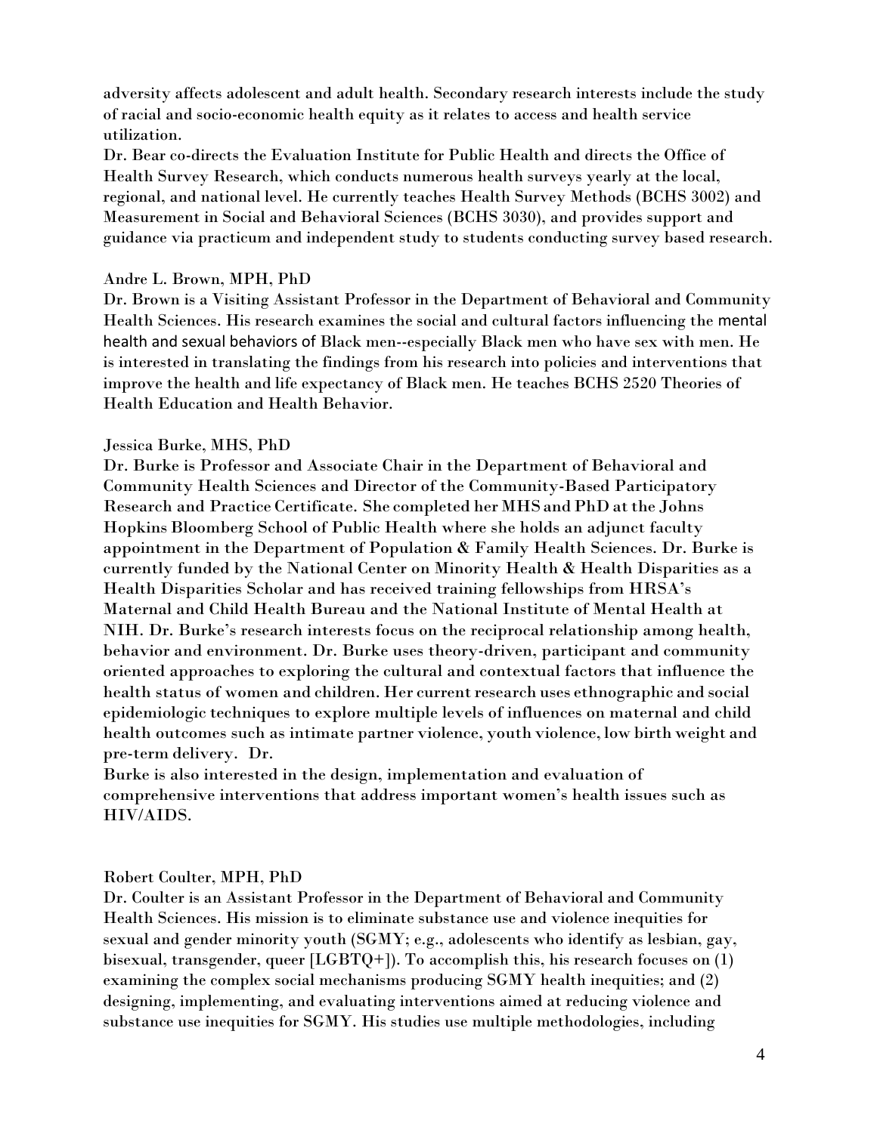adversity affects adolescent and adult health. Secondary research interests include the study of racial and socio-economic health equity as it relates to access and health service utilization.

Dr. Bear co-directs the Evaluation Institute for Public Health and directs the Office of Health Survey Research, which conducts numerous health surveys yearly at the local, regional, and national level. He currently teaches Health Survey Methods (BCHS 3002) and Measurement in Social and Behavioral Sciences (BCHS 3030), and provides support and guidance via practicum and independent study to students conducting survey based research.

### Andre L. Brown, MPH, PhD

Dr. Brown is a Visiting Assistant Professor in the Department of Behavioral and Community Health Sciences. His research examines the social and cultural factors influencing the mental health and sexual behaviors of Black men--especially Black men who have sex with men. He is interested in translating the findings from his research into policies and interventions that improve the health and life expectancy of Black men. He teaches BCHS 2520 Theories of Health Education and Health Behavior.

#### Jessica Burke, MHS, PhD

Dr. Burke is Professor and Associate Chair in the Department of Behavioral and Community Health Sciences and Director of the Community-Based Participatory Research and Practice Certificate. She completed her MHSand PhD atthe Johns Hopkins Bloomberg School of Public Health where she holds an adjunct faculty appointment in the Department of Population & Family Health Sciences. Dr. Burke is currently funded by the National Center on Minority Health & Health Disparities as a Health Disparities Scholar and has received training fellowships from HRSA's Maternal and Child Health Bureau and the National Institute of Mental Health at NIH. Dr. Burke's research interests focus on the reciprocal relationship among health, behavior and environment. Dr. Burke uses theory-driven, participant and community oriented approaches to exploring the cultural and contextual factors that influence the health status of women and children. Her current research uses ethnographic and social epidemiologic techniques to explore multiple levels of influences on maternal and child health outcomes such as intimate partner violence, youth violence, low birth weight and pre-term delivery. Dr.

Burke is also interested in the design, implementation and evaluation of comprehensive interventions that address important women's health issues such as HIV/AIDS.

### Robert Coulter, MPH, PhD

Dr. Coulter is an Assistant Professor in the Department of Behavioral and Community Health Sciences. His mission is to eliminate substance use and violence inequities for sexual and gender minority youth (SGMY; e.g., adolescents who identify as lesbian, gay, bisexual, transgender, queer [LGBTQ+]). To accomplish this, his research focuses on (1) examining the complex social mechanisms producing SGMY health inequities; and (2) designing, implementing, and evaluating interventions aimed at reducing violence and substance use inequities for SGMY. His studies use multiple methodologies, including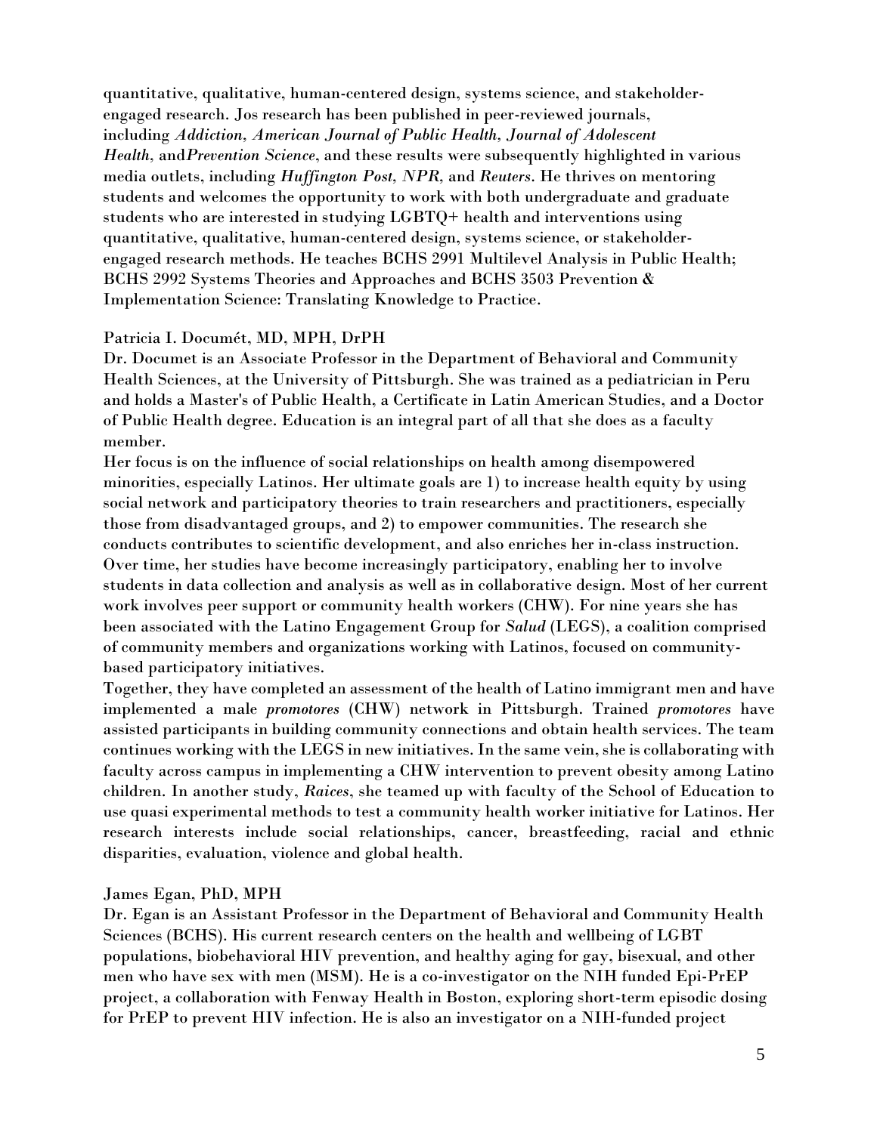quantitative, qualitative, human-centered design, systems science, and stakeholderengaged research. Jos research has been published in peer-reviewed journals, including *Addiction, American Journal of Public Health, Journal of Adolescent Health,* and*Prevention Science*, and these results were subsequently highlighted in various media outlets, including *Huffington Post, NPR,* and *Reuters*. He thrives on mentoring students and welcomes the opportunity to work with both undergraduate and graduate students who are interested in studying LGBTQ+ health and interventions using quantitative, qualitative, human-centered design, systems science, or stakeholderengaged research methods. He teaches BCHS 2991 Multilevel Analysis in Public Health; BCHS 2992 Systems Theories and Approaches and BCHS 3503 Prevention & Implementation Science: Translating Knowledge to Practice.

## Patricia I. Documét, MD, MPH, DrPH

Dr. Documet is an Associate Professor in the Department of Behavioral and Community Health Sciences, at the University of Pittsburgh. She was trained as a pediatrician in Peru and holds a Master's of Public Health, a Certificate in Latin American Studies, and a Doctor of Public Health degree. Education is an integral part of all that she does as a faculty member.

Her focus is on the influence of social relationships on health among disempowered minorities, especially Latinos. Her ultimate goals are 1) to increase health equity by using social network and participatory theories to train researchers and practitioners, especially those from disadvantaged groups, and 2) to empower communities. The research she conducts contributes to scientific development, and also enriches her in-class instruction. Over time, her studies have become increasingly participatory, enabling her to involve students in data collection and analysis as well as in collaborative design. Most of her current work involves peer support or community health workers (CHW). For nine years she has been associated with the Latino Engagement Group for *Salud* (LEGS), a coalition comprised of community members and organizations working with Latinos, focused on communitybased participatory initiatives.

Together, they have completed an assessment of the health of Latino immigrant men and have implemented a male *promotores* (CHW) network in Pittsburgh. Trained *promotores* have assisted participants in building community connections and obtain health services. The team continues working with the LEGS in new initiatives. In the same vein, she is collaborating with faculty across campus in implementing a CHW intervention to prevent obesity among Latino children. In another study, *Raices*, she teamed up with faculty of the School of Education to use quasi experimental methods to test a community health worker initiative for Latinos. Her research interests include social relationships, cancer, breastfeeding, racial and ethnic disparities, evaluation, violence and global health.

James Egan, PhD, MPH

Dr. Egan is an Assistant Professor in the Department of Behavioral and Community Health Sciences (BCHS). His current research centers on the health and wellbeing of LGBT populations, biobehavioral HIV prevention, and healthy aging for gay, bisexual, and other men who have sex with men (MSM). He is a co-investigator on the NIH funded Epi-PrEP project, a collaboration with Fenway Health in Boston, exploring short-term episodic dosing for PrEP to prevent HIV infection. He is also an investigator on a NIH-funded project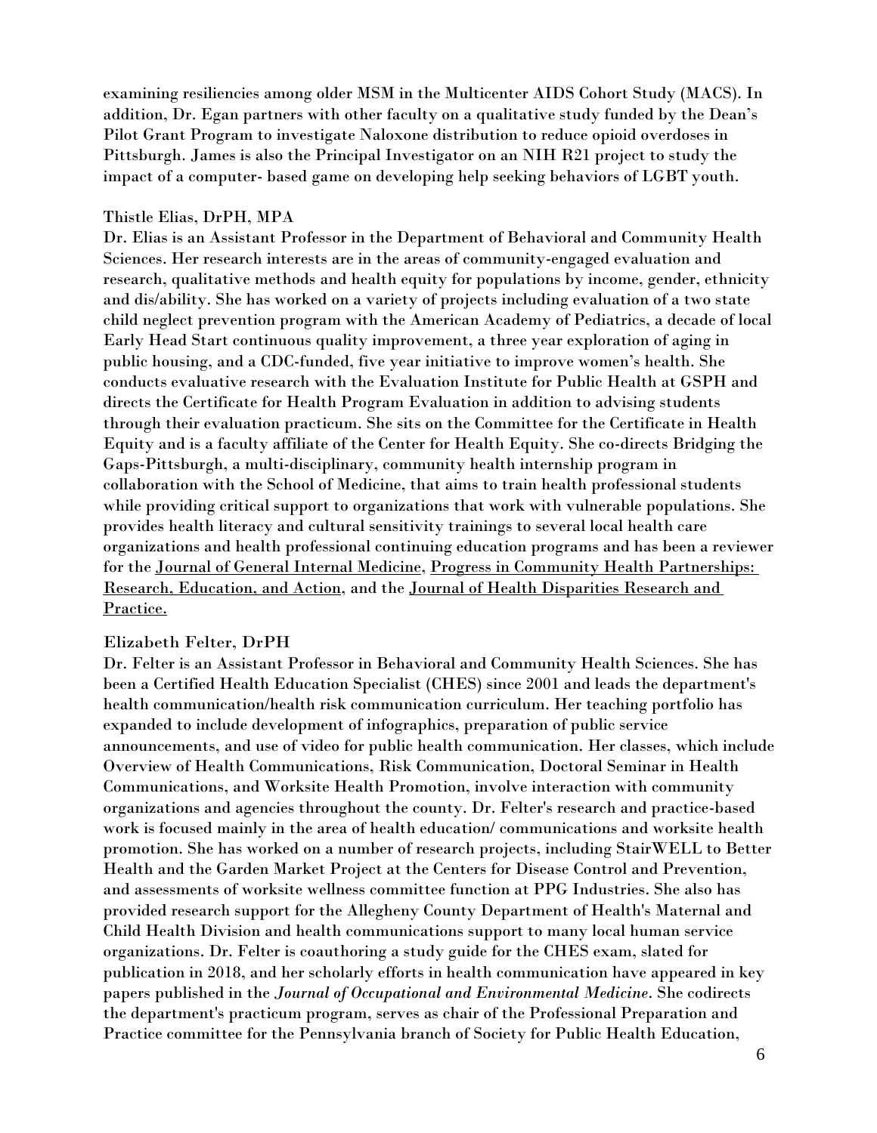examining resiliencies among older MSM in the Multicenter AIDS Cohort Study (MACS). In addition, Dr. Egan partners with other faculty on a qualitative study funded by the Dean's Pilot Grant Program to investigate Naloxone distribution to reduce opioid overdoses in Pittsburgh. James is also the Principal Investigator on an NIH R21 project to study the impact of a computer- based game on developing help seeking behaviors of LGBT youth.

### Thistle Elias, DrPH, MPA

Dr. Elias is an Assistant Professor in the Department of Behavioral and Community Health Sciences. Her research interests are in the areas of community-engaged evaluation and research, qualitative methods and health equity for populations by income, gender, ethnicity and dis/ability. She has worked on a variety of projects including evaluation of a two state child neglect prevention program with the American Academy of Pediatrics, a decade of local Early Head Start continuous quality improvement, a three year exploration of aging in public housing, and a CDC-funded, five year initiative to improve women's health. She conducts evaluative research with the Evaluation Institute for Public Health at GSPH and directs the Certificate for Health Program Evaluation in addition to advising students through their evaluation practicum. She sits on the Committee for the Certificate in Health Equity and is a faculty affiliate of the Center for Health Equity. She co-directs Bridging the Gaps-Pittsburgh, a multi-disciplinary, community health internship program in collaboration with the School of Medicine, that aims to train health professional students while providing critical support to organizations that work with vulnerable populations. She provides health literacy and cultural sensitivity trainings to several local health care organizations and health professional continuing education programs and has been a reviewer for the Journal of General Internal Medicine, Progress in Community Health Partnerships: Research, Education, and Action, and the Journal of Health Disparities Research and Practice.

## Elizabeth Felter, DrPH

Dr. Felter is an Assistant Professor in Behavioral and Community Health Sciences. She has been a Certified Health Education Specialist (CHES) since 2001 and leads the department's health communication/health risk communication curriculum. Her teaching portfolio has expanded to include development of infographics, preparation of public service announcements, and use of video for public health communication. Her classes, which include Overview of Health Communications, Risk Communication, Doctoral Seminar in Health Communications, and Worksite Health Promotion, involve interaction with community organizations and agencies throughout the county. Dr. Felter's research and practice-based work is focused mainly in the area of health education/ communications and worksite health promotion. She has worked on a number of research projects, including StairWELL to Better Health and the Garden Market Project at the Centers for Disease Control and Prevention, and assessments of worksite wellness committee function at PPG Industries. She also has provided research support for the Allegheny County Department of Health's Maternal and Child Health Division and health communications support to many local human service organizations. Dr. Felter is coauthoring a study guide for the CHES exam, slated for publication in 2018, and her scholarly efforts in health communication have appeared in key papers published in the *Journal of Occupational and Environmental Medicine*. She codirects the department's practicum program, serves as chair of the Professional Preparation and Practice committee for the Pennsylvania branch of Society for Public Health Education,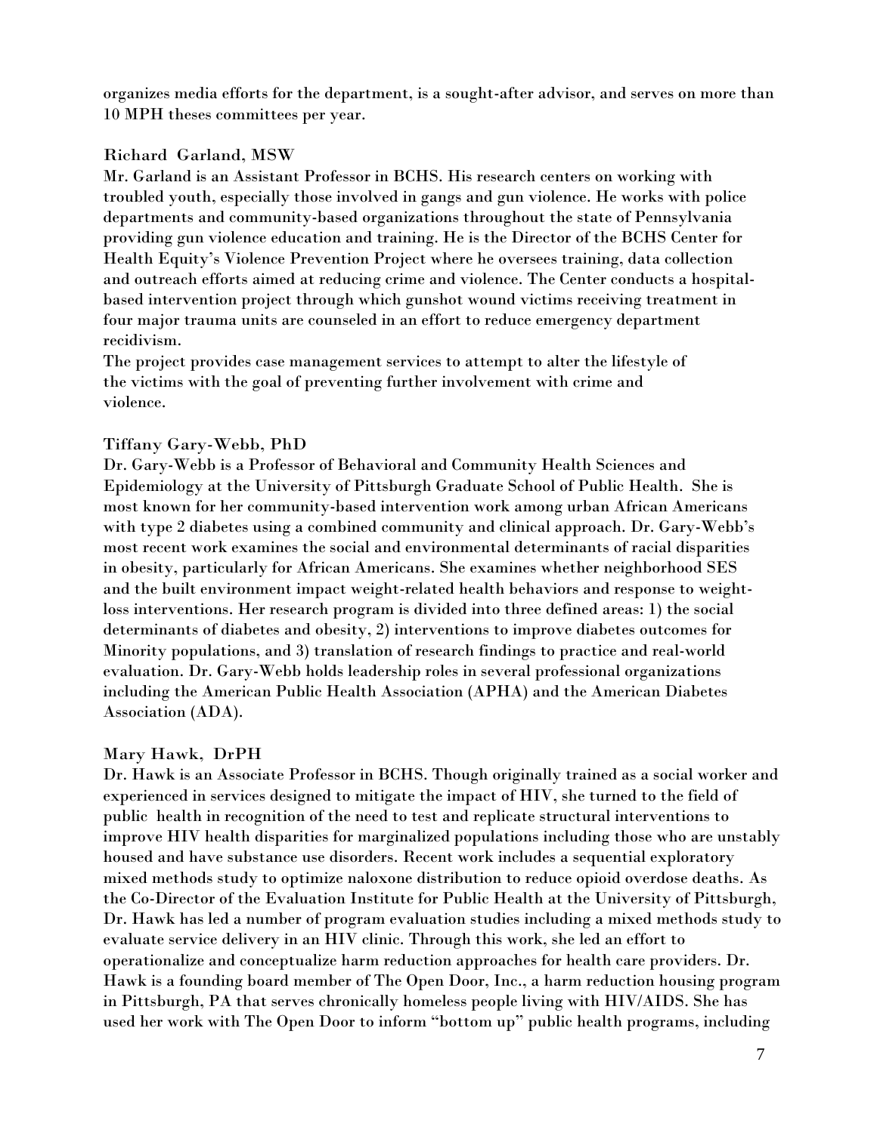organizes media efforts for the department, is a sought-after advisor, and serves on more than 10 MPH theses committees per year.

## Richard Garland, MSW

Mr. Garland is an Assistant Professor in BCHS. His research centers on working with troubled youth, especially those involved in gangs and gun violence. He works with police departments and community-based organizations throughout the state of Pennsylvania providing gun violence education and training. He is the Director of the BCHS Center for Health Equity's Violence Prevention Project where he oversees training, data collection and outreach efforts aimed at reducing crime and violence. The Center conducts a hospitalbased intervention project through which gunshot wound victims receiving treatment in four major trauma units are counseled in an effort to reduce emergency department recidivism.

The project provides case management services to attempt to alter the lifestyle of the victims with the goal of preventing further involvement with crime and violence.

# Tiffany Gary-Webb, PhD

Dr. Gary-Webb is a Professor of Behavioral and Community Health Sciences and Epidemiology at the University of Pittsburgh Graduate School of Public Health. She is most known for her community-based intervention work among urban African Americans with type 2 diabetes using a combined community and clinical approach. Dr. Gary-Webb's most recent work examines the social and environmental determinants of racial disparities in obesity, particularly for African Americans. She examines whether neighborhood SES and the built environment impact weight-related health behaviors and response to weightloss interventions. Her research program is divided into three defined areas: 1) the social determinants of diabetes and obesity, 2) interventions to improve diabetes outcomes for Minority populations, and 3) translation of research findings to practice and real-world evaluation. Dr. Gary-Webb holds leadership roles in several professional organizations including the American Public Health Association (APHA) and the American Diabetes Association (ADA).

## Mary Hawk, DrPH

Dr. Hawk is an Associate Professor in BCHS. Though originally trained as a social worker and experienced in services designed to mitigate the impact of HIV, she turned to the field of public health in recognition of the need to test and replicate structural interventions to improve HIV health disparities for marginalized populations including those who are unstably housed and have substance use disorders. Recent work includes a sequential exploratory mixed methods study to optimize naloxone distribution to reduce opioid overdose deaths. As the Co-Director of the Evaluation Institute for Public Health at the University of Pittsburgh, Dr. Hawk has led a number of program evaluation studies including a mixed methods study to evaluate service delivery in an HIV clinic. Through this work, she led an effort to operationalize and conceptualize harm reduction approaches for health care providers. Dr. Hawk is a founding board member of The Open Door, Inc., a harm reduction housing program in Pittsburgh, PA that serves chronically homeless people living with HIV/AIDS. She has used her work with The Open Door to inform "bottom up" public health programs, including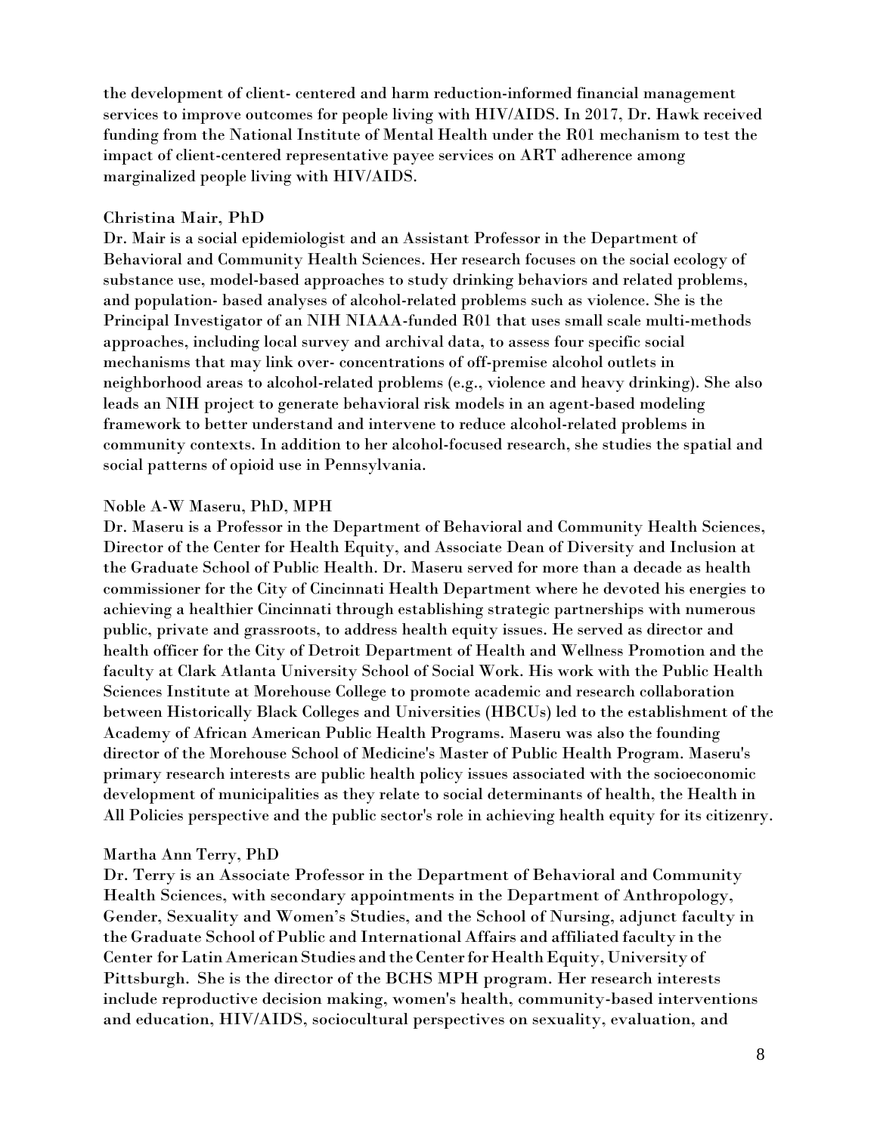the development of client- centered and harm reduction-informed financial management services to improve outcomes for people living with HIV/AIDS. In 2017, Dr. Hawk received funding from the National Institute of Mental Health under the R01 mechanism to test the impact of client-centered representative payee services on ART adherence among marginalized people living with HIV/AIDS.

### Christina Mair, PhD

Dr. Mair is a social epidemiologist and an Assistant Professor in the Department of Behavioral and Community Health Sciences. Her research focuses on the social ecology of substance use, model-based approaches to study drinking behaviors and related problems, and population- based analyses of alcohol-related problems such as violence. She is the Principal Investigator of an NIH NIAAA-funded R01 that uses small scale multi-methods approaches, including local survey and archival data, to assess four specific social mechanisms that may link over- concentrations of off-premise alcohol outlets in neighborhood areas to alcohol-related problems (e.g., violence and heavy drinking). She also leads an NIH project to generate behavioral risk models in an agent-based modeling framework to better understand and intervene to reduce alcohol-related problems in community contexts. In addition to her alcohol-focused research, she studies the spatial and social patterns of opioid use in Pennsylvania.

## Noble A-W Maseru, PhD, MPH

Dr. Maseru is a Professor in the Department of Behavioral and Community Health Sciences, Director of the Center for Health Equity, and Associate Dean of Diversity and Inclusion at the Graduate School of Public Health. Dr. Maseru served for more than a decade as health commissioner for the City of Cincinnati Health Department where he devoted his energies to achieving a healthier Cincinnati through establishing strategic partnerships with numerous public, private and grassroots, to address health equity issues. He served as director and health officer for the City of Detroit Department of Health and Wellness Promotion and the faculty at Clark Atlanta University School of Social Work. His work with the Public Health Sciences Institute at Morehouse College to promote academic and research collaboration between Historically Black Colleges and Universities (HBCUs) led to the establishment of the Academy of African American Public Health Programs. Maseru was also the founding director of the Morehouse School of Medicine's Master of Public Health Program. Maseru's primary research interests are public health policy issues associated with the socioeconomic development of municipalities as they relate to social determinants of health, the Health in All Policies perspective and the public sector's role in achieving health equity for its citizenry.

## Martha Ann Terry, PhD

Dr. Terry is an Associate Professor in the Department of Behavioral and Community Health Sciences, with secondary appointments in the Department of Anthropology, Gender, Sexuality and Women's Studies, and the School of Nursing, adjunct faculty in the Graduate School of Public and International Affairs and affiliated faculty in the Center for Latin American Studies and the Center for Health Equity, University of Pittsburgh. She is the director of the BCHS MPH program. Her research interests include reproductive decision making, women's health, community-based interventions and education, HIV/AIDS, sociocultural perspectives on sexuality, evaluation, and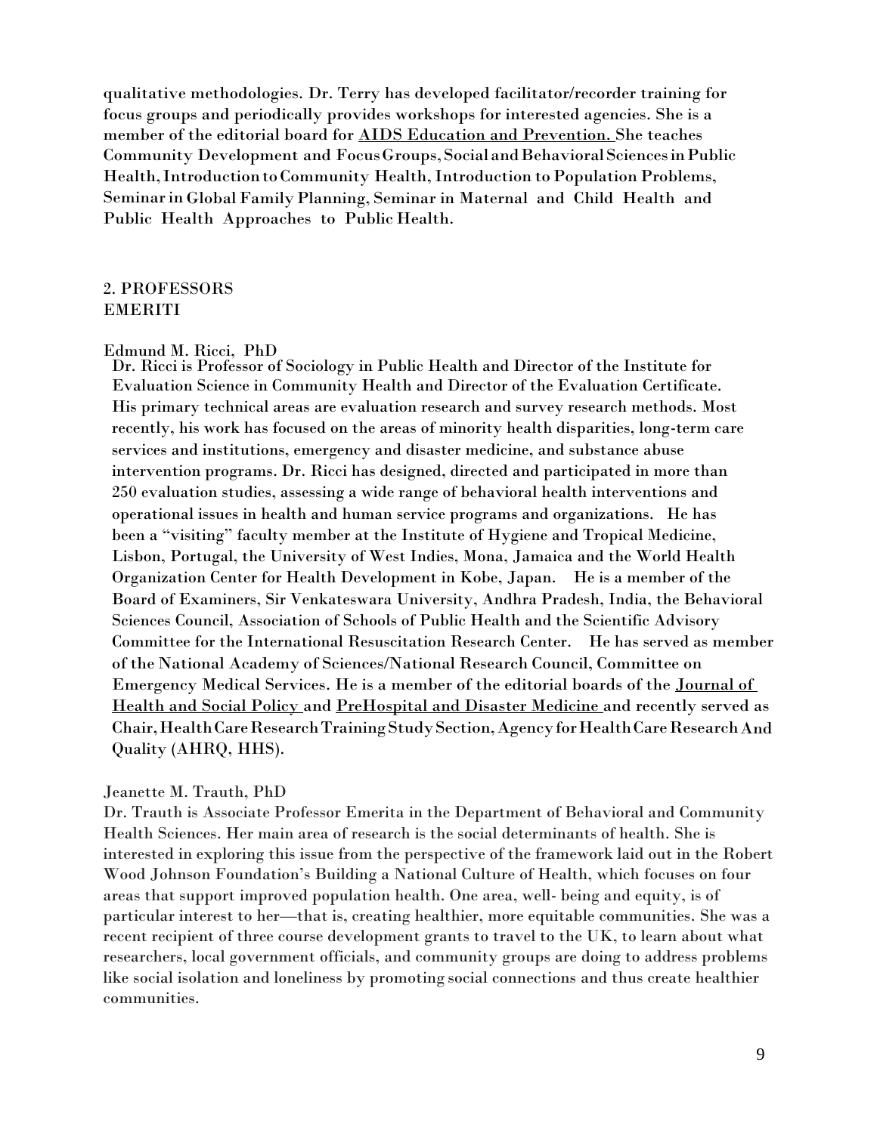qualitative methodologies. Dr. Terry has developed facilitator/recorder training for focus groups and periodically provides workshops for interested agencies. She is a member of the editorial board for AIDS Education and Prevention. She teaches Community Development and Focus Groups, Social and Behavioral Sciences in Public Health, Introduction to Community Health, Introduction to Population Problems, Seminarin Global FamilyPlanning, Seminar in Maternal and Child Health and Public Health Approaches to Public Health.

## 2. PROFESSORS EMERITI

#### Edmund M. Ricci, PhD

Dr. Ricci is Professor of Sociology in Public Health and Director of the Institute for Evaluation Science in Community Health and Director of the Evaluation Certificate. His primary technical areas are evaluation research and survey research methods. Most recently, his work has focused on the areas of minority health disparities, long-term care services and institutions, emergency and disaster medicine, and substance abuse intervention programs. Dr. Ricci has designed, directed and participated in more than 250 evaluation studies, assessing a wide range of behavioral health interventions and operational issues in health and human service programs and organizations. He has been a "visiting" faculty member at the Institute of Hygiene and Tropical Medicine, Lisbon, Portugal, the University of West Indies, Mona, Jamaica and the World Health Organization Center for Health Development in Kobe, Japan. He is a member of the Board of Examiners, Sir Venkateswara University, Andhra Pradesh, India, the Behavioral Sciences Council, Association of Schools of Public Health and the Scientific Advisory Committee for the International Resuscitation Research Center. He has served as member of the National Academy of Sciences/National Research Council, Committee on Emergency Medical Services. He is a member of the editorial boards of the Journal of Health and Social Policy and PreHospital and Disaster Medicine and recently served as Chair,HealthCareResearchTrainingStudySection,AgencyforHealthCareResearchAnd Quality (AHRQ, HHS).

#### Jeanette M. Trauth, PhD

Dr. Trauth is Associate Professor Emerita in the Department of Behavioral and Community Health Sciences. Her main area of research is the social determinants of health. She is interested in exploring this issue from the perspective of the framework laid out in the Robert Wood Johnson Foundation's Building a National Culture of Health, which focuses on four areas that support improved population health. One area, well- being and equity, is of particular interest to her—that is, creating healthier, more equitable communities. She was a recent recipient of three course development grants to travel to the UK, to learn about what researchers, local government officials, and community groups are doing to address problems like social isolation and loneliness by promoting social connections and thus create healthier communities.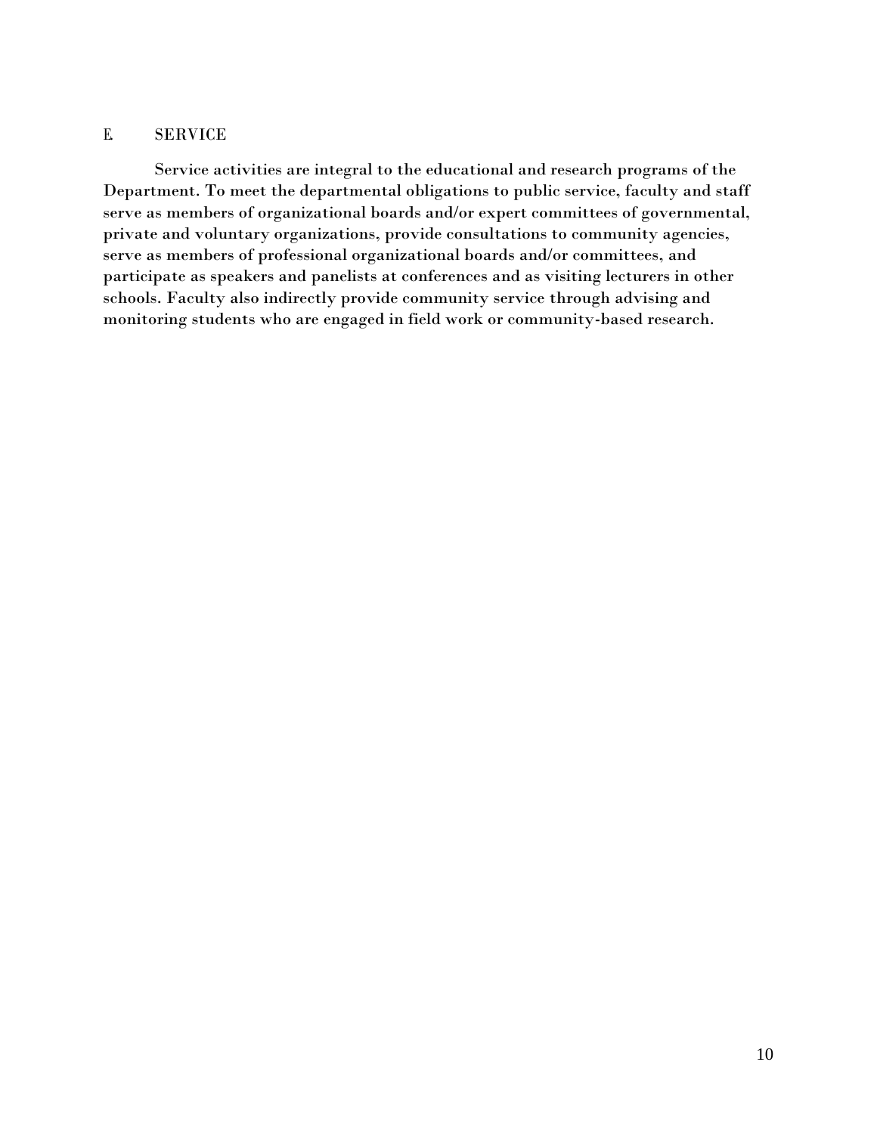## E. SERVICE

Service activities are integral to the educational and research programs of the Department. To meet the departmental obligations to public service, faculty and staff serve as members of organizational boards and/or expert committees of governmental, private and voluntary organizations, provide consultations to community agencies, serve as members of professional organizational boards and/or committees, and participate as speakers and panelists at conferences and as visiting lecturers in other schools. Faculty also indirectly provide community service through advising and monitoring students who are engaged in field work or community-based research.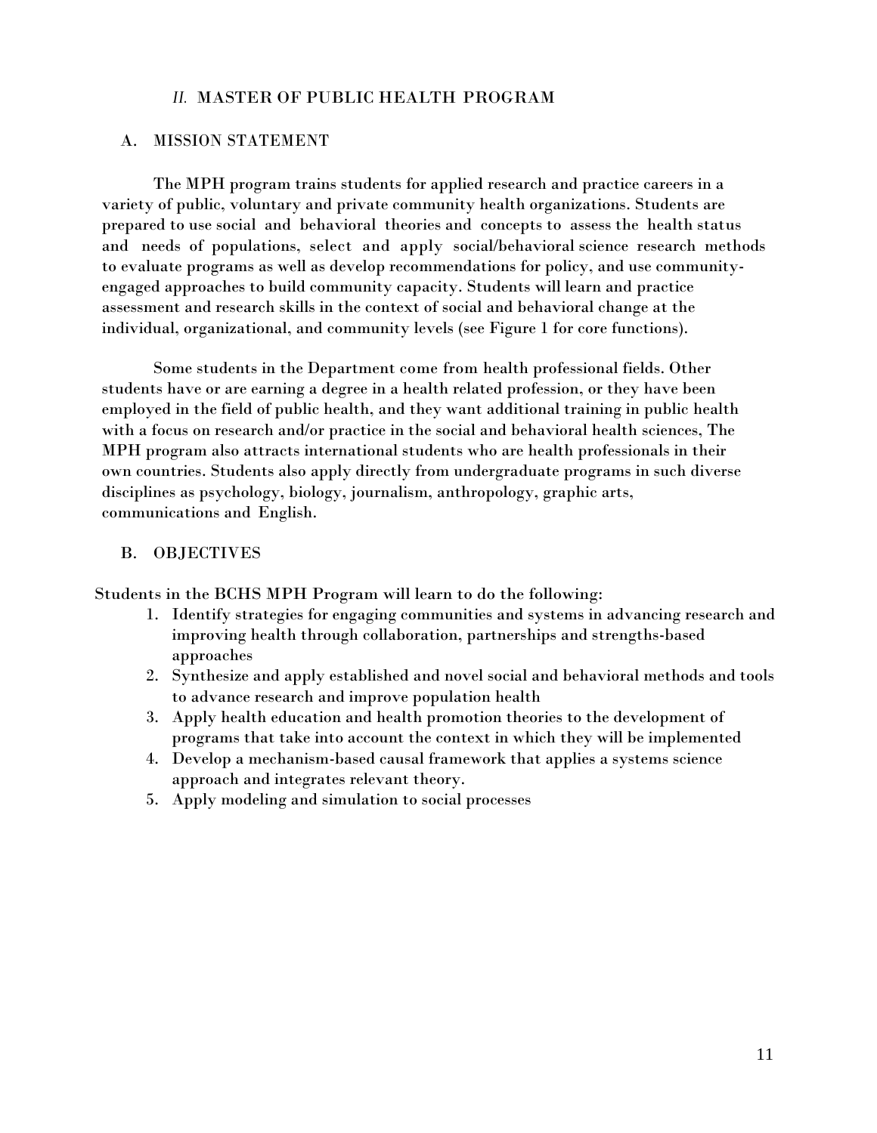### *II.* MASTER OF PUBLIC HEALTH PROGRAM

### A. MISSION STATEMENT

The MPH program trains students for applied research and practice careers in a variety of public, voluntary and private community health organizations. Students are prepared to use social and behavioral theories and concepts to assess the health status and needs of populations, select and apply social/behavioral science research methods to evaluate programs as well as develop recommendations for policy, and use communityengaged approaches to build community capacity. Students will learn and practice assessment and research skills in the context of social and behavioral change at the individual, organizational, and community levels (see Figure 1 for core functions).

Some students in the Department come from health professional fields. Other students have or are earning a degree in a health related profession, or they have been employed in the field of public health, and they want additional training in public health with a focus on research and/or practice in the social and behavioral health sciences, The MPH program also attracts international students who are health professionals in their own countries. Students also apply directly from undergraduate programs in such diverse disciplines as psychology, biology, journalism, anthropology, graphic arts, communications and English.

#### B. OBJECTIVES

Students in the BCHS MPH Program will learn to do the following:

- 1. Identify strategies for engaging communities and systems in advancing research and improving health through collaboration, partnerships and strengths-based approaches
- 2. Synthesize and apply established and novel social and behavioral methods and tools to advance research and improve population health
- 3. Apply health education and health promotion theories to the development of programs that take into account the context in which they will be implemented
- 4. Develop a mechanism-based causal framework that applies a systems science approach and integrates relevant theory.
- 5. Apply modeling and simulation to social processes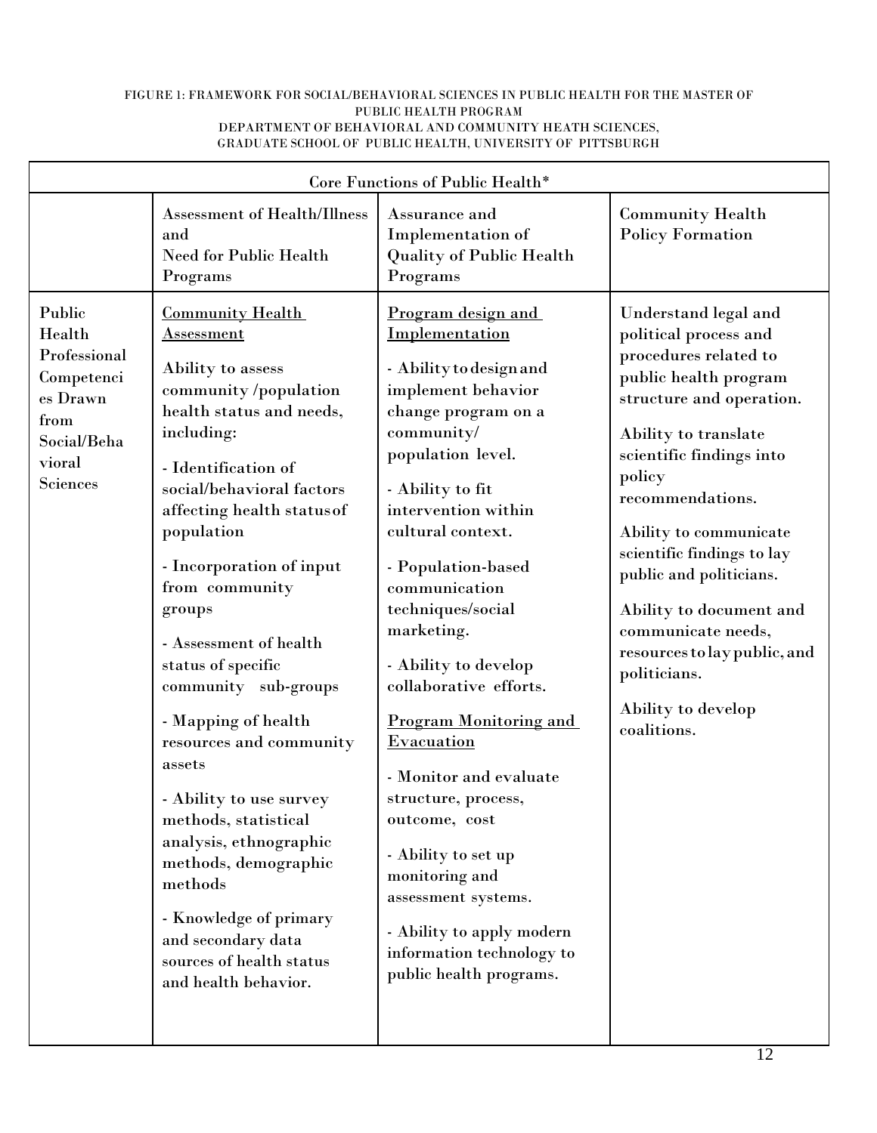#### FIGURE 1: FRAMEWORK FOR SOCIAL/BEHAVIORAL SCIENCES IN PUBLIC HEALTH FOR THE MASTER OF PUBLIC HEALTH PROGRAM DEPARTMENT OF BEHAVIORAL AND COMMUNITY HEATH SCIENCES, GRADUATE SCHOOL OF PUBLIC HEALTH, UNIVERSITY OF PITTSBURGH

| Core Functions of Public Health*                                                                        |                                                                                                                                                                                                                                                                                                                                                                                                                                                                                                                                                                                                                                                               |                                                                                                                                                                                                                                                                                                                                                                                                                                                                                                                                                                                                                          |                                                                                                                                                                                                                                                                                                                                                                                                                                        |  |  |
|---------------------------------------------------------------------------------------------------------|---------------------------------------------------------------------------------------------------------------------------------------------------------------------------------------------------------------------------------------------------------------------------------------------------------------------------------------------------------------------------------------------------------------------------------------------------------------------------------------------------------------------------------------------------------------------------------------------------------------------------------------------------------------|--------------------------------------------------------------------------------------------------------------------------------------------------------------------------------------------------------------------------------------------------------------------------------------------------------------------------------------------------------------------------------------------------------------------------------------------------------------------------------------------------------------------------------------------------------------------------------------------------------------------------|----------------------------------------------------------------------------------------------------------------------------------------------------------------------------------------------------------------------------------------------------------------------------------------------------------------------------------------------------------------------------------------------------------------------------------------|--|--|
|                                                                                                         | Assessment of Health/Illness<br>and<br><b>Need for Public Health</b><br>Programs                                                                                                                                                                                                                                                                                                                                                                                                                                                                                                                                                                              | Assurance and<br>Implementation of<br><b>Quality of Public Health</b><br>Programs                                                                                                                                                                                                                                                                                                                                                                                                                                                                                                                                        | <b>Community Health</b><br><b>Policy Formation</b>                                                                                                                                                                                                                                                                                                                                                                                     |  |  |
| Public<br>Health<br>Professional<br>Competenci<br>es Drawn<br>from<br>Social/Beha<br>vioral<br>Sciences | <b>Community Health</b><br>$\operatorname{Assessment}$<br>Ability to assess<br>community/population<br>health status and needs,<br>including:<br>- Identification of<br>social/behavioral factors<br>affecting health status of<br>population<br>- Incorporation of input<br>from community<br>groups<br>- Assessment of health<br>status of specific<br>community sub-groups<br>- Mapping of health<br>resources and community<br>assets<br>- Ability to use survey<br>methods, statistical<br>analysis, ethnographic<br>methods, demographic<br>methods<br>- Knowledge of primary<br>and secondary data<br>sources of health status<br>and health behavior. | Program design and<br>Implementation<br>- Ability to design and<br>implement behavior<br>change program on a<br>community/<br>population level.<br>- Ability to fit<br>intervention within<br>cultural context.<br>- Population-based<br>communication<br>techniques/social<br>marketing.<br>- Ability to develop<br>collaborative efforts.<br><b>Program Monitoring and</b><br><b>Evacuation</b><br>- Monitor and evaluate<br>structure, process,<br>outcome, cost<br>- Ability to set up<br>monitoring and<br>assessment systems.<br>- Ability to apply modern<br>information technology to<br>public health programs. | Understand legal and<br>political process and<br>procedures related to<br>public health program<br>structure and operation.<br>Ability to translate<br>scientific findings into<br>policy<br>recommendations.<br>Ability to communicate<br>scientific findings to lay<br>public and politicians.<br>Ability to document and<br>communicate needs,<br>resources to lay public, and<br>politicians.<br>Ability to develop<br>coalitions. |  |  |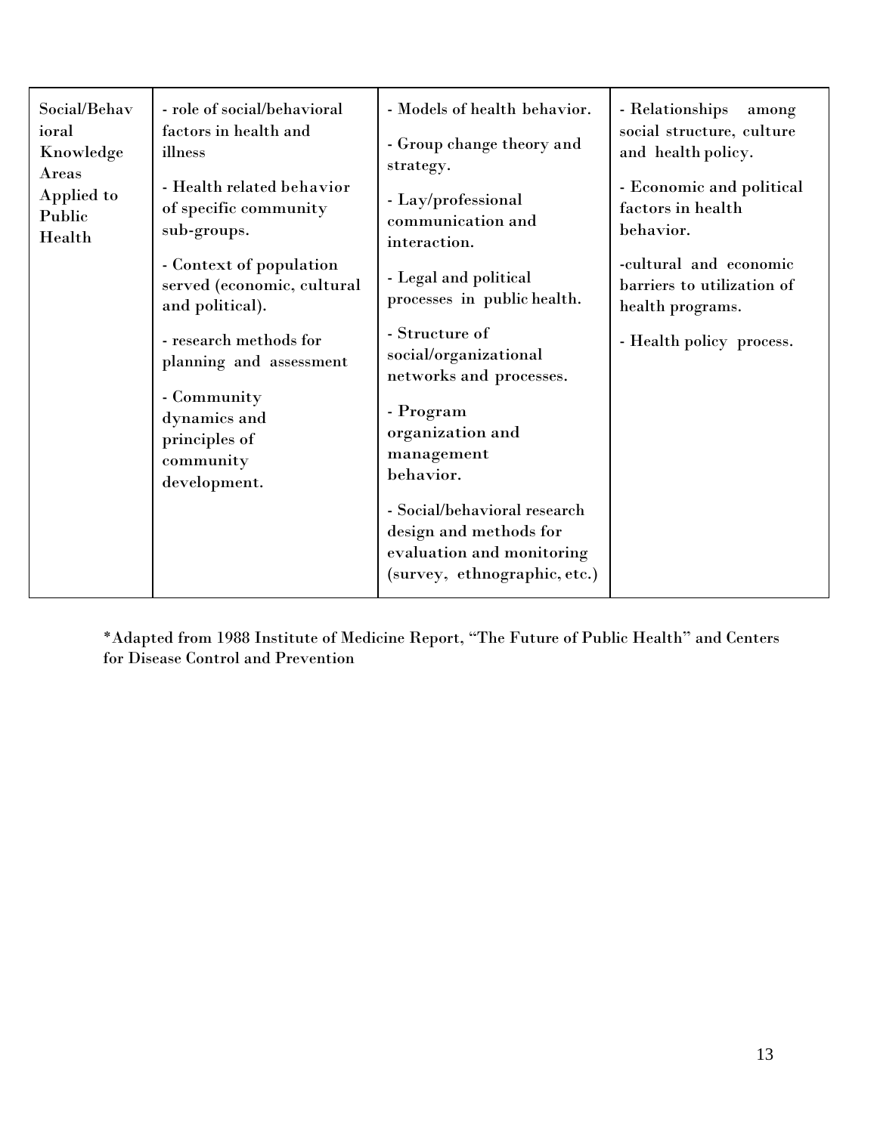| Social/Behav<br>ioral<br>Knowledge<br>Areas<br>Applied to<br>Public<br>Health | - role of social/behavioral<br>factors in health and<br>illness<br>- Health related behavior<br>of specific community<br>sub-groups.<br>- Context of population<br>served (economic, cultural<br>and political).<br>- research methods for<br>planning and assessment<br>- Community<br>dynamics and<br>principles of<br>community<br>development. | - Models of health behavior.<br>- Group change theory and<br>strategy.<br>- Lay/professional<br>communication and<br>interaction.<br>- Legal and political<br>processes in public health.<br>- Structure of<br>social/organizational<br>networks and processes.<br>- Program<br>organization and<br>management<br>behavior. | - Relationships<br>among<br>social structure, culture<br>and health policy.<br>- Economic and political<br>factors in health<br>behavior.<br>-cultural and economic<br>barriers to utilization of<br>health programs.<br>- Health policy process. |
|-------------------------------------------------------------------------------|----------------------------------------------------------------------------------------------------------------------------------------------------------------------------------------------------------------------------------------------------------------------------------------------------------------------------------------------------|-----------------------------------------------------------------------------------------------------------------------------------------------------------------------------------------------------------------------------------------------------------------------------------------------------------------------------|---------------------------------------------------------------------------------------------------------------------------------------------------------------------------------------------------------------------------------------------------|
|                                                                               |                                                                                                                                                                                                                                                                                                                                                    | - Social/behavioral research<br>design and methods for<br>evaluation and monitoring<br>(survey, ethnographic, etc.)                                                                                                                                                                                                         |                                                                                                                                                                                                                                                   |

\*Adapted from 1988 Institute of Medicine Report, "The Future of Public Health" and Centers for Disease Control and Prevention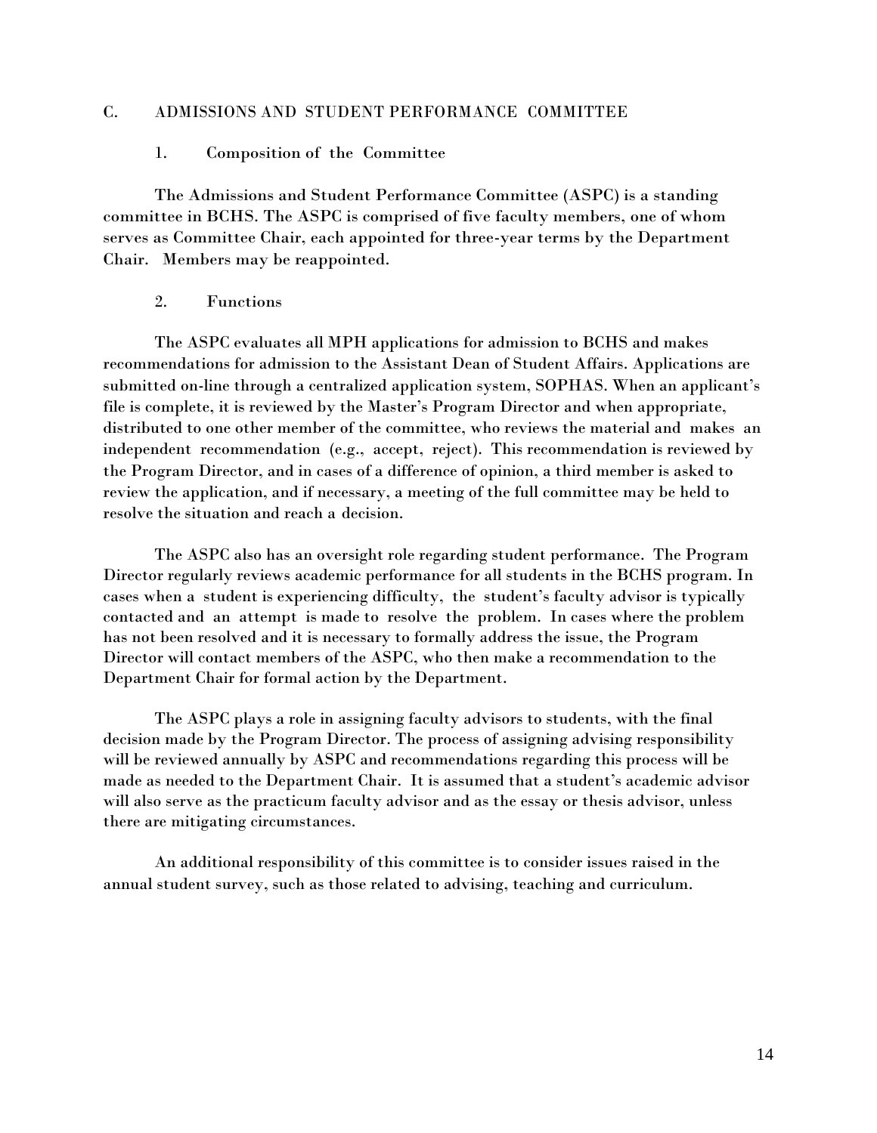### C. ADMISSIONS AND STUDENT PERFORMANCE COMMITTEE

#### 1. Composition of the Committee

The Admissions and Student Performance Committee (ASPC) is a standing committee in BCHS. The ASPC is comprised of five faculty members, one of whom serves as Committee Chair, each appointed for three-year terms by the Department Chair. Members may be reappointed.

#### 2. Functions

The ASPC evaluates all MPH applications for admission to BCHS and makes recommendations for admission to the Assistant Dean of Student Affairs. Applications are submitted on-line through a centralized application system, SOPHAS. When an applicant's file is complete, it is reviewed by the Master's Program Director and when appropriate, distributed to one other member of the committee, who reviews the material and makes an independent recommendation (e.g., accept, reject). This recommendation is reviewed by the Program Director, and in cases of a difference of opinion, a third member is asked to review the application, and if necessary, a meeting of the full committee may be held to resolve the situation and reach a decision.

The ASPC also has an oversight role regarding student performance. The Program Director regularly reviews academic performance for all students in the BCHS program. In cases when a student is experiencing difficulty, the student's faculty advisor is typically contacted and an attempt is made to resolve the problem. In cases where the problem has not been resolved and it is necessary to formally address the issue, the Program Director will contact members of the ASPC, who then make a recommendation to the Department Chair for formal action by the Department.

The ASPC plays a role in assigning faculty advisors to students, with the final decision made by the Program Director. The process of assigning advising responsibility will be reviewed annually by ASPC and recommendations regarding this process will be made as needed to the Department Chair. It is assumed that a student's academic advisor will also serve as the practicum faculty advisor and as the essay or thesis advisor, unless there are mitigating circumstances.

An additional responsibility of this committee is to consider issues raised in the annual student survey, such as those related to advising, teaching and curriculum.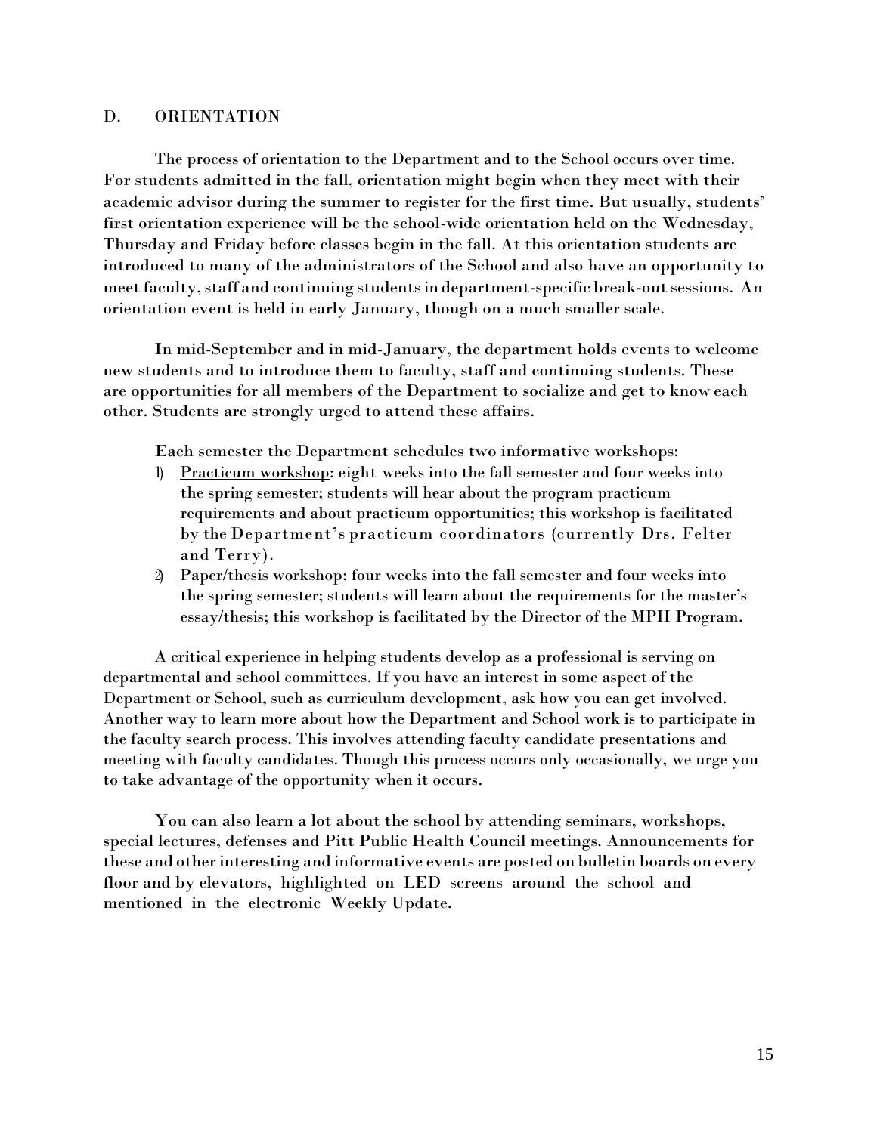### D. ORIENTATION

The process of orientation to the Department and to the School occurs over time. For students admitted in the fall, orientation might begin when they meet with their academic advisor during the summer to register for the first time. But usually, students' first orientation experience will be the school-wide orientation held on the Wednesday, Thursday and Friday before classes begin in the fall. At this orientation students are introduced to many of the administrators of the School and also have an opportunity to meet faculty, staff and continuing students in department-specific break-out sessions. An orientation event is held in early January, though on a much smaller scale.

In mid-September and in mid-January, the department holds events to welcome new students and to introduce them to faculty, staff and continuing students. These are opportunities for all members of the Department to socialize and get to know each other. Students are strongly urged to attend these affairs.

Each semester the Department schedules two informative workshops:

- 1) Practicum workshop: eight weeks into the fall semester and four weeks into the spring semester; students will hear about the program practicum requirements and about practicum opportunities; this workshop is facilitated by the Department's practicum coordinators (currently Drs. Felter and Terry).
- 2) Paper/thesis workshop: four weeks into the fall semester and four weeks into the spring semester; students will learn about the requirements for the master's essay/thesis; this workshop is facilitated by the Director of the MPH Program.

A critical experience in helping students develop as a professional is serving on departmental and school committees. If you have an interest in some aspect of the Department or School, such as curriculum development, ask how you can get involved. Another way to learn more about how the Department and School work is to participate in the faculty search process. This involves attending faculty candidate presentations and meeting with faculty candidates. Though this process occurs only occasionally, we urge you to take advantage of the opportunity when it occurs.

You can also learn a lot about the school by attending seminars, workshops, special lectures, defenses and Pitt Public Health Council meetings. Announcements for these and otherinteresting and informative events are posted on bulletin boards on every floor and by elevators, highlighted on LED screens around the school and mentioned in the electronic Weekly Update.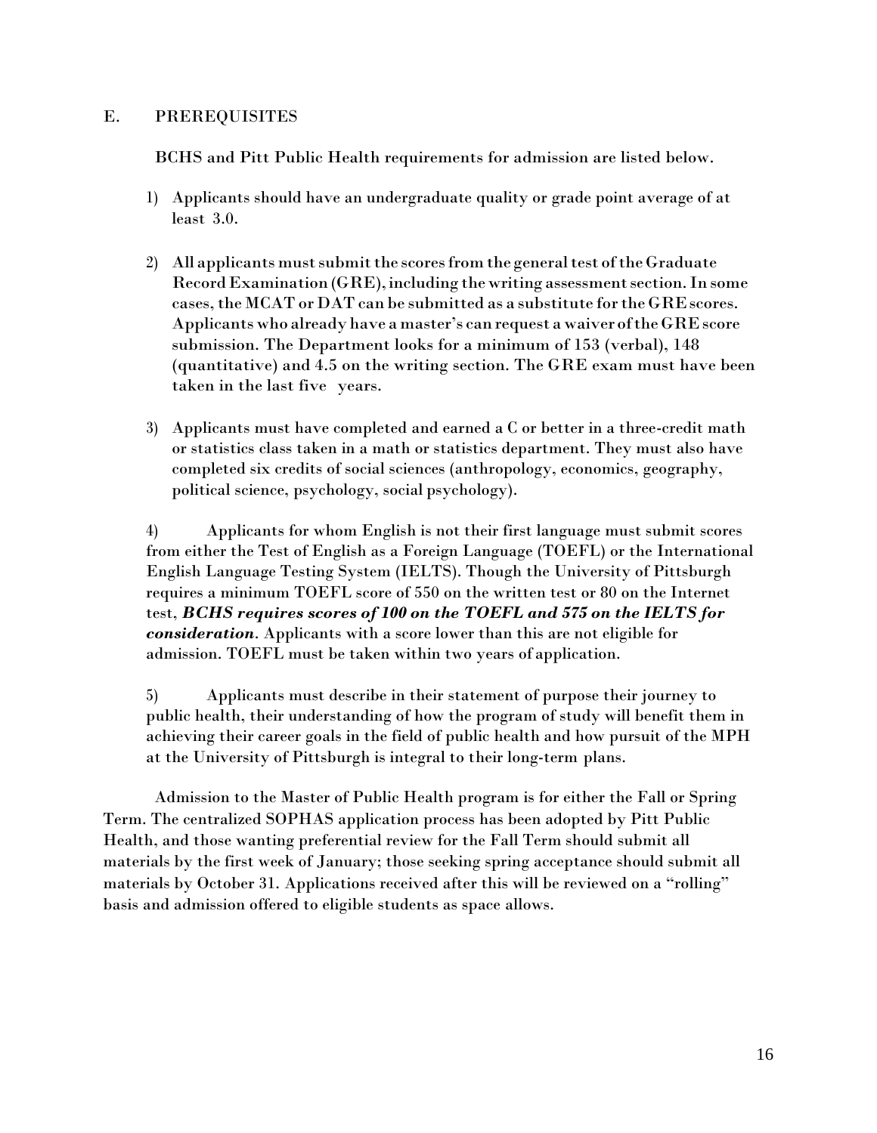## E. PREREQUISITES

BCHS and Pitt Public Health requirements for admission are listed below.

- 1) Applicants should have an undergraduate quality or grade point average of at least 3.0.
- 2) All applicants must submit the scores from the general test of the Graduate Record Examination (GRE), including the writing assessment section. In some cases, the MCAT or DAT can be submitted as a substitute for the GRE scores. Applicants who already have a master's can request a waiver ofthe GREscore submission. The Department looks for a minimum of 153 (verbal), 148 (quantitative) and 4.5 on the writing section. The GRE exam must have been taken in the last five years.
- 3) Applicants must have completed and earned a C or better in a three-credit math or statistics class taken in a math or statistics department. They must also have completed six credits of social sciences (anthropology, economics, geography, political science, psychology, social psychology).

4) Applicants for whom English is not their first language must submit scores from either the Test of English as a Foreign Language (TOEFL) or the International English Language Testing System (IELTS). Though the University of Pittsburgh requires a minimum TOEFL score of 550 on the written test or 80 on the Internet test, *BCHS requires scores of 100 on the TOEFL and 575 on the IELTS for consideration*. Applicants with a score lower than this are not eligible for admission. TOEFL must be taken within two years of application.

5) Applicants must describe in their statement of purpose their journey to public health, their understanding of how the program of study will benefit them in achieving their career goals in the field of public health and how pursuit of the MPH at the University of Pittsburgh is integral to their long-term plans.

Admission to the Master of Public Health program is for either the Fall or Spring Term. The centralized SOPHAS application process has been adopted by Pitt Public Health, and those wanting preferential review for the Fall Term should submit all materials by the first week of January; those seeking spring acceptance should submit all materials by October 31. Applications received after this will be reviewed on a "rolling" basis and admission offered to eligible students as space allows.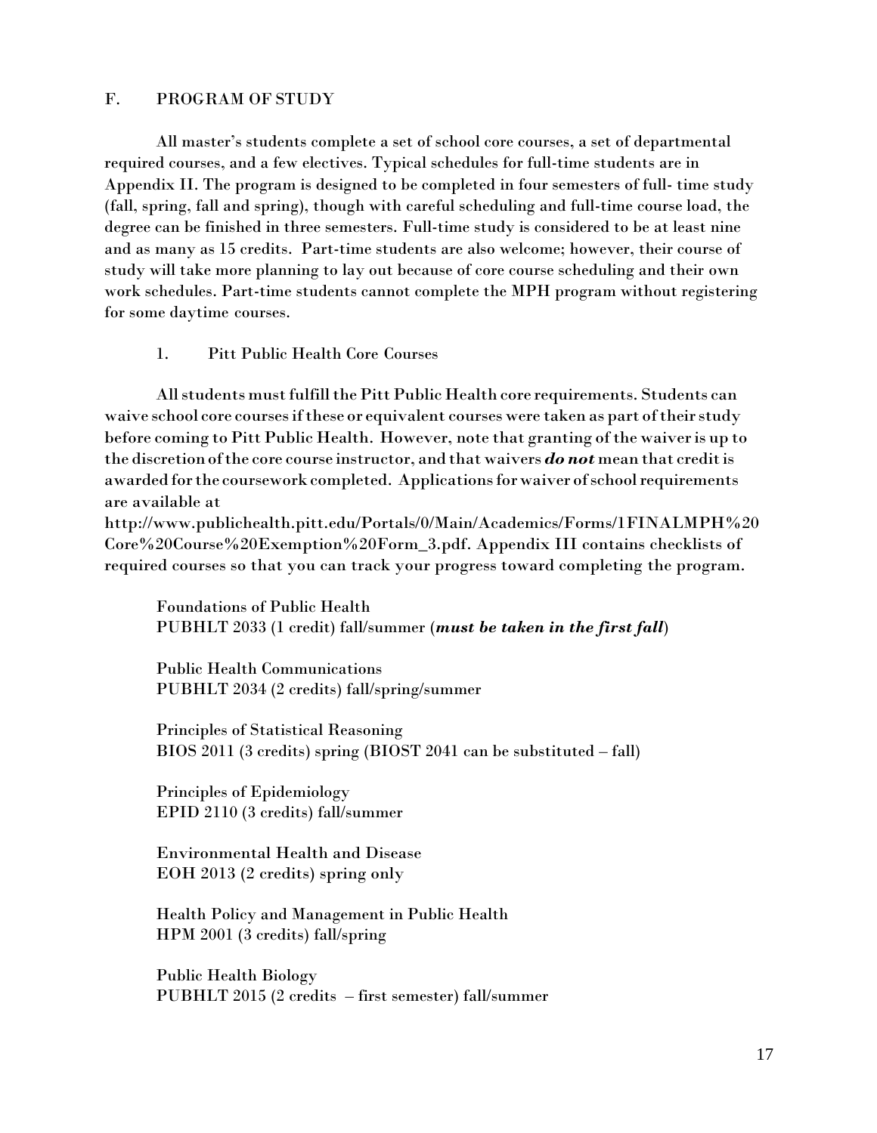## F. PROGRAM OF STUDY

All master's students complete a set of school core courses, a set of departmental required courses, and a few electives. Typical schedules for full-time students are in Appendix II. The program is designed to be completed in four semesters of full- time study (fall, spring, fall and spring), though with careful scheduling and full-time course load, the degree can be finished in three semesters. Full-time study is considered to be at least nine and as many as 15 credits. Part-time students are also welcome; however, their course of study will take more planning to lay out because of core course scheduling and their own work schedules. Part-time students cannot complete the MPH program without registering for some daytime courses.

## 1. Pitt Public Health Core Courses

All students must fulfill the Pitt Public Health core requirements. Students can waive school core courses if these or equivalent courses were taken as part of their study before coming to Pitt Public Health. However, note that granting of the waiver is up to the discretionofthe core course instructor, and that waivers *do not* mean that creditis awarded for the coursework completed. Applications for waiver of school requirements are available at

http://www.publichealth.pitt.edu/Portals/0/Main/Academics/Forms/1FINALMPH%20 Core%20Course%20Exemption%20Form\_3.pdf. Appendix III contains checklists of required courses so that you can track your progress toward completing the program.

Foundations of Public Health PUBHLT 2033 (1 credit) fall/summer (*must be taken in the first fall*)

Public Health Communications PUBHLT 2034 (2 credits) fall/spring/summer

Principles of Statistical Reasoning BIOS 2011 (3 credits) spring (BIOST 2041 can be substituted – fall)

Principles of Epidemiology EPID 2110 (3 credits) fall/summer

Environmental Health and Disease EOH 2013 (2 credits) spring only

Health Policy and Management in Public Health HPM 2001 (3 credits) fall/spring

Public Health Biology PUBHLT 2015 (2 credits – first semester) fall/summer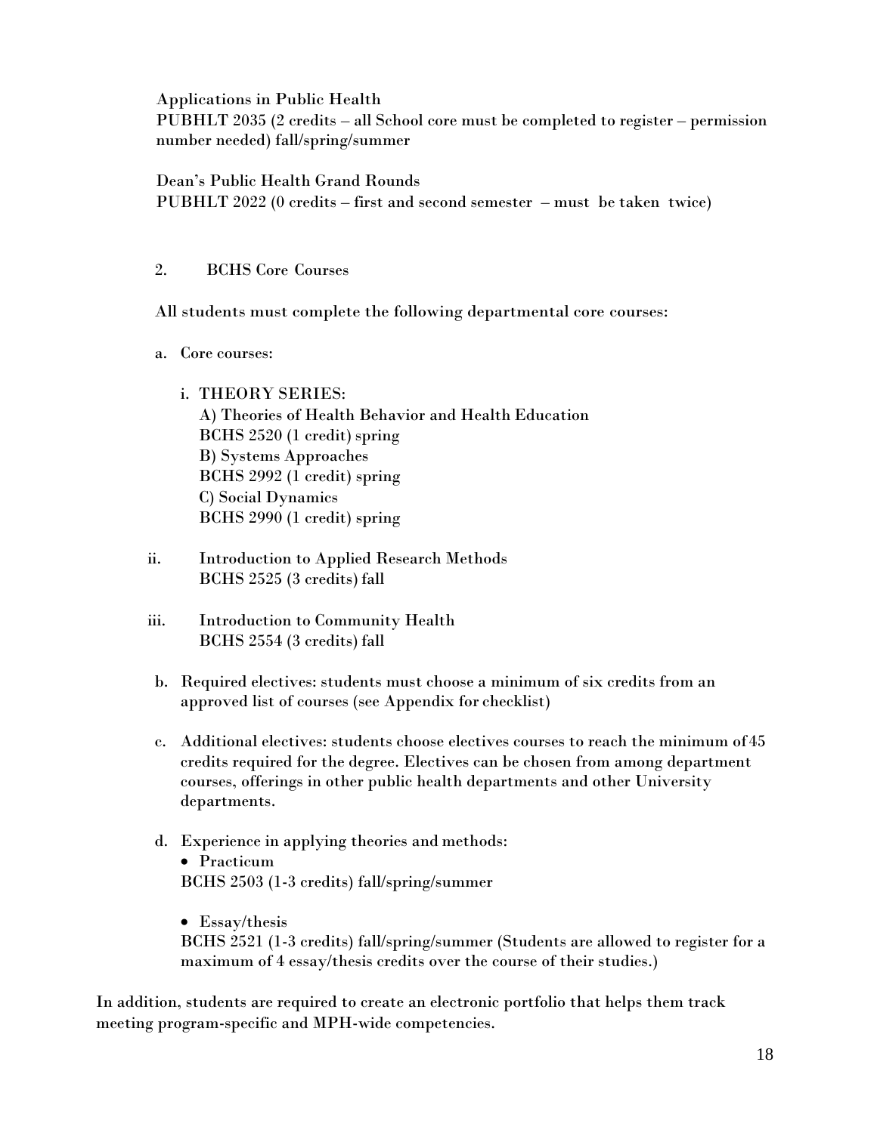Applications in Public Health

PUBHLT 2035 (2 credits – all School core must be completed to register – permission number needed) fall/spring/summer

Dean's Public Health Grand Rounds PUBHLT 2022 (0 credits – first and second semester – must be taken twice)

## 2. BCHS Core Courses

All students must complete the following departmental core courses:

- a. Core courses:
	- i. THEORY SERIES: A) Theories of Health Behavior and Health Education BCHS 2520 (1 credit) spring B) Systems Approaches BCHS 2992 (1 credit) spring C) Social Dynamics BCHS 2990 (1 credit) spring
- ii. Introduction to Applied Research Methods BCHS 2525 (3 credits) fall
- iii. Introduction to Community Health BCHS 2554 (3 credits) fall
- b. Required electives: students must choose a minimum of six credits from an approved list of courses (see Appendix for checklist)
- c. Additional electives: students choose electives courses to reach the minimum of 45 credits required for the degree. Electives can be chosen from among department courses, offerings in other public health departments and other University departments.

## d. Experience in applying theories and methods: Practicum BCHS 2503 (1-3 credits) fall/spring/summer

• Essay/thesis BCHS 2521 (1-3 credits) fall/spring/summer (Students are allowed to register for a maximum of 4 essay/thesis credits over the course of their studies.)

In addition, students are required to create an electronic portfolio that helps them track meeting program-specific and MPH-wide competencies.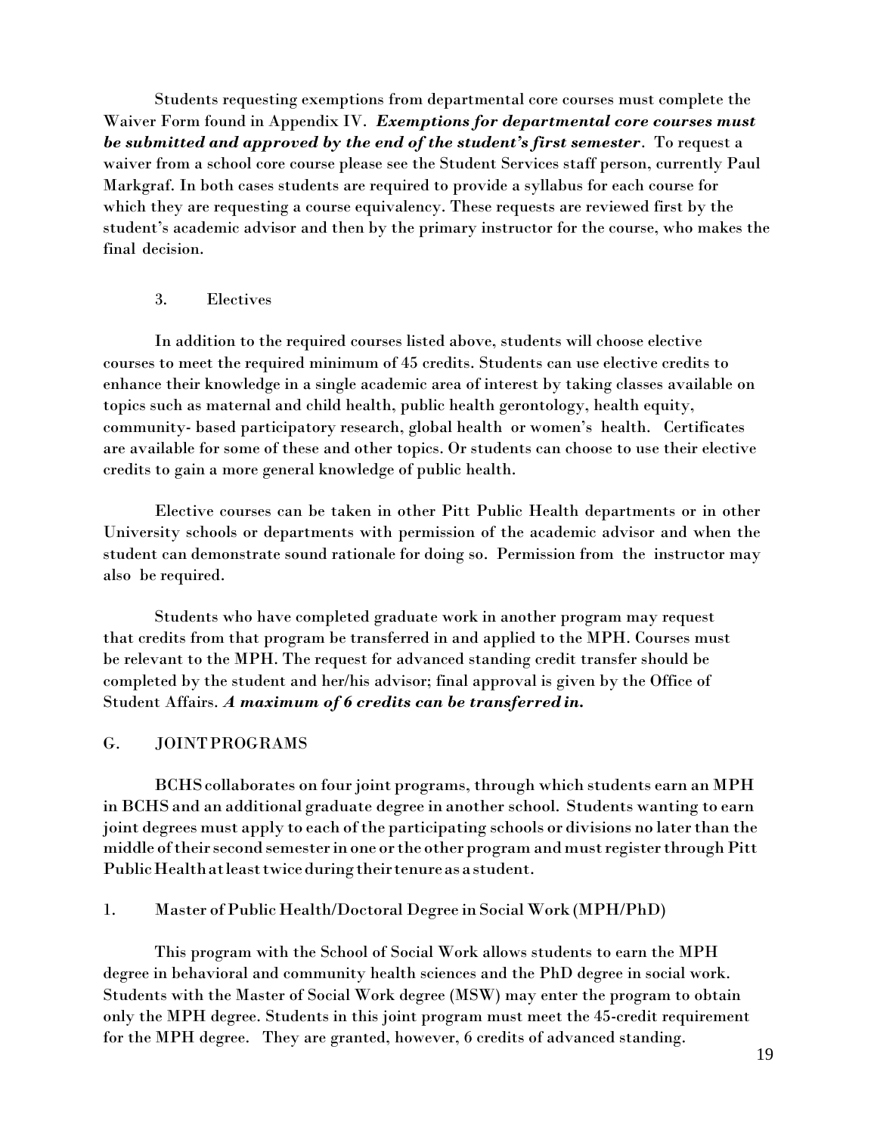Students requesting exemptions from departmental core courses must complete the Waiver Form found in Appendix IV. *Exemptions for departmental core courses must be submitted and approved by the end of the student's first semester*. To request a waiver from a school core course please see the Student Services staff person, currently Paul Markgraf. In both cases students are required to provide a syllabus for each course for which they are requesting a course equivalency. These requests are reviewed first by the student's academic advisor and then by the primary instructor for the course, who makes the final decision.

### 3. Electives

In addition to the required courses listed above, students will choose elective courses to meet the required minimum of 45 credits. Students can use elective credits to enhance their knowledge in a single academic area of interest by taking classes available on topics such as maternal and child health, public health gerontology, health equity, community- based participatory research, global health or women's health. Certificates are available for some of these and other topics. Or students can choose to use their elective credits to gain a more general knowledge of public health.

Elective courses can be taken in other Pitt Public Health departments or in other University schools or departments with permission of the academic advisor and when the student can demonstrate sound rationale for doing so. Permission from the instructor may also be required.

Students who have completed graduate work in another program may request that credits from that program be transferred in and applied to the MPH. Courses must be relevant to the MPH. The request for advanced standing credit transfer should be completed by the student and her/his advisor; final approval is given by the Office of Student Affairs. *A maximum of 6 credits can be transferred in.*

### G. JOINTPROGRAMS

BCHScollaborates on four joint programs, through which students earn an MPH in BCHS and an additional graduate degree in another school. Students wanting to earn joint degrees must apply to each of the participating schools or divisions no later than the middle of their second semester in one or the other program and must register through Pitt Public Health at least twice during their tenure as a student.

#### 1. Master of Public Health/Doctoral Degree in Social Work (MPH/PhD)

This program with the School of Social Work allows students to earn the MPH degree in behavioral and community health sciences and the PhD degree in social work. Students with the Master of Social Work degree (MSW) may enter the program to obtain only the MPH degree. Students in this joint program must meet the 45-credit requirement for the MPH degree. They are granted, however, 6 credits of advanced standing.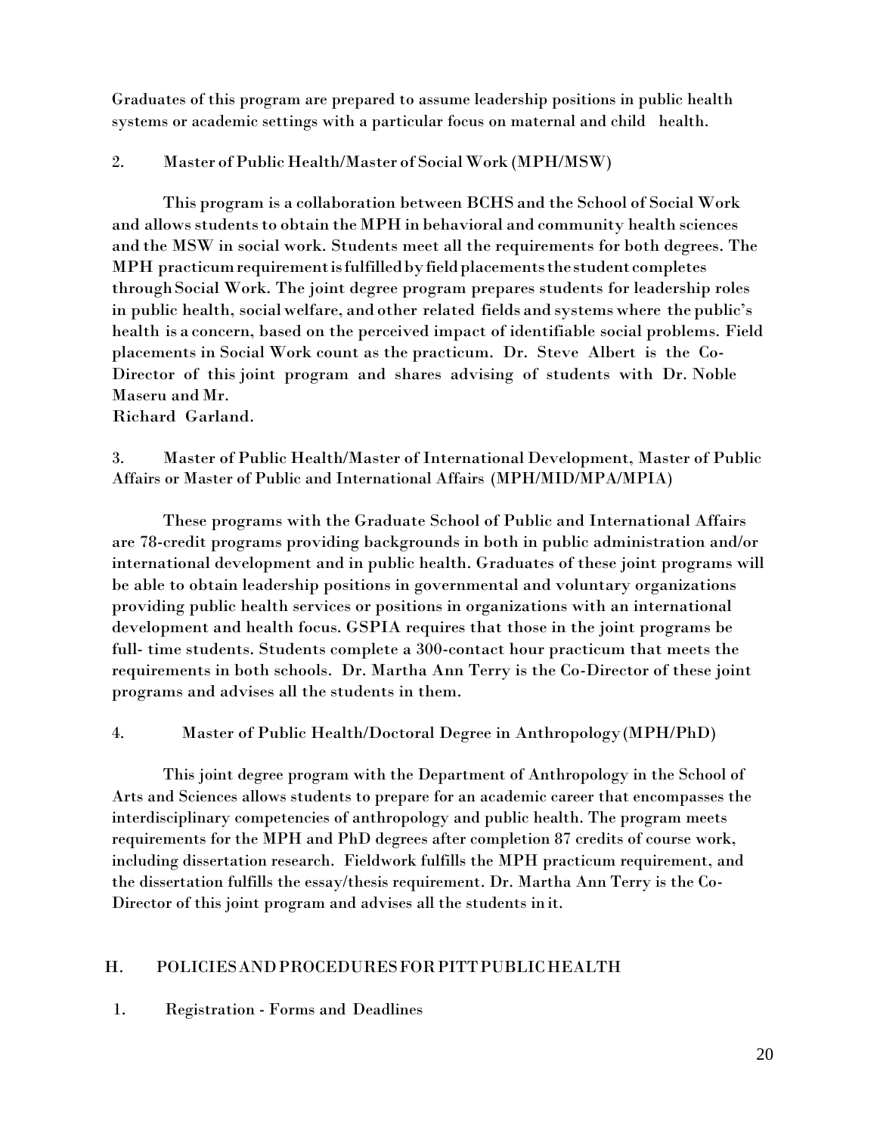Graduates of this program are prepared to assume leadership positions in public health systems or academic settings with a particular focus on maternal and child health.

## 2. Master of Public Health/Master of Social Work (MPH/MSW)

This program is a collaboration between BCHS and the School of Social Work and allows students to obtain the MPH in behavioral and community health sciences and the MSW in social work. Students meet all the requirements for both degrees. The MPH practicumrequirementisfulfilledbyfieldplacementsthestudentcompletes throughSocial Work. The joint degree program prepares students for leadership roles in public health, socialwelfare, and other related fields and systems where the public's health is a concern, based on the perceived impact of identifiable social problems. Field placements in Social Work count as the practicum. Dr. Steve Albert is the Co-Director of this joint program and shares advising of students with Dr. Noble Maseru and Mr.

Richard Garland.

3. Master of Public Health/Master of International Development, Master of Public Affairs or Master of Public and International Affairs (MPH/MID/MPA/MPIA)

These programs with the Graduate School of Public and International Affairs are 78-credit programs providing backgrounds in both in public administration and/or international development and in public health. Graduates of these joint programs will be able to obtain leadership positions in governmental and voluntary organizations providing public health services or positions in organizations with an international development and health focus. GSPIA requires that those in the joint programs be full- time students. Students complete a 300-contact hour practicum that meets the requirements in both schools. Dr. Martha Ann Terry is the Co-Director of these joint programs and advises all the students in them.

## 4. Master of Public Health/Doctoral Degree in Anthropology(MPH/PhD)

This joint degree program with the Department of Anthropology in the School of Arts and Sciences allows students to prepare for an academic career that encompasses the interdisciplinary competencies of anthropology and public health. The program meets requirements for the MPH and PhD degrees after completion 87 credits of course work, including dissertation research. Fieldwork fulfills the MPH practicum requirement, and the dissertation fulfills the essay/thesis requirement. Dr. Martha Ann Terry is the Co-Director of this joint program and advises all the students in it.

## H. POLICIESANDPROCEDURESFORPITTPUBLICHEALTH

## 1. Registration - Forms and Deadlines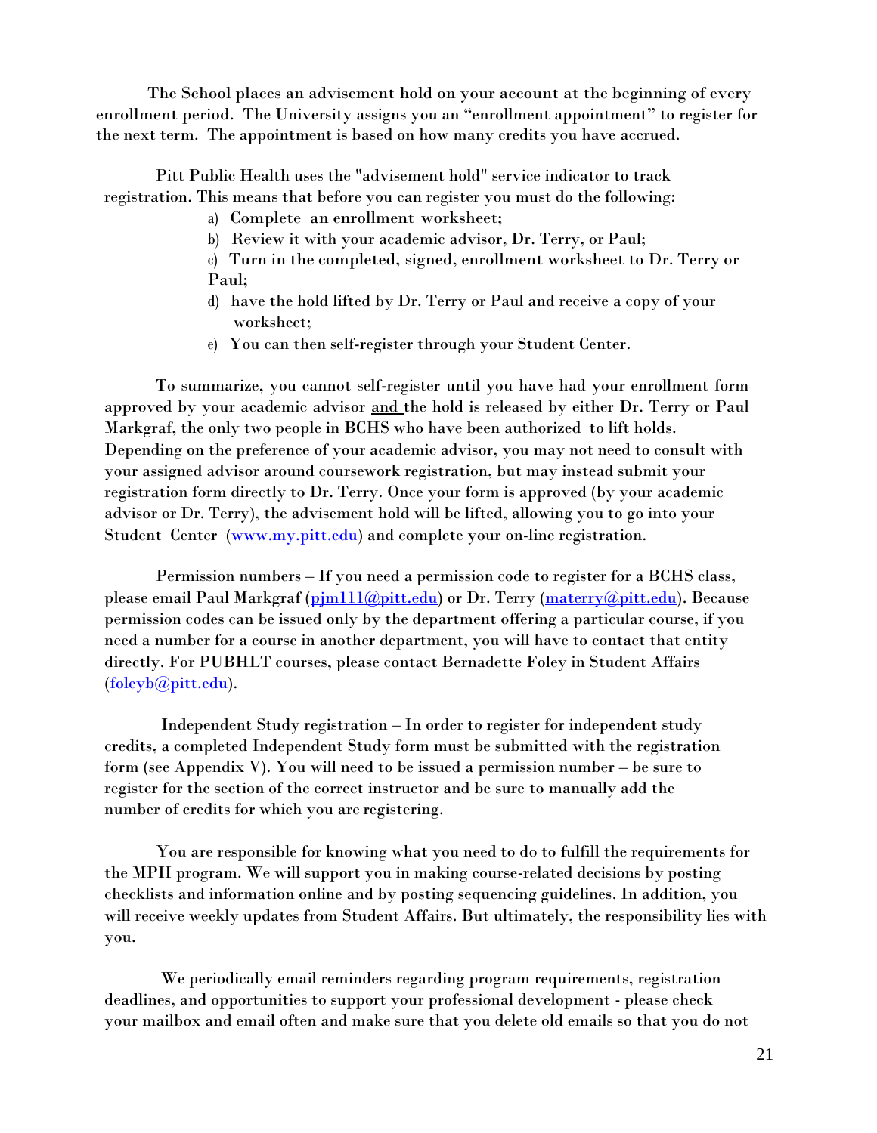The School places an advisement hold on your account at the beginning of every enrollment period. The University assigns you an "enrollment appointment" to register for the next term. The appointment is based on how many credits you have accrued.

Pitt Public Health uses the "advisement hold" service indicator to track registration. This means that before you can register you must do the following:

- a) Complete an enrollment worksheet;
- b) Review it with your academic advisor, Dr. Terry, or Paul;
- c) Turn in the completed, signed, enrollment worksheet to Dr. Terry or Paul;
- d) have the hold lifted by Dr. Terry or Paul and receive a copy of your worksheet;
- e) You can then self-register through your Student Center.

To summarize, you cannot self-register until you have had your enrollment form approved by your academic advisor and the hold is released by either Dr. Terry or Paul Markgraf, the only two people in BCHS who have been authorized to lift holds. Depending on the preference of your academic advisor, you may not need to consult with your assigned advisor around coursework registration, but may instead submit your registration form directly to Dr. Terry. Once your form is approved (by your academic advisor or Dr. Terry), the advisement hold will be lifted, allowing you to go into your Student Center [\(www.my.pitt.edu\)](http://www.my.pitt.edu/) and complete your on-line registration.

Permission numbers – If you need a permission code to register for a BCHS class, please email Paul Markgraf (pim111@pitt.edu) or Dr. Terry [\(materry@pitt.edu\)](mailto:materry@pitt.edu). Because permission codes can be issued only by the department offering a particular course, if you need a number for a course in another department, you will have to contact that entity directly. For PUBHLT courses, please contact Bernadette Foley in Student Affairs [\(foleyb@pitt.edu\)](mailto:foleyb@pitt.edu).

Independent Study registration – In order to register for independent study credits, a completed Independent Study form must be submitted with the registration form (see Appendix V). You will need to be issued a permission number – be sure to register for the section of the correct instructor and be sure to manually add the number of credits for which you are registering.

You are responsible for knowing what you need to do to fulfill the requirements for the MPH program. We will support you in making course-related decisions by posting checklists and information online and by posting sequencing guidelines. In addition, you will receive weekly updates from Student Affairs. But ultimately, the responsibility lies with you.

We periodically email reminders regarding program requirements, registration deadlines, and opportunities to support your professional development - please check your mailbox and email often and make sure that you delete old emails so that you do not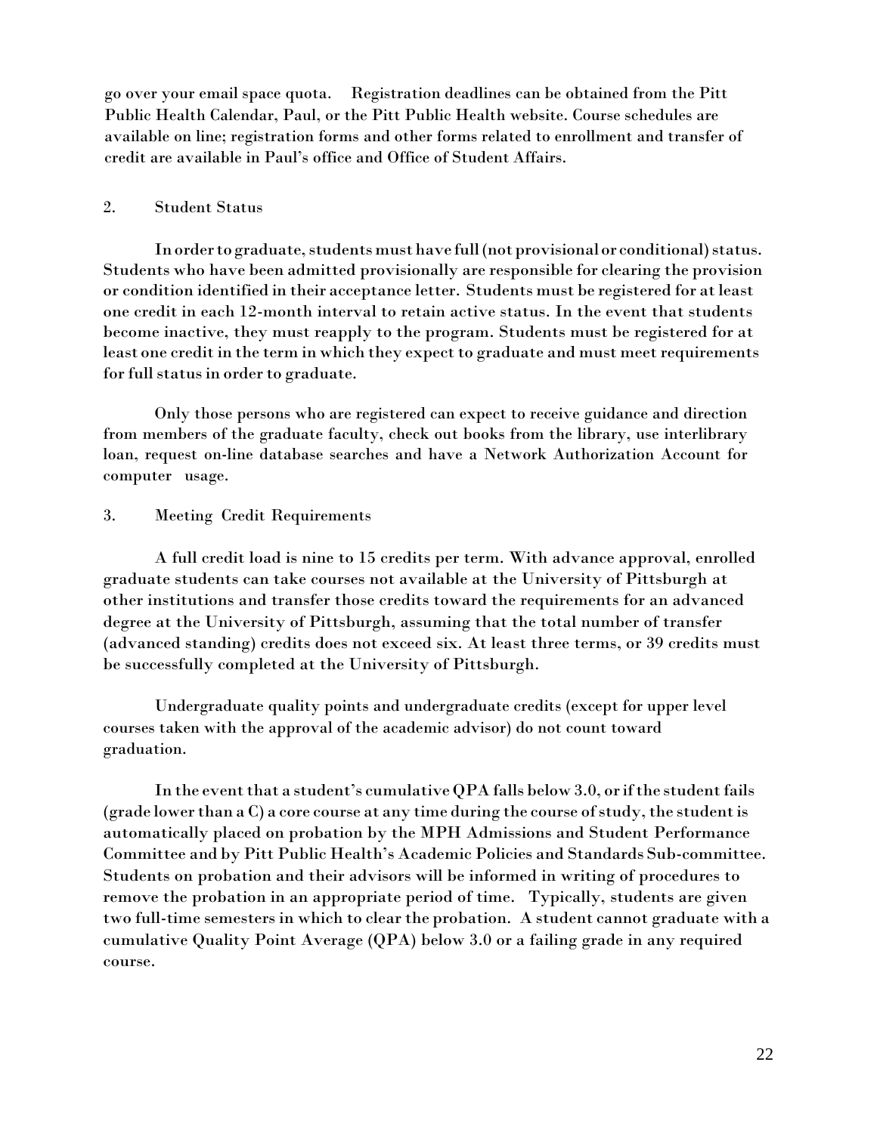go over your email space quota. Registration deadlines can be obtained from the Pitt Public Health Calendar, Paul, or the Pitt Public Health website. Course schedules are available on line; registration forms and other forms related to enrollment and transfer of credit are available in Paul's office and Office of Student Affairs.

## 2. Student Status

In order to graduate, students must have full (not provisional or conditional) status. Students who have been admitted provisionally are responsible for clearing the provision or condition identified in their acceptance letter. Students must be registered for atleast one credit in each 12-month interval to retain active status. In the event that students become inactive, they must reapply to the program. Students must be registered for at least one credit in the term in which they expect to graduate and must meet requirements for full status in order to graduate.

Only those persons who are registered can expect to receive guidance and direction from members of the graduate faculty, check out books from the library, use interlibrary loan, request on-line database searches and have a Network Authorization Account for computer usage.

### 3. Meeting Credit Requirements

A full credit load is nine to 15 credits per term. With advance approval, enrolled graduate students can take courses not available at the University of Pittsburgh at other institutions and transfer those credits toward the requirements for an advanced degree at the University of Pittsburgh, assuming that the total number of transfer (advanced standing) credits does not exceed six. At least three terms, or 39 credits must be successfully completed at the University of Pittsburgh.

Undergraduate quality points and undergraduate credits (except for upper level courses taken with the approval of the academic advisor) do not count toward graduation.

In the event that a student's cumulative QPA falls below 3.0, or if the student fails  $(\text{grade lower than a C})$  a core course at any time during the course of study, the student is automatically placed on probation by the MPH Admissions and Student Performance Committee and by Pitt Public Health's Academic Policies and Standards Sub-committee. Students on probation and their advisors will be informed in writing of procedures to remove the probation in an appropriate period of time. Typically, students are given two full-time semesters in which to clear the probation. A student cannot graduate with a cumulative Quality Point Average (QPA) below 3.0 or a failing grade in any required course.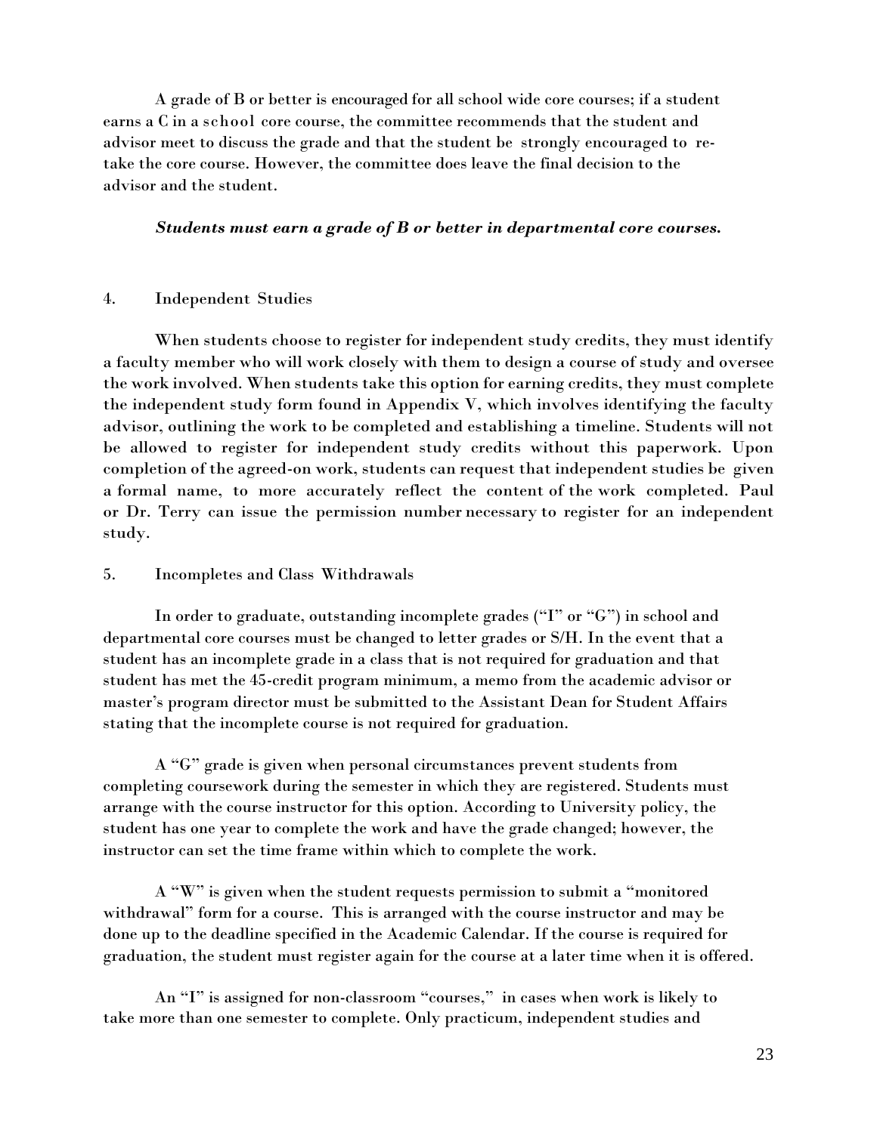A grade of B or better is encouraged for all school wide core courses; if a student earns a C in a school core course, the committee recommends that the student and advisor meet to discuss the grade and that the student be strongly encouraged to retake the core course. However, the committee does leave the final decision to the advisor and the student.

### *Students must earn a grade of B or better in departmental core courses.*

#### 4. Independent Studies

When students choose to register for independent study credits, they must identify a faculty member who will work closely with them to design a course of study and oversee the work involved. When students take this option for earning credits, they must complete the independent study form found in Appendix V, which involves identifying the faculty advisor, outlining the work to be completed and establishing a timeline. Students will not be allowed to register for independent study credits without this paperwork. Upon completion of the agreed-on work, students can request that independent studies be given a formal name, to more accurately reflect the content of the work completed. Paul or Dr. Terry can issue the permission number necessary to register for an independent study.

#### 5. Incompletes and Class Withdrawals

In order to graduate, outstanding incomplete grades ("I" or "G") in school and departmental core courses must be changed to letter grades or S/H. In the event that a student has an incomplete grade in a class that is not required for graduation and that student has met the 45-credit program minimum, a memo from the academic advisor or master's program director must be submitted to the Assistant Dean for Student Affairs stating that the incomplete course is not required for graduation.

A "G" grade is given when personal circumstances prevent students from completing coursework during the semester in which they are registered. Students must arrange with the course instructor for this option. According to University policy, the student has one year to complete the work and have the grade changed; however, the instructor can set the time frame within which to complete the work.

A "W" is given when the student requests permission to submit a "monitored withdrawal" form for a course. This is arranged with the course instructor and may be done up to the deadline specified in the Academic Calendar. If the course is required for graduation, the student must register again for the course at a later time when it is offered.

An "I" is assigned for non-classroom "courses," in cases when work is likely to take more than one semester to complete. Only practicum, independent studies and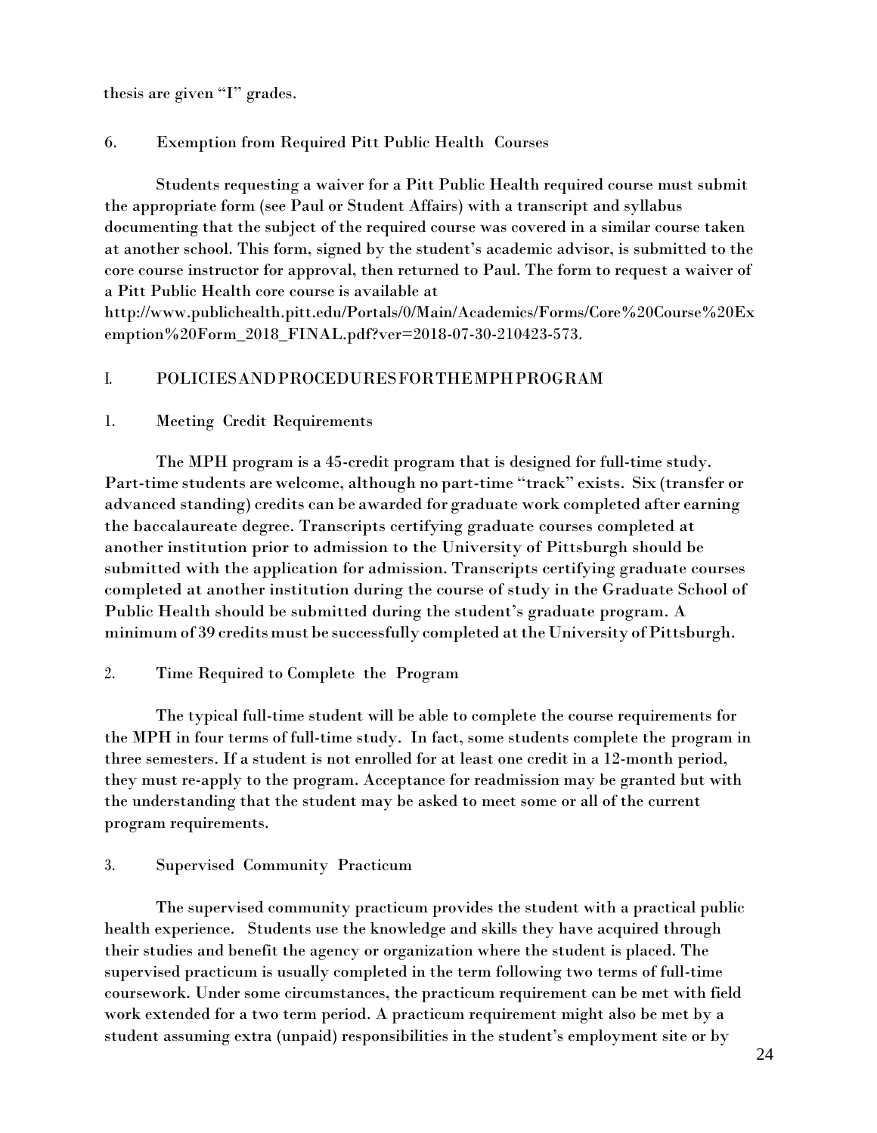thesis are given "I" grades.

## 6. Exemption from Required Pitt Public Health Courses

Students requesting a waiver for a Pitt Public Health required course must submit the appropriate form (see Paul or Student Affairs) with a transcript and syllabus documenting that the subject of the required course was covered in a similar course taken at another school. This form, signed by the student's academic advisor, is submitted to the core course instructor for approval, then returned to Paul. The form to request a waiver of a Pitt Public Health core course is available at

<http://www.publichealth.pitt.edu/Portals/0/Main/Academics/Forms/Core%20Course%20Ex> emption%20Form\_2018\_FINAL.pdf?ver=2018-07-30-210423-573.

## I. POLICIESANDPROCEDURESFORTHEMPHPROGRAM

### 1. Meeting Credit Requirements

The MPH program is a 45-credit program that is designed for full-time study. Part-time students are welcome, although no part-time "track" exists. Six (transfer or advanced standing) credits can be awarded for graduate work completed after earning the baccalaureate degree. Transcripts certifying graduate courses completed at another institution prior to admission to the University of Pittsburgh should be submitted with the application for admission. Transcripts certifying graduate courses completed at another institution during the course of study in the Graduate School of Public Health should be submitted during the student's graduate program. A minimum of 39 credits must be successfully completed at the University of Pittsburgh.

### 2. Time Required to Complete the Program

The typical full-time student will be able to complete the course requirements for the MPH in four terms of full-time study. In fact, some students complete the program in three semesters. If a student is not enrolled for at least one credit in a 12-month period, they must re-apply to the program. Acceptance for readmission may be granted but with the understanding that the student may be asked to meet some or all of the current program requirements.

### 3. Supervised Community Practicum

The supervised community practicum provides the student with a practical public health experience. Students use the knowledge and skills they have acquired through their studies and benefit the agency or organization where the student is placed. The supervised practicum is usually completed in the term following two terms of full-time coursework. Under some circumstances, the practicum requirement can be met with field work extended for a two term period. A practicum requirement might also be met by a student assuming extra (unpaid) responsibilities in the student's employment site or by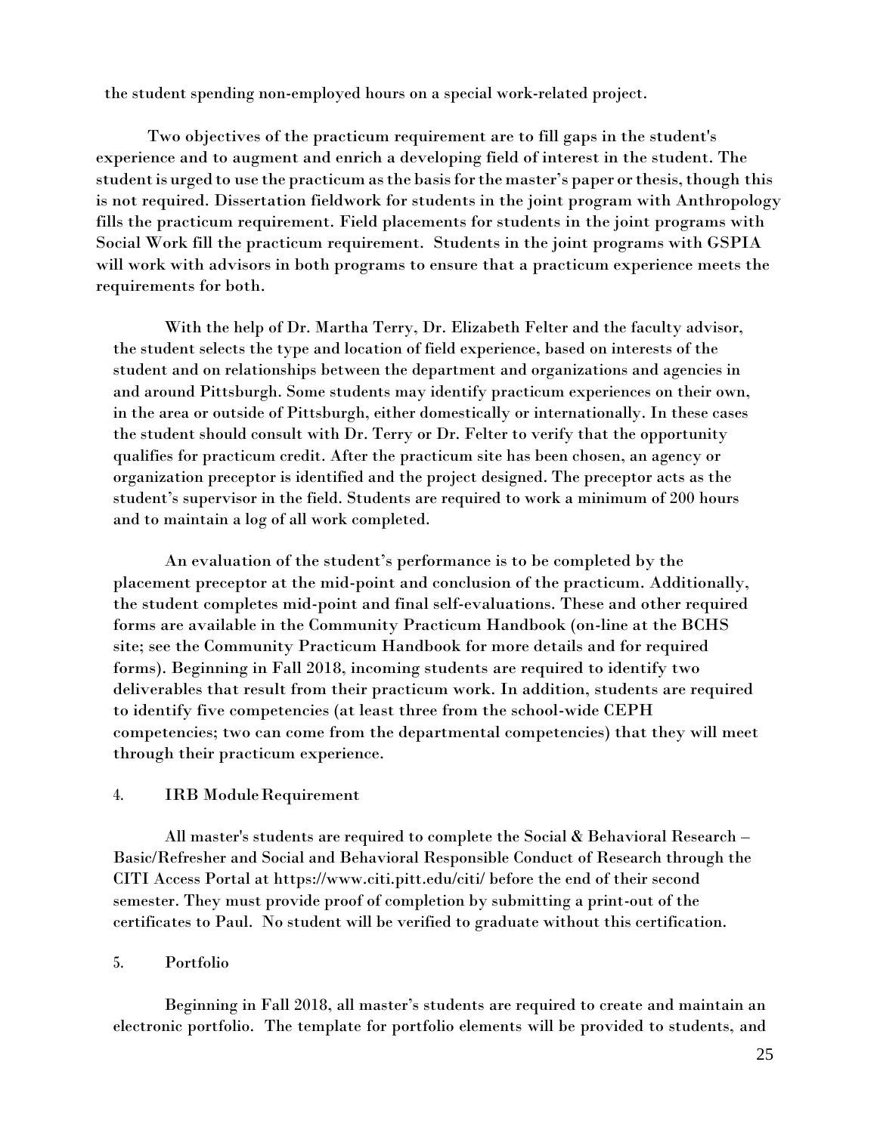the student spending non-employed hours on a special work-related project.

Two objectives of the practicum requirement are to fill gaps in the student's experience and to augment and enrich a developing field of interest in the student. The studentis urged to use the practicum asthe basisforthe master's paper orthesis,though this is not required. Dissertation fieldwork for students in the joint program with Anthropology fills the practicum requirement. Field placements for students in the joint programs with Social Work fill the practicum requirement. Students in the joint programs with GSPIA will work with advisors in both programs to ensure that a practicum experience meets the requirements for both.

With the help of Dr. Martha Terry, Dr. Elizabeth Felter and the faculty advisor, the student selects the type and location of field experience, based on interests of the student and on relationships between the department and organizations and agencies in and around Pittsburgh. Some students may identify practicum experiences on their own, in the area or outside of Pittsburgh, either domestically or internationally. In these cases the student should consult with Dr. Terry or Dr. Felter to verify that the opportunity qualifies for practicum credit. After the practicum site has been chosen, an agency or organization preceptor is identified and the project designed. The preceptor acts as the student's supervisor in the field. Students are required to work a minimum of 200 hours and to maintain a log of all work completed.

An evaluation of the student's performance is to be completed by the placement preceptor at the mid-point and conclusion of the practicum. Additionally, the student completes mid-point and final self-evaluations. These and other required forms are available in the Community Practicum Handbook (on-line at the BCHS site; see the Community Practicum Handbook for more details and for required forms). Beginning in Fall 2018, incoming students are required to identify two deliverables that result from their practicum work. In addition, students are required to identify five competencies (at least three from the school-wide CEPH competencies; two can come from the departmental competencies) that they will meet through their practicum experience.

### 4. IRB ModuleRequirement

All master's students are required to complete the Social & Behavioral Research – Basic/Refresher and Social and Behavioral Responsible Conduct of Research through the CITI Access Portal at [https://www](http://www.citi.pitt.edu/citi/).[citi.pitt.edu/citi/](http://www.citi.pitt.edu/citi/) before the end of their second semester. They must provide proof of completion by submitting a print-out of the certificates to Paul. No student will be verified to graduate without this certification.

#### 5. Portfolio

Beginning in Fall 2018, all master's students are required to create and maintain an electronic portfolio. The template for portfolio elements will be provided to students, and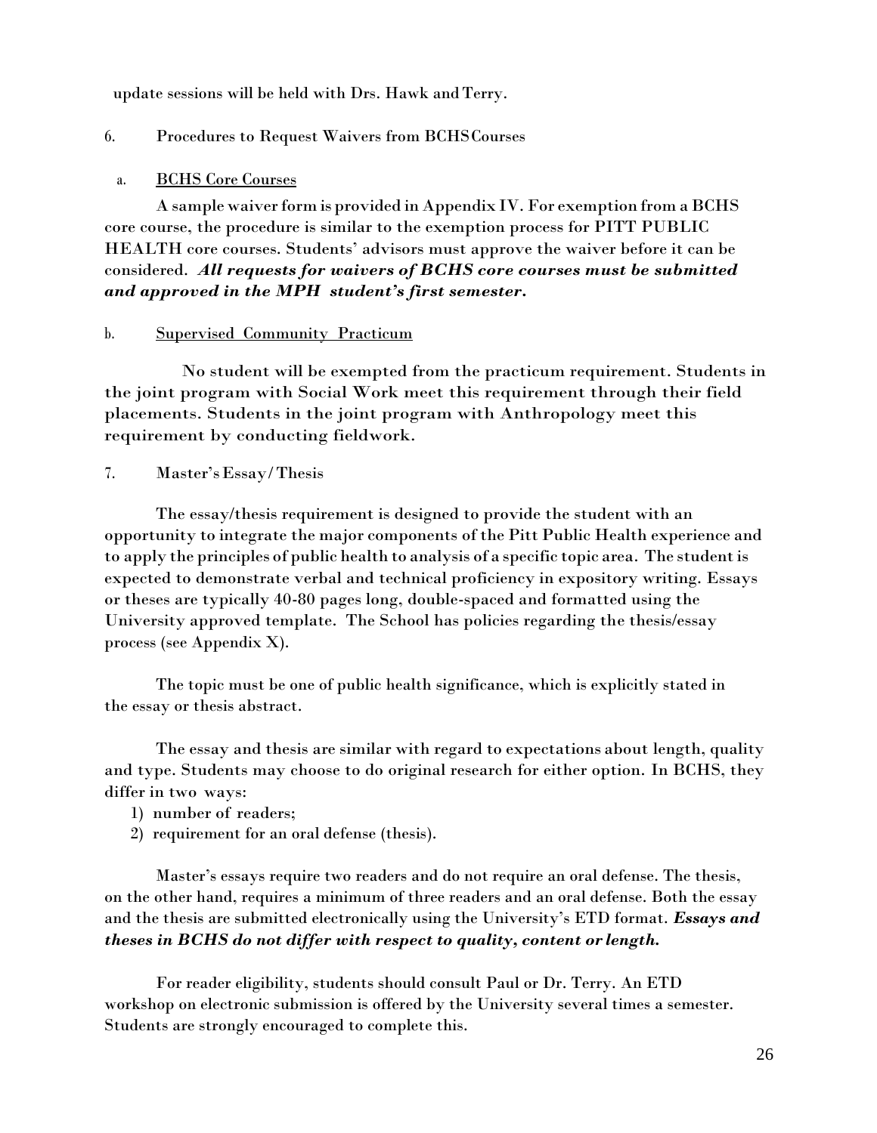update sessions will be held with Drs. Hawk and Terry.

## 6. Procedures to Request Waivers from BCHSCourses

## a. BCHS Core Courses

A sample waiverform is provided in Appendix IV. For exemption from aBCHS core course, the procedure is similar to the exemption process for PITT PUBLIC HEALTH core courses. Students' advisors must approve the waiver before it can be considered. *All requests for waivers of BCHS core courses must be submitted and approved in the MPH student's first semester.*

### b. Supervised Community Practicum

No student will be exempted from the practicum requirement. Students in the joint program with Social Work meet this requirement through their field placements. Students in the joint program with Anthropology meet this requirement by conducting fieldwork.

7. Master'sEssay/Thesis

The essay/thesis requirement is designed to provide the student with an opportunity to integrate the major components of the Pitt Public Health experience and to apply the principles of public health to analysis of a specific topic area. The studentis expected to demonstrate verbal and technical proficiency in expository writing. Essays or theses are typically 40-80 pages long, double-spaced and formatted using the University approved template. The School has policies regarding the thesis/essay process (see Appendix X).

The topic must be one of public health significance, which is explicitly stated in the essay or thesis abstract.

The essay and thesis are similar with regard to expectations about length, quality and type. Students may choose to do original research for either option. In BCHS, they differ in two ways:

- 1) number of readers;
- 2) requirement for an oral defense (thesis).

Master's essays require two readers and do not require an oral defense. The thesis, on the other hand, requires a minimum of three readers and an oral defense. Both the essay and the thesis are submitted electronically using the University's ETD format. *Essays and theses in BCHS do not differ with respect to quality, content or length.*

For reader eligibility, students should consult Paul or Dr. Terry. An ETD workshop on electronic submission is offered by the University several times a semester. Students are strongly encouraged to complete this.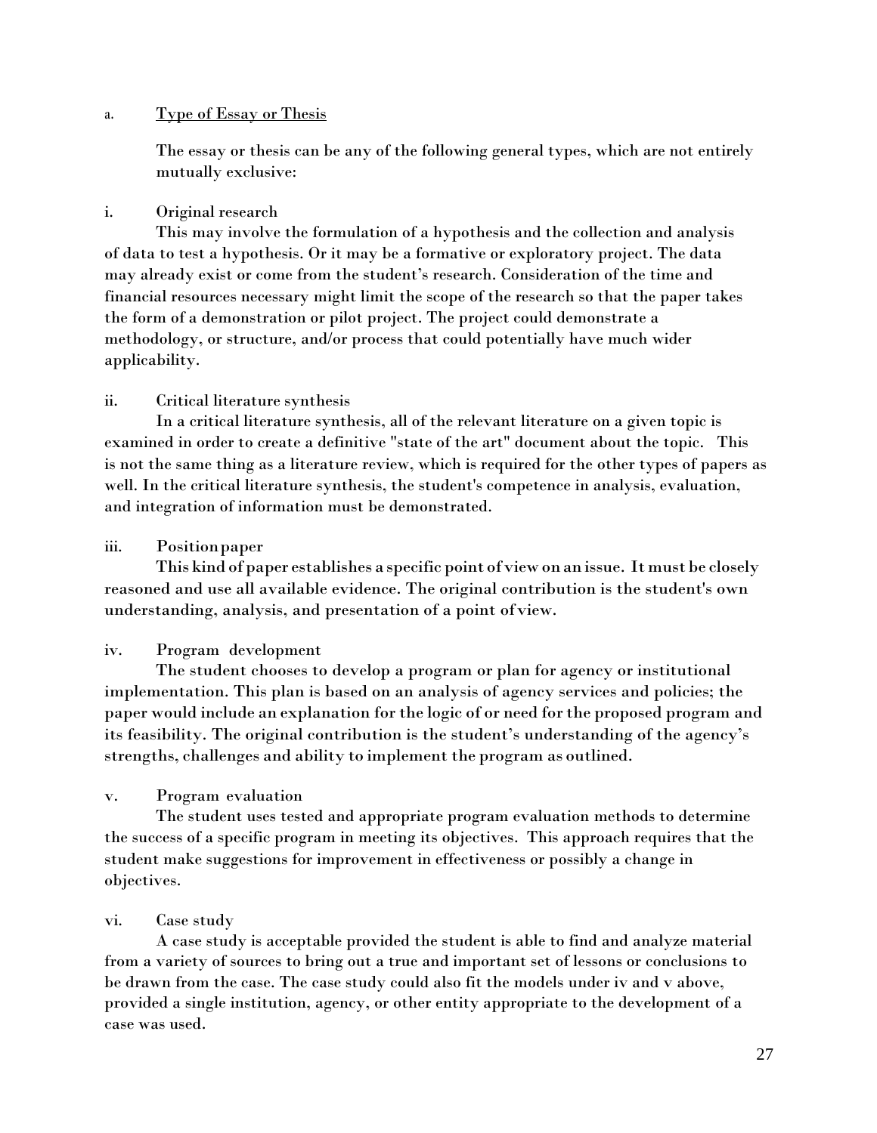## a. Type of Essay or Thesis

The essay or thesis can be any of the following general types, which are not entirely mutually exclusive:

## i. Original research

This may involve the formulation of a hypothesis and the collection and analysis of data to test a hypothesis. Or it may be a formative or exploratory project. The data may already exist or come from the student's research. Consideration of the time and financial resources necessary might limit the scope of the research so that the paper takes the form of a demonstration or pilot project. The project could demonstrate a methodology, or structure, and/or process that could potentially have much wider applicability.

## ii. Critical literature synthesis

In a critical literature synthesis, all of the relevant literature on a given topic is examined in order to create a definitive "state of the art" document about the topic. This is not the same thing as a literature review, which is required for the other types of papers as well. In the critical literature synthesis, the student's competence in analysis, evaluation, and integration of information must be demonstrated.

## iii. Positionpaper

This kind of paper establishes a specific point ofview on an issue. It must be closely reasoned and use all available evidence. The original contribution is the student's own understanding, analysis, and presentation of a point ofview.

## iv. Program development

The student chooses to develop a program or plan for agency or institutional implementation. This plan is based on an analysis of agency services and policies; the paper would include an explanation for the logic of or need for the proposed program and its feasibility. The original contribution is the student's understanding of the agency's strengths, challenges and ability to implement the program as outlined.

## v. Program evaluation

The student uses tested and appropriate program evaluation methods to determine the success of a specific program in meeting its objectives. This approach requires that the student make suggestions for improvement in effectiveness or possibly a change in objectives.

# vi. Case study

A case study is acceptable provided the student is able to find and analyze material from a variety of sources to bring out a true and important set of lessons or conclusions to be drawn from the case. The case study could also fit the models under iv and v above, provided a single institution, agency, or other entity appropriate to the development of a case was used.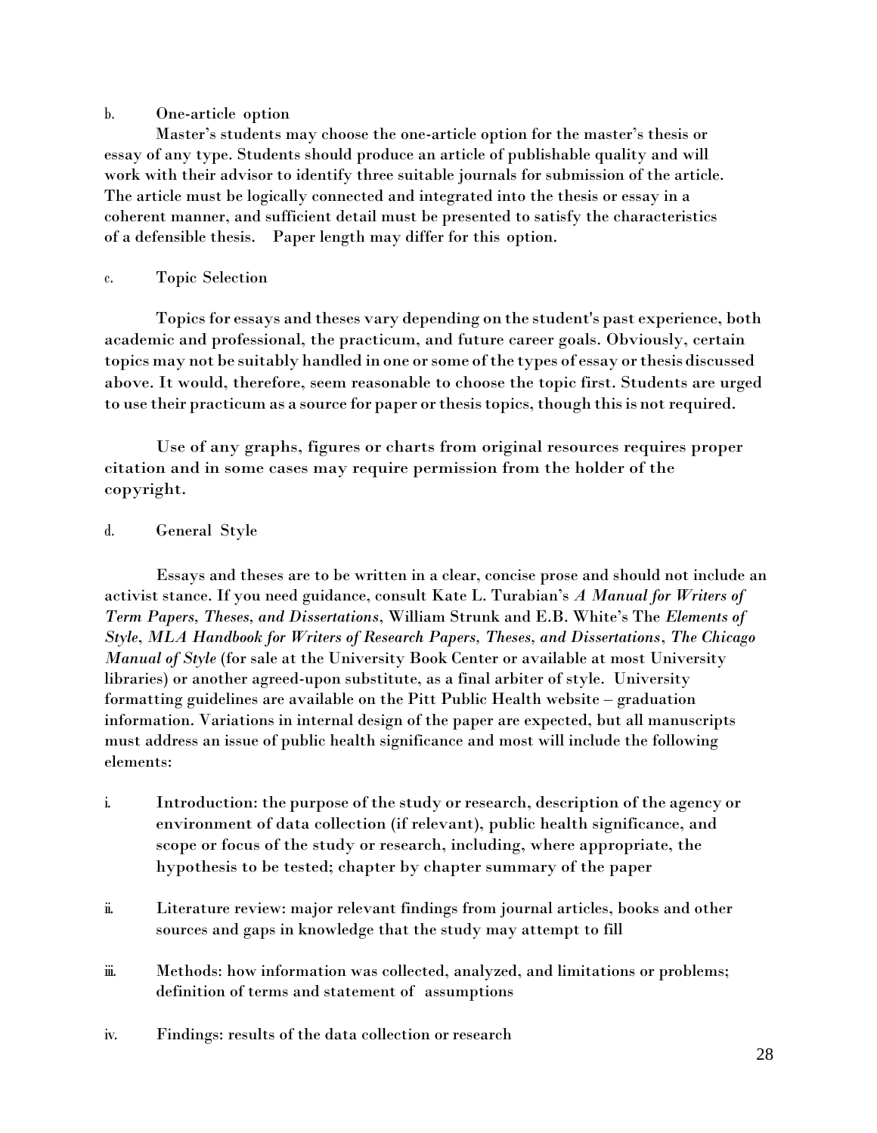## b. One-article option

Master's students may choose the one-article option for the master's thesis or essay of any type. Students should produce an article of publishable quality and will work with their advisor to identify three suitable journals for submission of the article. The article must be logically connected and integrated into the thesis or essay in a coherent manner, and sufficient detail must be presented to satisfy the characteristics of a defensible thesis. Paper length may differ for this option.

## c. Topic Selection

Topics for essays and theses vary depending on the student's past experience, both academic and professional, the practicum, and future career goals. Obviously, certain topics may not be suitably handled in one or some of the types of essay or thesis discussed above. It would, therefore, seem reasonable to choose the topic first. Students are urged to use their practicum as a source for paper or thesis topics, though this is not required.

Use of any graphs, figures or charts from original resources requires proper citation and in some cases may require permission from the holder of the copyright.

# d. General Style

Essays and theses are to be written in a clear, concise prose and should not include an activist stance. If you need guidance, consult Kate L. Turabian's *A Manual for Writers of Term Papers, Theses, and Dissertations*, William Strunk and E.B. White's The *Elements of Style*, *MLA Handbook for Writers of Research Papers, Theses, and Dissertations*, *The Chicago Manual of Style* (for sale at the University Book Center or available at most University libraries) or another agreed-upon substitute, as a final arbiter of style. University formatting guidelines are available on the Pitt Public Health website – graduation information. Variations in internal design of the paper are expected, but all manuscripts must address an issue of public health significance and most will include the following elements:

- i. Introduction: the purpose of the study or research, description of the agency or environment of data collection (if relevant), public health significance, and scope or focus of the study or research, including, where appropriate, the hypothesis to be tested; chapter by chapter summary of the paper
- ii. Literature review: major relevant findings from journal articles, books and other sources and gaps in knowledge that the study may attempt to fill
- iii. Methods: how information was collected, analyzed, and limitations or problems; definition of terms and statement of assumptions
- iv. Findings: results of the data collection or research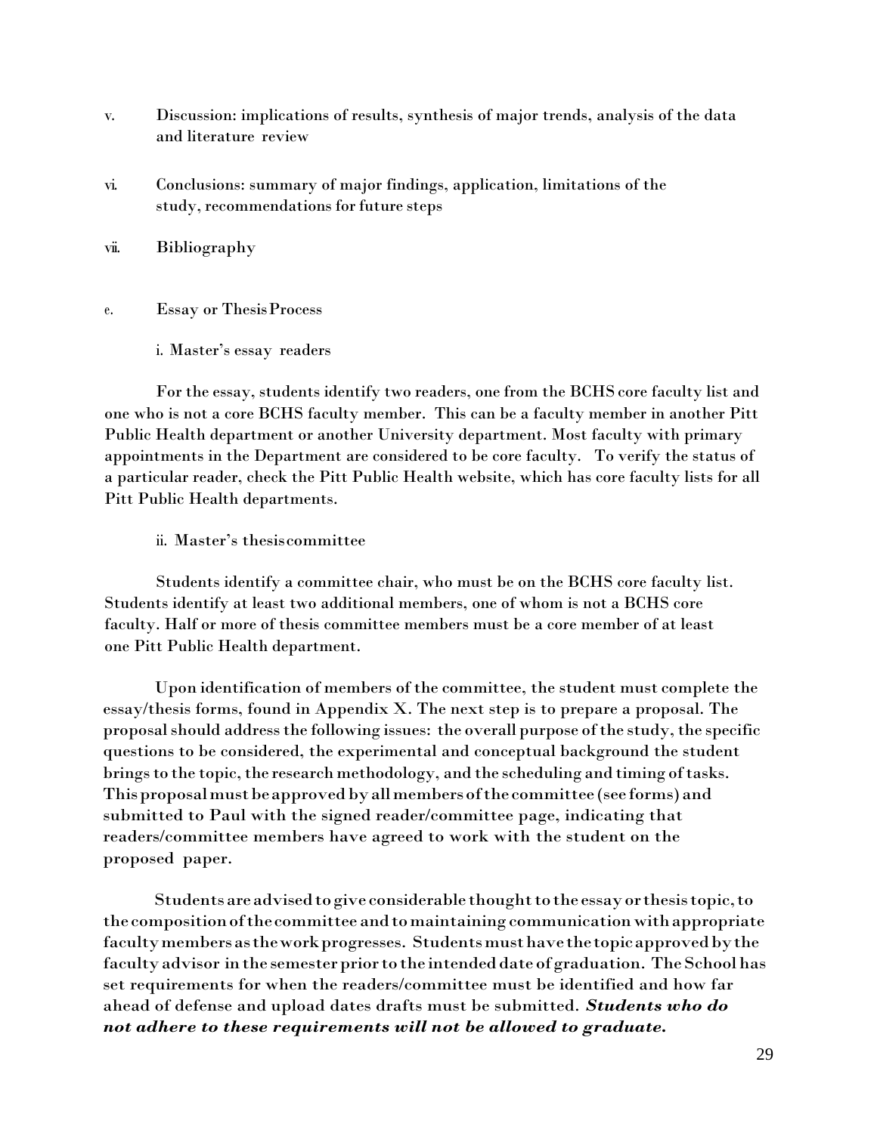- v. Discussion: implications of results, synthesis of major trends, analysis of the data and literature review
- vi. Conclusions: summary of major findings, application, limitations of the study, recommendations for future steps
- vii. Bibliography
- e. Essay or ThesisProcess
	- i. Master's essay readers

For the essay, students identify two readers, one from the BCHS core faculty list and one who is not a core BCHS faculty member. This can be a faculty member in another Pitt Public Health department or another University department. Most faculty with primary appointments in the Department are considered to be core faculty. To verify the status of a particular reader, check the Pitt Public Health website, which has core faculty lists for all Pitt Public Health departments.

ii. Master's thesiscommittee

Students identify a committee chair, who must be on the BCHS core faculty list. Students identify at least two additional members, one of whom is not a BCHS core faculty. Half or more of thesis committee members must be a core member of at least one Pitt Public Health department.

Upon identification of members of the committee, the student must complete the essay/thesis forms, found in Appendix X. The next step is to prepare a proposal. The proposal should address the following issues: the overall purpose of the study, the specific questions to be considered, the experimental and conceptual background the student brings to the topic, the research methodology, and the scheduling and timing of tasks. Thisproposalmustbeapprovedbyallmembersofthe committee (see forms) and submitted to Paul with the signed reader/committee page, indicating that readers/committee members have agreed to work with the student on the proposed paper.

Students are advised to give considerable thought to the essay or thesis topic, to the composition of the committee and to maintaining communication with appropriate faculty members as the work progresses. Students must have the topic approved by the faculty advisor in the semester prior to the intended date of graduation. The School has set requirements for when the readers/committee must be identified and how far ahead of defense and upload dates drafts must be submitted. *Students who do not adhere to these requirements will not be allowed to graduate.*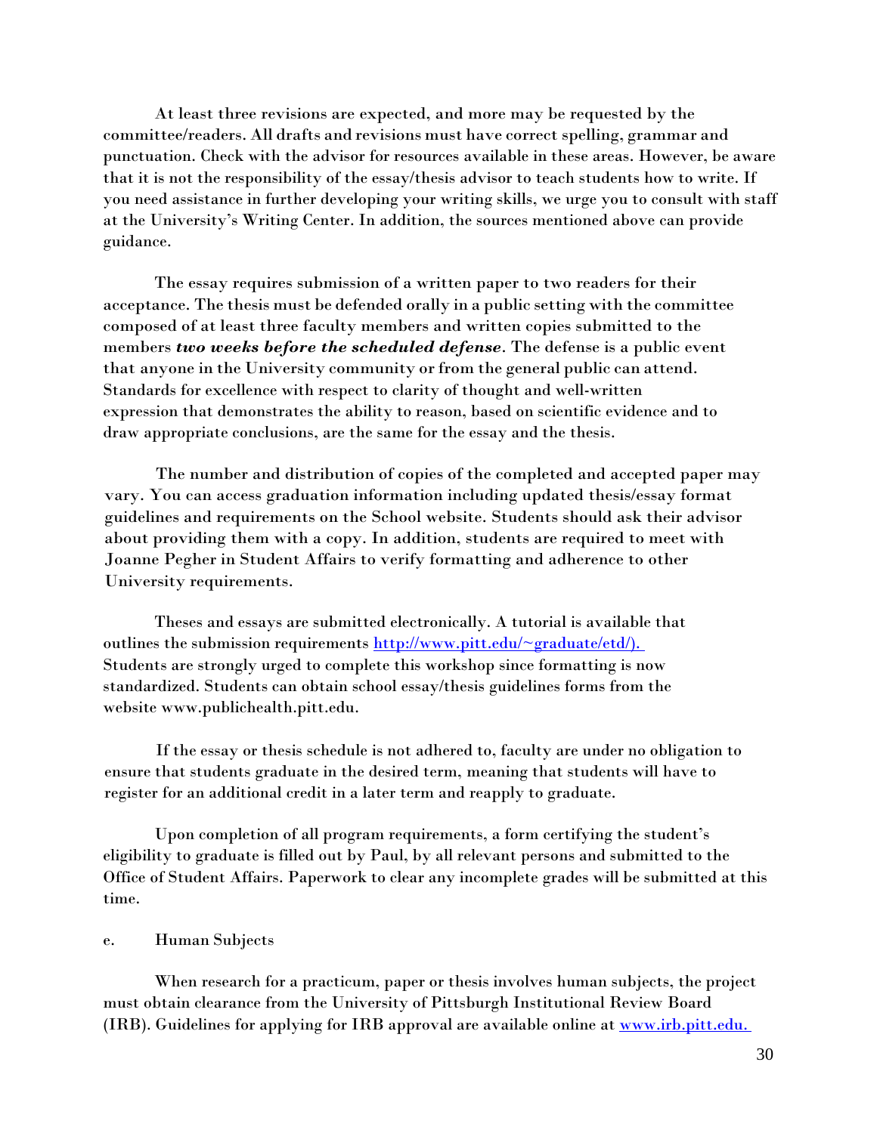At least three revisions are expected, and more may be requested by the committee/readers. All drafts and revisions must have correct spelling, grammar and punctuation. Check with the advisor for resources available in these areas. However, be aware that it is not the responsibility of the essay/thesis advisor to teach students how to write. If you need assistance in further developing your writing skills, we urge you to consult with staff at the University's Writing Center. In addition, the sources mentioned above can provide guidance.

The essay requires submission of a written paper to two readers for their acceptance. The thesis must be defended orally in a public setting with the committee composed of at least three faculty members and written copies submitted to the members *two weeks before the scheduled defense*. The defense is a public event that anyone in the University community or from the general public can attend. Standards for excellence with respect to clarity of thought and well-written expression that demonstrates the ability to reason, based on scientific evidence and to draw appropriate conclusions, are the same for the essay and the thesis.

The number and distribution of copies of the completed and accepted paper may vary. You can access graduation information including updated thesis/essay format guidelines and requirements on the School website. Students should ask their advisor about providing them with a copy. In addition, students are required to meet with Joanne Pegher in Student Affairs to verify formatting and adherence to other University requirements.

Theses and essays are submitted electronically. A tutorial is available that outlines the submission requirements  $\frac{http://www.pitt.edu/~graduate/edd/)}$ . Students are strongly urged to complete this workshop since formatting is now standardized. Students can obtain school essay/thesis guidelines forms from the website [www.publichealth.pitt.edu.](http://www.publichealth.pitt.edu/)

If the essay or thesis schedule is not adhered to, faculty are under no obligation to ensure that students graduate in the desired term, meaning that students will have to register for an additional credit in a later term and reapply to graduate.

Upon completion of all program requirements, a form certifying the student's eligibility to graduate is filled out by Paul, by all relevant persons and submitted to the Office of Student Affairs. Paperwork to clear any incomplete grades will be submitted at this time.

### e. Human Subjects

When research for a practicum, paper or thesis involves human subjects, the project must obtain clearance from the University of Pittsburgh Institutional Review Board (IRB). Guidelines for applying for IRB approval are available online at [www.irb.pitt.edu.](http://www.irb.pitt.edu./)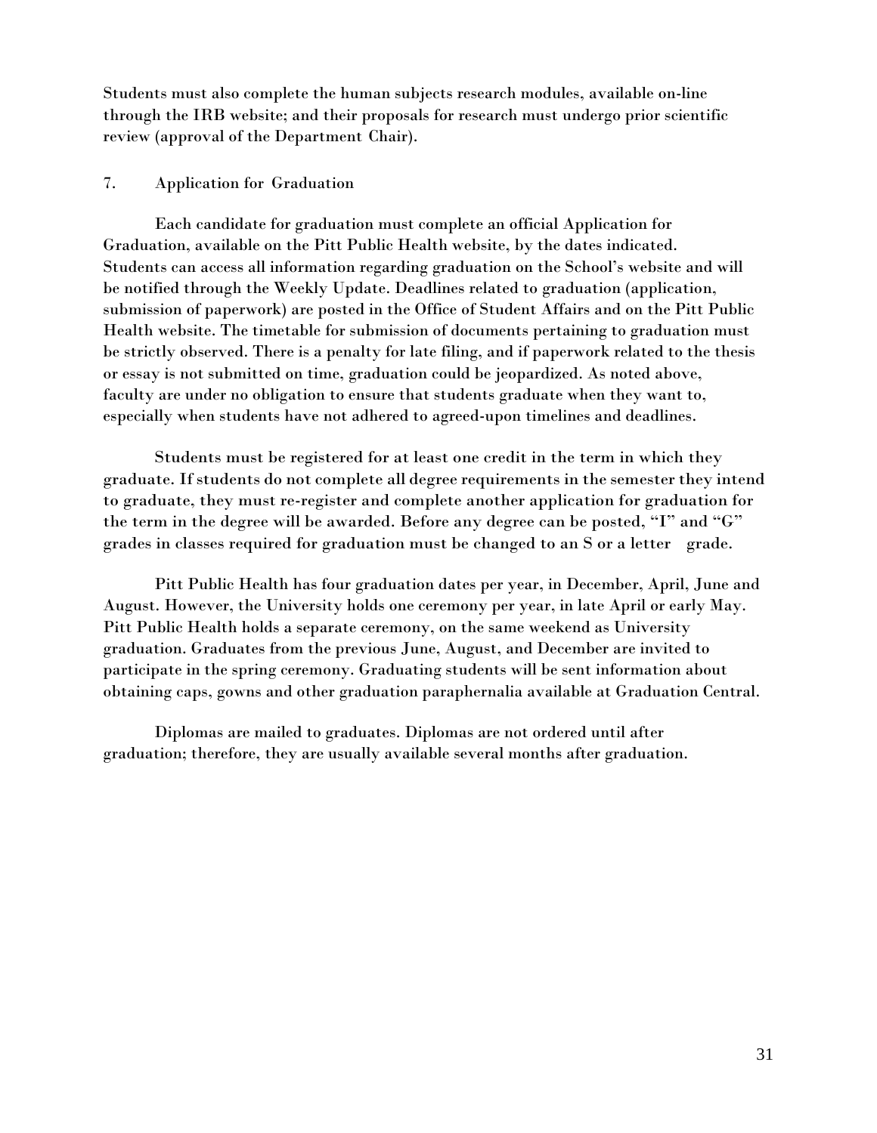Students must also complete the human subjects research modules, available on-line through the IRB website; and their proposals for research must undergo prior scientific review (approval of the Department Chair).

## 7. Application for Graduation

Each candidate for graduation must complete an official Application for Graduation, available on the Pitt Public Health website, by the dates indicated. Students can access all information regarding graduation on the School's website and will be notified through the Weekly Update. Deadlines related to graduation (application, submission of paperwork) are posted in the Office of Student Affairs and on the Pitt Public Health website. The timetable for submission of documents pertaining to graduation must be strictly observed. There is a penalty for late filing, and if paperwork related to the thesis or essay is not submitted on time, graduation could be jeopardized. As noted above, faculty are under no obligation to ensure that students graduate when they want to, especially when students have not adhered to agreed-upon timelines and deadlines.

Students must be registered for at least one credit in the term in which they graduate. If students do not complete all degree requirements in the semester they intend to graduate, they must re-register and complete another application for graduation for the term in the degree will be awarded. Before any degree can be posted, "I" and "G" grades in classes required for graduation must be changed to an S or a letter grade.

Pitt Public Health has four graduation dates per year, in December, April, June and August. However, the University holds one ceremony per year, in late April or early May. Pitt Public Health holds a separate ceremony, on the same weekend as University graduation. Graduates from the previous June, August, and December are invited to participate in the spring ceremony. Graduating students will be sent information about obtaining caps, gowns and other graduation paraphernalia available at Graduation Central.

Diplomas are mailed to graduates. Diplomas are not ordered until after graduation; therefore, they are usually available several months after graduation.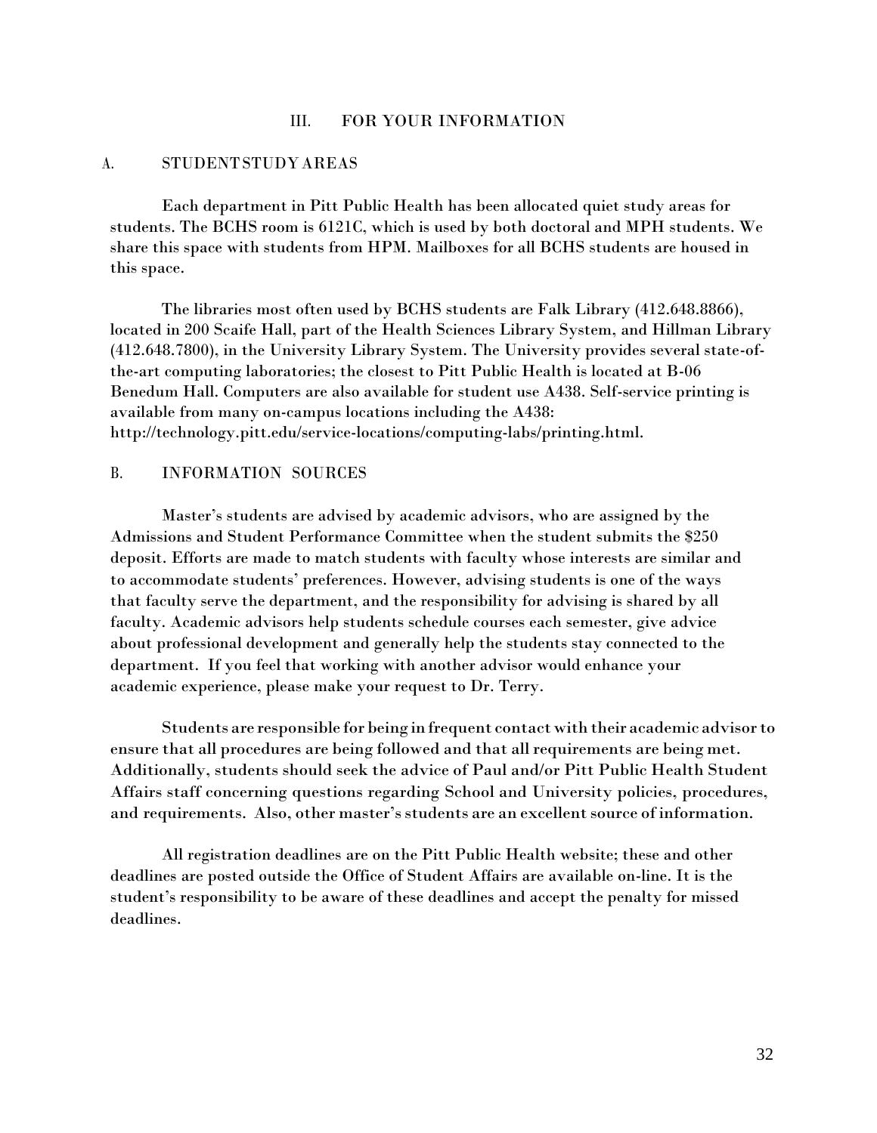### III. FOR YOUR INFORMATION

#### A. STUDENTSTUDY AREAS

Each department in Pitt Public Health has been allocated quiet study areas for students. The BCHS room is 6121C, which is used by both doctoral and MPH students. We share this space with students from HPM. Mailboxes for all BCHS students are housed in this space.

The libraries most often used by BCHS students are Falk Library (412.648.8866), located in 200 Scaife Hall, part of the Health Sciences Library System, and Hillman Library (412.648.7800), in the University Library System. The University provides several state-ofthe-art computing laboratories; the closest to Pitt Public Health is located at B-06 Benedum Hall. Computers are also available for student use A438. Self-service printing is available from many on-campus locations including the A438: [http://technology.pitt.edu/service-locations/computing-labs/printing.html.](http://technology.pitt.edu/service-locations/computing-labs/printing.html)

#### B. INFORMATION SOURCES

Master's students are advised by academic advisors, who are assigned by the Admissions and Student Performance Committee when the student submits the \$250 deposit. Efforts are made to match students with faculty whose interests are similar and to accommodate students' preferences. However, advising students is one of the ways that faculty serve the department, and the responsibility for advising is shared by all faculty. Academic advisors help students schedule courses each semester, give advice about professional development and generally help the students stay connected to the department. If you feel that working with another advisor would enhance your academic experience, please make your request to Dr. Terry.

Students are responsible for being in frequent contact with their academic advisorto ensure that all procedures are being followed and that all requirements are being met. Additionally, students should seek the advice of Paul and/or Pitt Public Health Student Affairs staff concerning questions regarding School and University policies, procedures, and requirements. Also, other master's students are an excellent source of information.

All registration deadlines are on the Pitt Public Health website; these and other deadlines are posted outside the Office of Student Affairs are available on-line. It is the student's responsibility to be aware of these deadlines and accept the penalty for missed deadlines.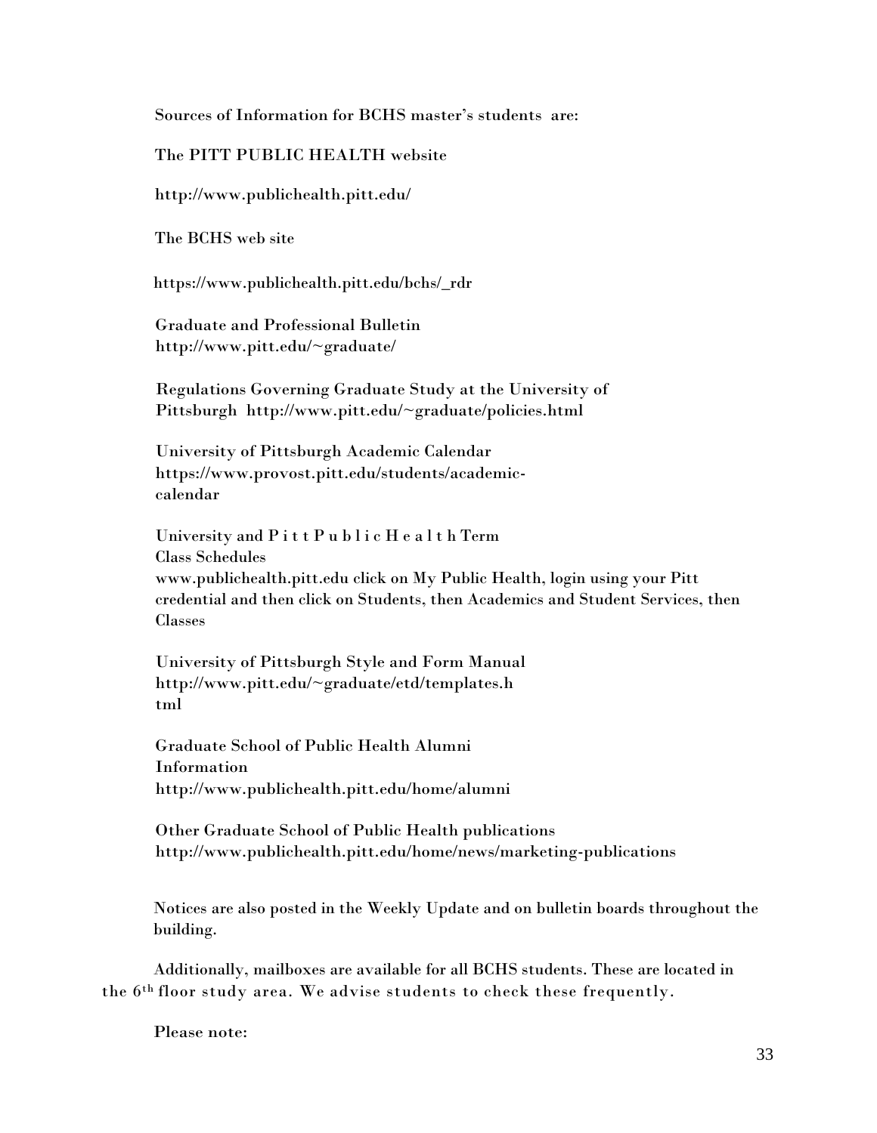Sources of Information for BCHS master's students are:

The PITT PUBLIC HEALTH website

<http://www.publichealth.pitt.edu/>

The BCHS web site

[https://www.](http://www.publichealth.pitt.edu/bchs/_rdr)p[ublichealth.pitt.edu/bchs/\\_rdr](http://www.publichealth.pitt.edu/bchs/_rdr)

Graduate and Professional Bulletin <http://www.pitt.edu/~graduate/>

Regulations Governing Graduate Study at the University of Pittsburgh <http://www.pitt.edu/~graduate/policies.html>

University of Pittsburgh Academic Calendar https:/[/www.provost.pitt.edu/students/academic](http://www.provost.pitt.edu/students/academic-)calendar

University and P i t t P u b l i c H e a l t h Term Class Schedules [www.publichealth.pitt.edu](http://www.publichealth.pitt.edu/) click on My Public Health, login using your Pitt credential and then click on Students, then Academics and Student Services, then Classes

University of Pittsburgh Style and Form Manual [http://www.pitt.edu/~graduate/etd/templates.h](http://www.pitt.edu/~graduate/etd/templates.html)  [tml](http://www.pitt.edu/~graduate/etd/templates.html)

Graduate School of Public Health Alumni Information <http://www.publichealth.pitt.edu/home/alumni>

Other Graduate School of Public Health publications <http://www.publichealth.pitt.edu/home/news/marketing-publications>

Notices are also posted in the Weekly Update and on bulletin boards throughout the building.

Additionally, mailboxes are available for all BCHS students. These are located in the 6th floor study area. We advise students to check these frequently.

Please note: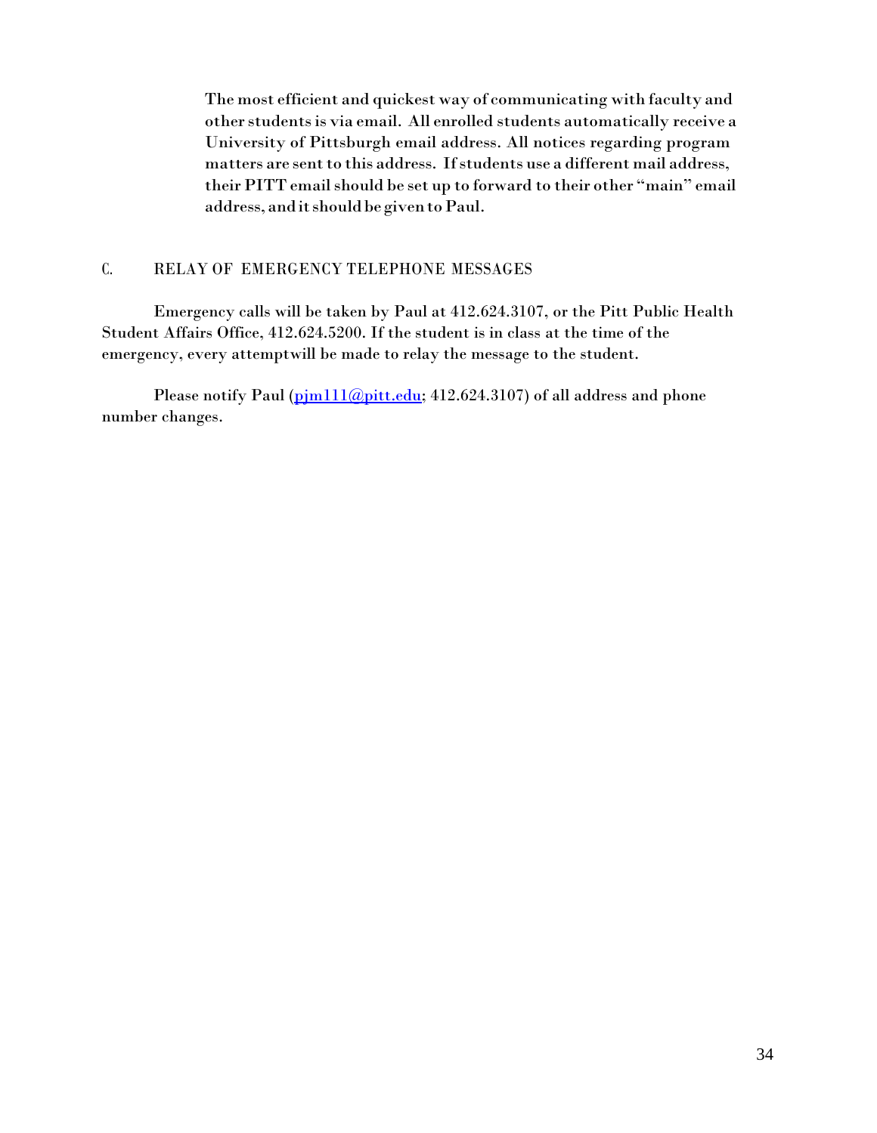The most efficient and quickest way of communicating with faculty and other students is via email. All enrolled students automatically receive a University of Pittsburgh email address. All notices regarding program matters are sent to this address. If students use a different mail address, their PITT email should be set up to forward to their other "main" email address, and it should be given to Paul.

## C. RELAY OF EMERGENCY TELEPHONE MESSAGES

Emergency calls will be taken by Paul at 412.624.3107, or the Pitt Public Health Student Affairs Office, 412.624.5200. If the student is in class at the time of the emergency, every attemptwill be made to relay the message to the student.

Please notify Paul (pim111@pitt.edu; 412.624.3107) of all address and phone number changes.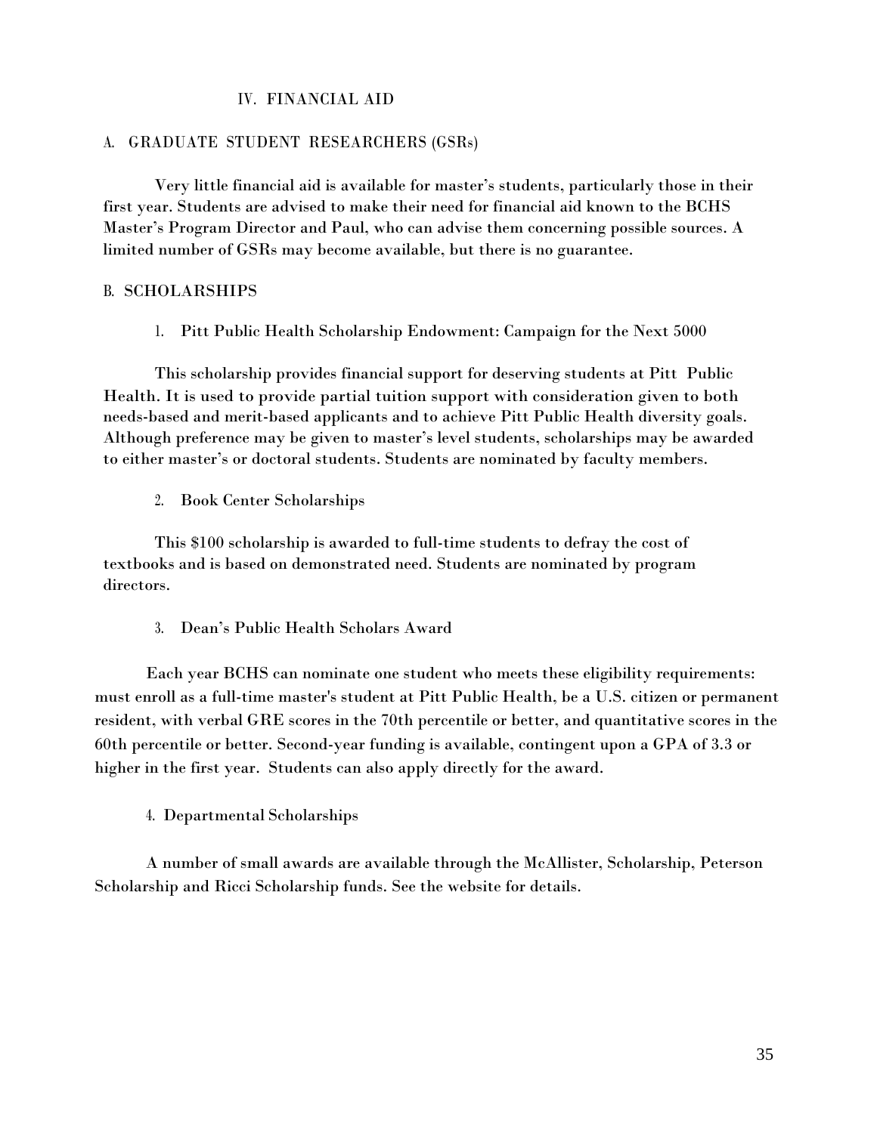## IV. FINANCIAL AID

#### A. GRADUATE STUDENT RESEARCHERS (GSRs)

Very little financial aid is available for master's students, particularly those in their first year. Students are advised to make their need for financial aid known to the BCHS Master's Program Director and Paul, who can advise them concerning possible sources. A limited number of GSRs may become available, but there is no guarantee.

#### B. SCHOLARSHIPS

1. Pitt Public Health Scholarship Endowment: Campaign for the Next 5000

This scholarship provides financial support for deserving students at Pitt Public Health. It is used to provide partial tuition support with consideration given to both needs-based and merit-based applicants and to achieve Pitt Public Health diversity goals. Although preference may be given to master's level students, scholarships may be awarded to either master's or doctoral students. Students are nominated by faculty members.

2. Book Center Scholarships

This \$100 scholarship is awarded to full-time students to defray the cost of textbooks and is based on demonstrated need. Students are nominated by program directors.

3. Dean's Public Health Scholars Award

Each year BCHS can nominate one student who meets these eligibility requirements: must enroll as a full-time master's student at Pitt Public Health, be a U.S. citizen or permanent resident, with verbal GRE scores in the 70th percentile or better, and quantitative scores in the 60th percentile or better. Second-year funding is available, contingent upon a GPA of 3.3 or higher in the first year. Students can also apply directly for the award.

4. Departmental Scholarships

A number of small awards are available through the McAllister, Scholarship, Peterson Scholarship and Ricci Scholarship funds. See the website for details.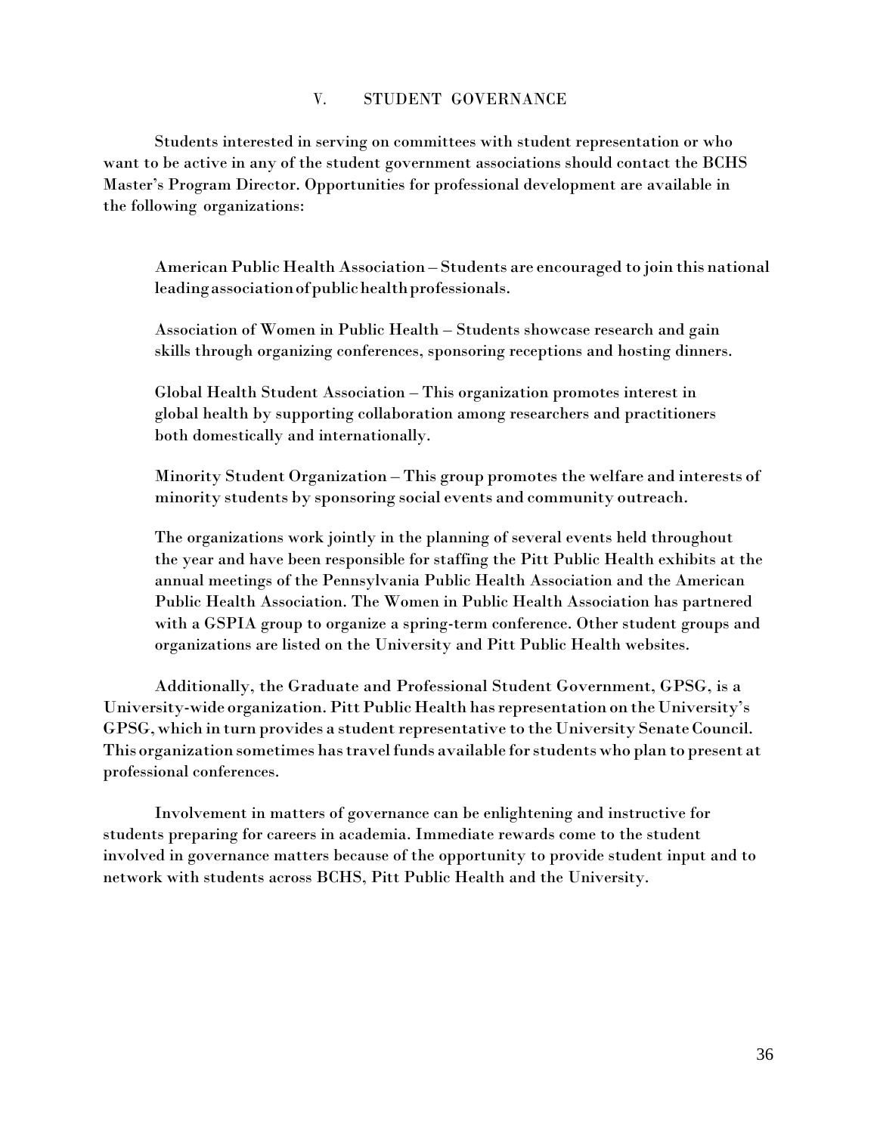## V. STUDENT GOVERNANCE

Students interested in serving on committees with student representation or who want to be active in any of the student government associations should contact the BCHS Master's Program Director. Opportunities for professional development are available in the following organizations:

American Public Health Association – Students are encouraged to join this national leadingassociationofpublichealthprofessionals.

Association of Women in Public Health – Students showcase research and gain skills through organizing conferences, sponsoring receptions and hosting dinners.

Global Health Student Association – This organization promotes interest in global health by supporting collaboration among researchers and practitioners both domestically and internationally.

Minority Student Organization – This group promotes the welfare and interests of minority students by sponsoring social events and community outreach.

The organizations work jointly in the planning of several events held throughout the year and have been responsible for staffing the Pitt Public Health exhibits at the annual meetings of the Pennsylvania Public Health Association and the American Public Health Association. The Women in Public Health Association has partnered with a GSPIA group to organize a spring-term conference. Other student groups and organizations are listed on the University and Pitt Public Health websites.

Additionally, the Graduate and Professional Student Government, GPSG, is a University-wide organization. Pitt Public Health has representation on the University's GPSG,which in turn provides a student representative to the University SenateCouncil. This organization sometimes hastravelfunds available forstudentswho plan to present at professional conferences.

Involvement in matters of governance can be enlightening and instructive for students preparing for careers in academia. Immediate rewards come to the student involved in governance matters because of the opportunity to provide student input and to network with students across BCHS, Pitt Public Health and the University.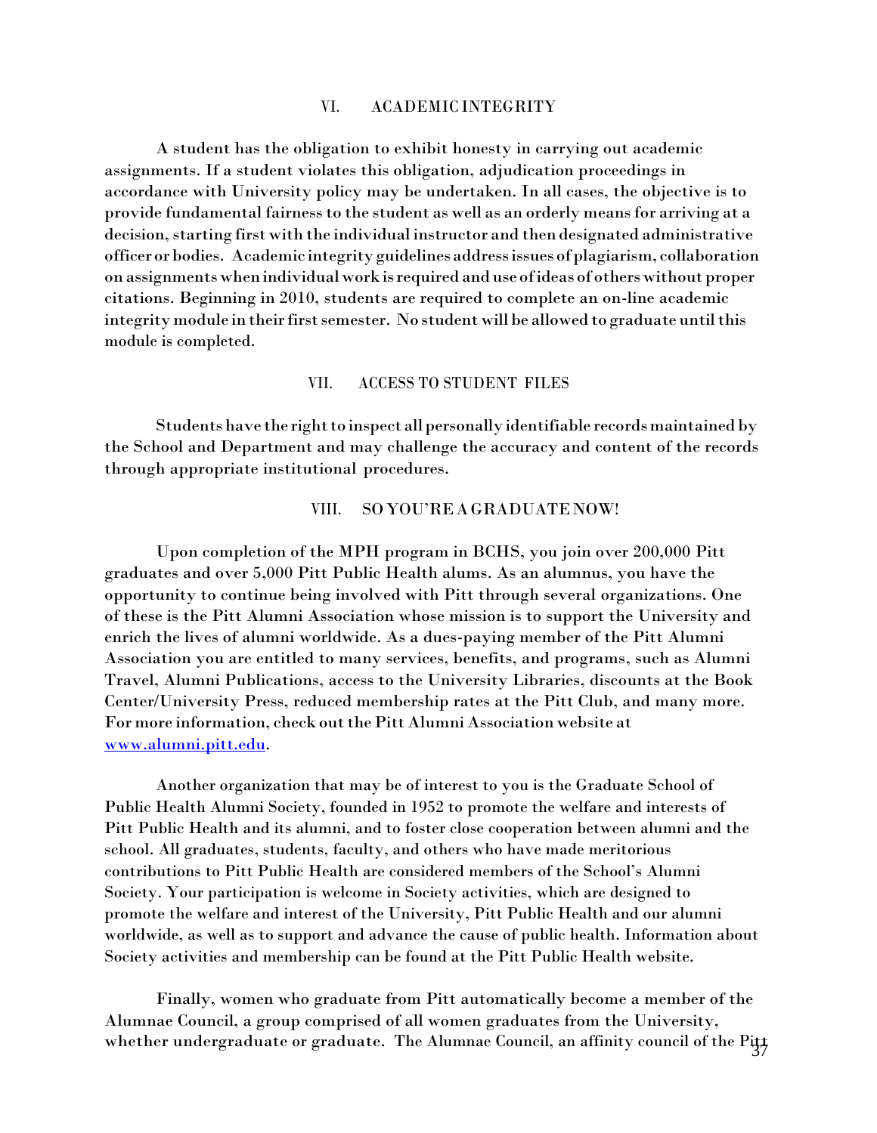#### VI. ACADEMIC INTEGRITY

A student has the obligation to exhibit honesty in carrying out academic assignments. If a student violates this obligation, adjudication proceedings in accordance with University policy may be undertaken. In all cases, the objective is to provide fundamental fairnessto the student as well as an orderly means for arriving at a decision, starting first with the individual instructor and then designated administrative officerorbodies. Academic integrityguidelines addressissuesofplagiarism, collaboration on assignmentswhenindividualwork isrequired and use ofideas of otherswithout proper citations. Beginning in 2010, students are required to complete an on-line academic integrity module in their first semester. No student will be allowed to graduate until this module is completed.

#### VII. ACCESS TO STUDENT FILES

Students have the right to inspect all personally identifiable records maintained by the School and Department and may challenge the accuracy and content of the records through appropriate institutional procedures.

#### VIII. SOYOU'REA GRADUATENOW!

Upon completion of the MPH program in BCHS, you join over 200,000 Pitt graduates and over 5,000 Pitt Public Health alums. As an alumnus, you have the opportunity to continue being involved with Pitt through several organizations. One of these is the Pitt Alumni Association whose mission is to support the University and enrich the lives of alumni worldwide. As a dues-paying member of the Pitt Alumni Association you are entitled to many services, benefits, and programs, such as Alumni Travel, Alumni Publications, access to the University Libraries, discounts at the Book Center/University Press, reduced membership rates at the Pitt Club, and many more. For more information, check outthePitt Alumni Association website at [www.alumni.pitt.edu.](http://www.alumni.pitt.edu/)

Another organization that may be of interest to you is the Graduate School of Public Health Alumni Society, founded in 1952 to promote the welfare and interests of Pitt Public Health and its alumni, and to foster close cooperation between alumni and the school. All graduates, students, faculty, and others who have made meritorious contributions to Pitt Public Health are considered members of the School's Alumni Society. Your participation is welcome in Society activities, which are designed to promote the welfare and interest of the University, Pitt Public Health and our alumni worldwide, as well as to support and advance the cause of public health. Information about Society activities and membership can be found at the Pitt Public Health website.

Finally, women who graduate from Pitt automatically become a member of the Alumnae Council, a group comprised of all women graduates from the University, whether undergraduate or graduate. The Alumnae Council, an affinity council of the Pitt  $\frac{37}{37}$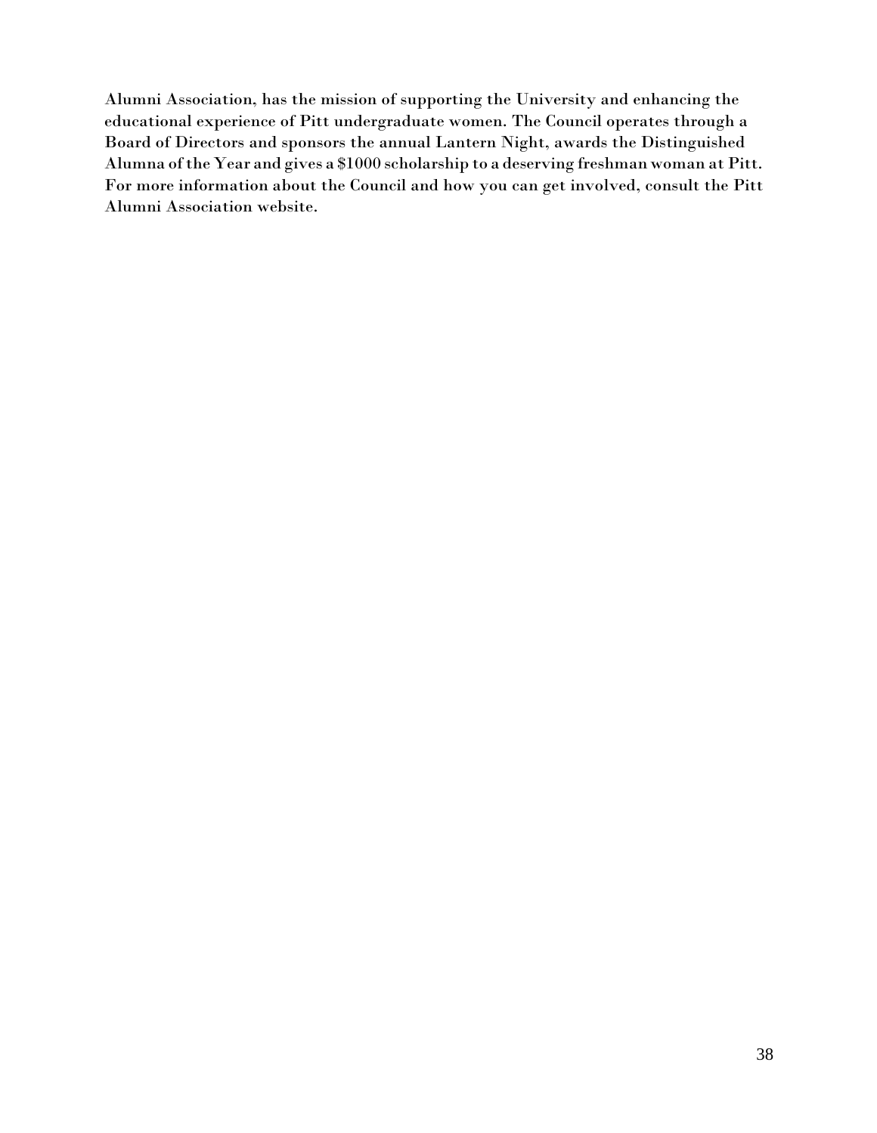Alumni Association, has the mission of supporting the University and enhancing the educational experience of Pitt undergraduate women. The Council operates through a Board of Directors and sponsors the annual Lantern Night, awards the Distinguished Alumna ofthe Year and gives a \$1000 scholarship to a deserving freshman woman at Pitt. For more information about the Council and how you can get involved, consult the Pitt Alumni Association website.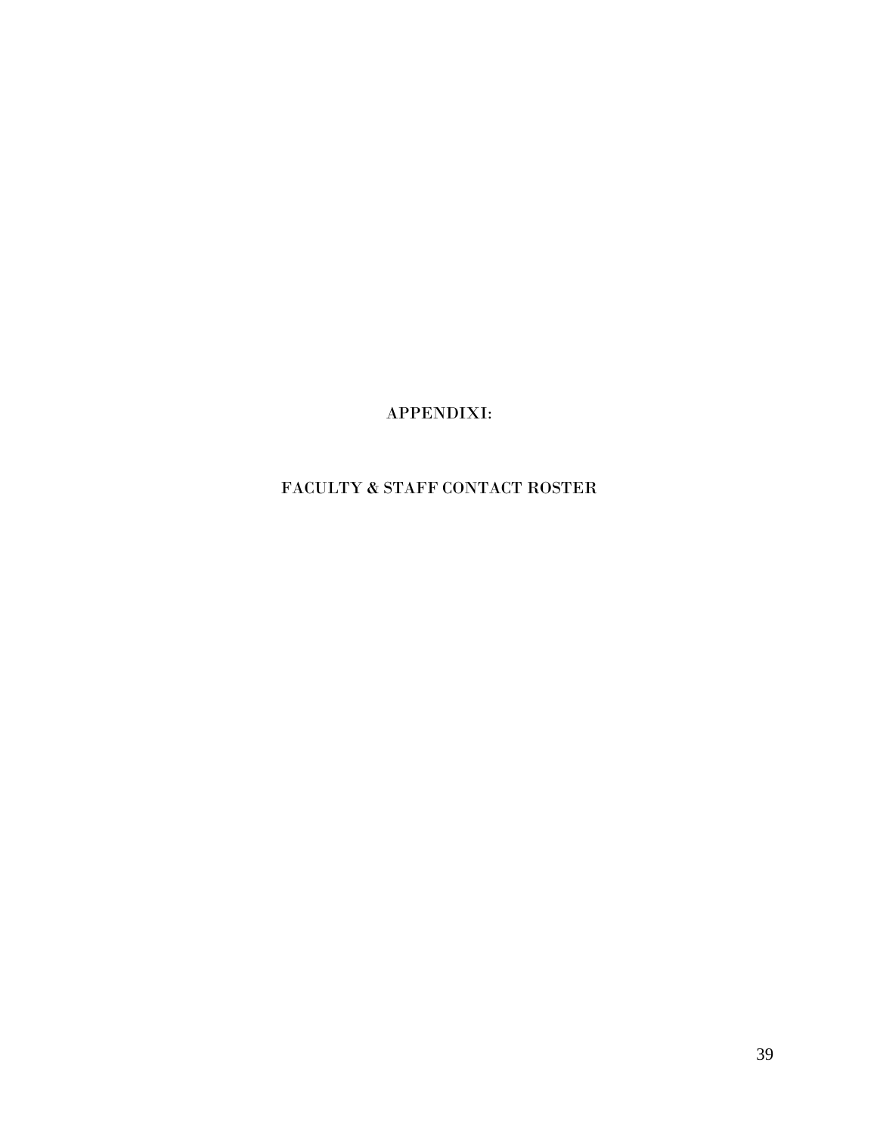APPENDIXI:

# FACULTY & STAFF CONTACT ROSTER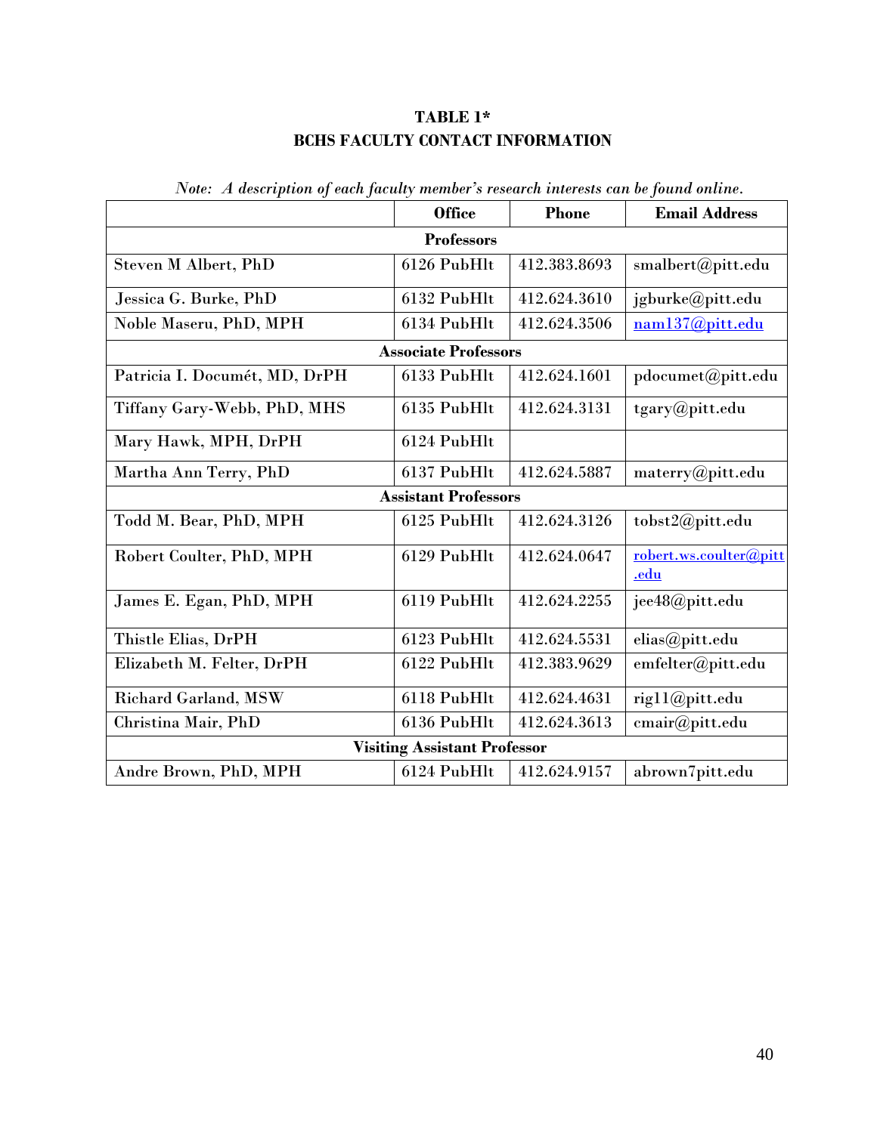# **TABLE 1\* BCHS FACULTY CONTACT INFORMATION**

|                                     | <b>Office</b>               | <b>Phone</b> | <b>Email Address</b>           |  |  |
|-------------------------------------|-----------------------------|--------------|--------------------------------|--|--|
| <b>Professors</b>                   |                             |              |                                |  |  |
| Steven M Albert, PhD                | 6126 PubHlt                 | 412.383.8693 | smalbert@pitt.edu              |  |  |
| Jessica G. Burke, PhD               | 6132 PubHlt                 | 412.624.3610 | jgburke@pitt.edu               |  |  |
| Noble Maseru, PhD, MPH              | 6134 PubHlt                 | 412.624.3506 | nam137@pitt.edu                |  |  |
|                                     | <b>Associate Professors</b> |              |                                |  |  |
| Patricia I. Documét, MD, DrPH       | 6133 PubHlt                 | 412.624.1601 | pdocumet@pitt.edu              |  |  |
| Tiffany Gary-Webb, PhD, MHS         | 6135 PubHlt                 | 412.624.3131 | tgary@pitt.edu                 |  |  |
| Mary Hawk, MPH, DrPH                | 6124 PubHlt                 |              |                                |  |  |
| Martha Ann Terry, PhD               | 6137 PubHlt                 | 412.624.5887 | materry@pitt.edu               |  |  |
|                                     | <b>Assistant Professors</b> |              |                                |  |  |
| Todd M. Bear, PhD, MPH              | 6125 PubHlt                 | 412.624.3126 | tobst2@pitt.edu                |  |  |
| Robert Coulter, PhD, MPH            | 6129 PubHlt                 | 412.624.0647 | robert.ws.coulter@pitt<br>.edu |  |  |
| James E. Egan, PhD, MPH             | 6119 PubHlt                 | 412.624.2255 | jee48@pitt.edu                 |  |  |
| Thistle Elias, DrPH                 | 6123 PubHlt                 | 412.624.5531 | elias@pitt.edu                 |  |  |
| Elizabeth M. Felter, DrPH           | 6122 PubHlt                 | 412.383.9629 | emfelter@pitt.edu              |  |  |
| <b>Richard Garland, MSW</b>         | 6118 PubHlt                 | 412.624.4631 | rig11@pitt.edu                 |  |  |
| Christina Mair, PhD                 | 6136 PubHlt                 | 412.624.3613 | cmair@pitt.edu                 |  |  |
| <b>Visiting Assistant Professor</b> |                             |              |                                |  |  |
| Andre Brown, PhD, MPH               | 6124 PubHlt                 | 412.624.9157 | abrown7pitt.edu                |  |  |

*Note: A description of each faculty member's research interests can be found online.*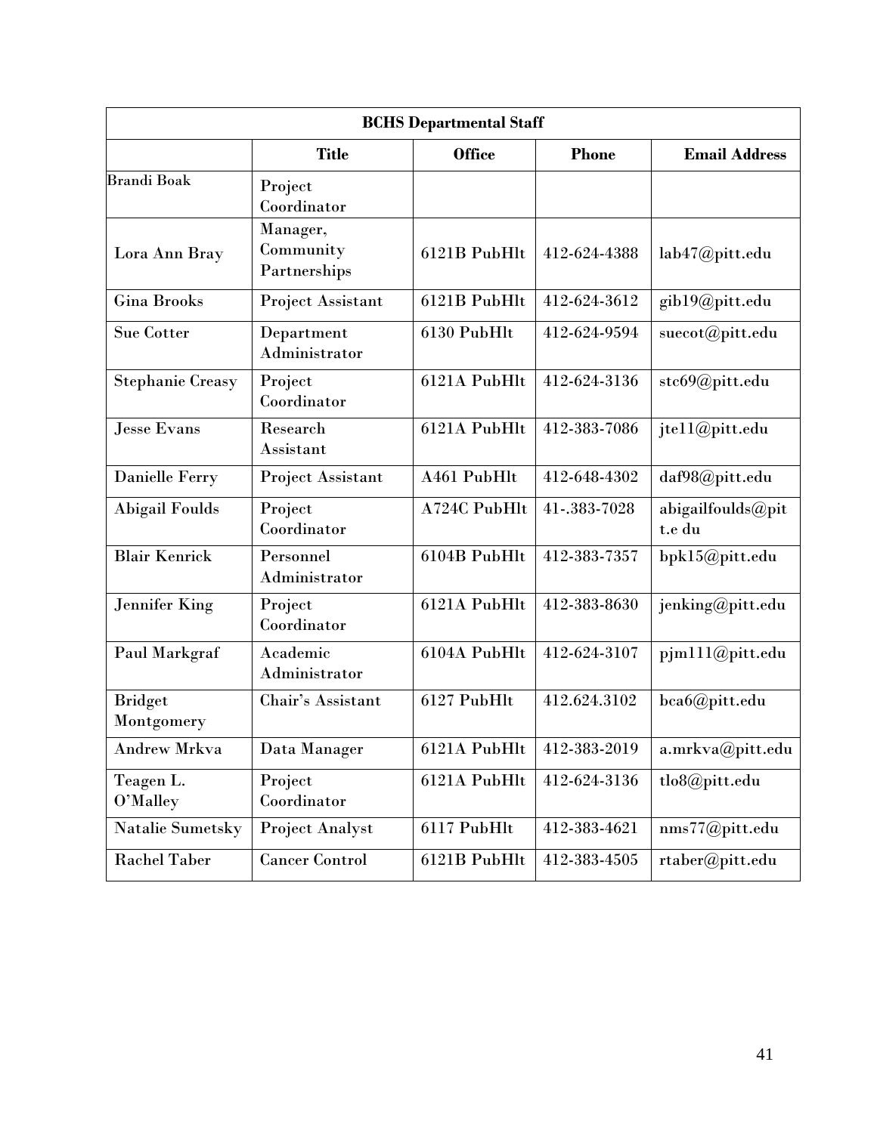| <b>BCHS</b> Departmental Staff |                                                                       |              |              |                             |  |  |  |
|--------------------------------|-----------------------------------------------------------------------|--------------|--------------|-----------------------------|--|--|--|
|                                | <b>Title</b><br><b>Office</b><br><b>Email Address</b><br><b>Phone</b> |              |              |                             |  |  |  |
| <b>Brandi Boak</b>             | Project<br>Coordinator                                                |              |              |                             |  |  |  |
| Lora Ann Bray                  | Manager,<br>Community<br>Partnerships                                 | 6121B PubHlt | 412-624-4388 | lab47@pitt.edu              |  |  |  |
| <b>Gina Brooks</b>             | Project Assistant                                                     | 6121B PubHlt | 412-624-3612 | gib19@pitt.edu              |  |  |  |
| <b>Sue Cotter</b>              | Department<br>Administrator                                           | 6130 PubHlt  | 412-624-9594 | suecot@pitt.edu             |  |  |  |
| <b>Stephanie Creasy</b>        | Project<br>Coordinator                                                | 6121A PubHlt | 412-624-3136 | stc69@pitt.edu              |  |  |  |
| <b>Jesse Evans</b>             | Research<br>Assistant                                                 | 6121A PubHlt | 412-383-7086 | jtell@pitt.edu              |  |  |  |
| <b>Danielle Ferry</b>          | Project Assistant                                                     | A461 PubHlt  | 412-648-4302 | daf98@pitt.edu              |  |  |  |
| <b>Abigail Foulds</b>          | Project<br>Coordinator                                                | A724C PubHlt | 41-.383-7028 | abigailfoulds@pit<br>t.e du |  |  |  |
| <b>Blair Kenrick</b>           | Personnel<br>Administrator                                            | 6104B PubHlt | 412-383-7357 | bpk15@pitt.edu              |  |  |  |
| <b>Jennifer King</b>           | Project<br>Coordinator                                                | 6121A PubHlt | 412-383-8630 | jenking@pitt.edu            |  |  |  |
| Paul Markgraf                  | Academic<br>Administrator                                             | 6104A PubHlt | 412-624-3107 | pjm111@pitt.edu             |  |  |  |
| <b>Bridget</b><br>Montgomery   | Chair's Assistant                                                     | 6127 PubHlt  | 412.624.3102 | bca6@pitt.edu               |  |  |  |
| Andrew Mrkva                   | Data Manager                                                          | 6121A PubHlt | 412-383-2019 | a.mrkva@pitt.edu            |  |  |  |
| Teagen L.<br>O'Malley          | Project<br>Coordinator                                                | 6121A PubHlt | 412-624-3136 | tlo8@pitt.edu               |  |  |  |
| Natalie Sumetsky               | <b>Project Analyst</b>                                                | 6117 PubHlt  | 412-383-4621 | nms77@pitt.edu              |  |  |  |
| <b>Rachel Taber</b>            | <b>Cancer Control</b>                                                 | 6121B PubHlt | 412-383-4505 | rtaber@pitt.edu             |  |  |  |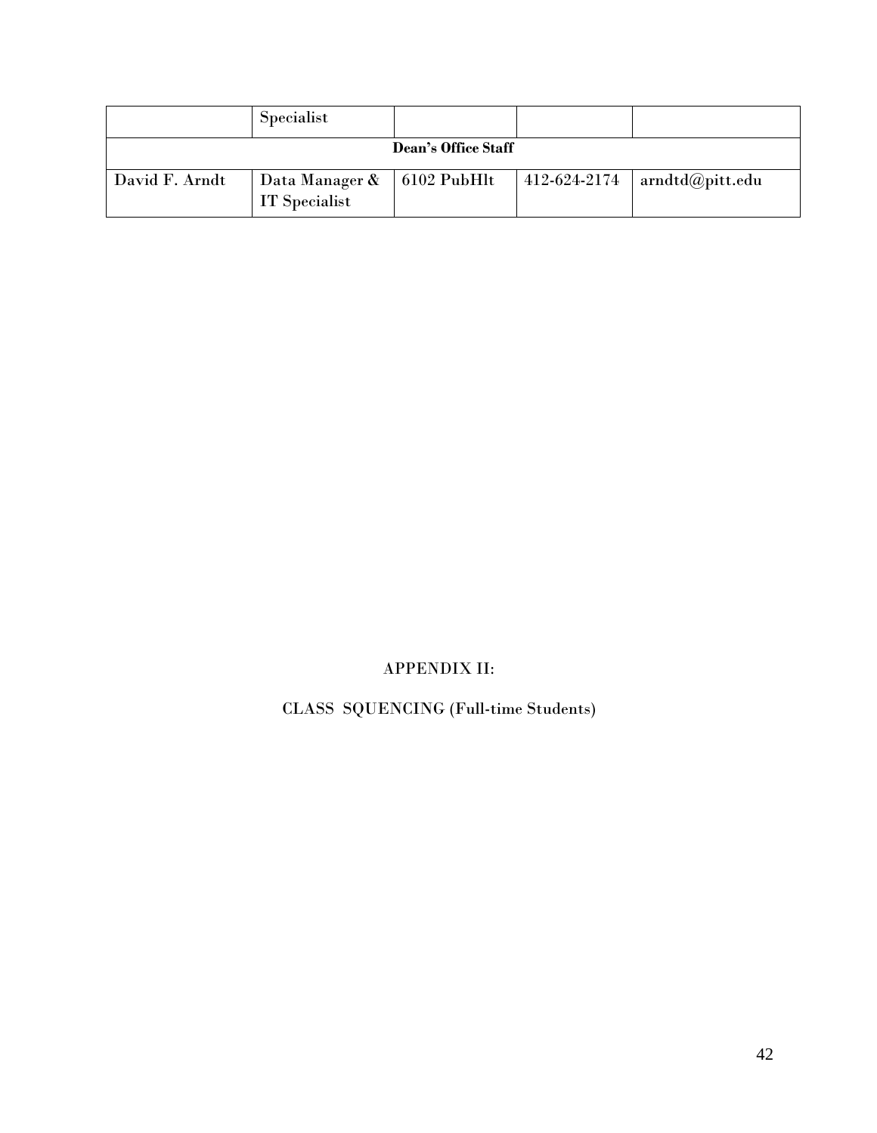|                | Specialist                      |                     |              |                                           |
|----------------|---------------------------------|---------------------|--------------|-------------------------------------------|
|                |                                 | Dean's Office Staff |              |                                           |
| David F. Arndt | Data Manager &<br>IT Specialist | $\vert$ 6102 PubHlt | 412-624-2174 | $\vert$ arndtd $\textcircled{a}$ pitt.edu |

# APPENDIX II:

# CLASS SQUENCING (Full-time Students)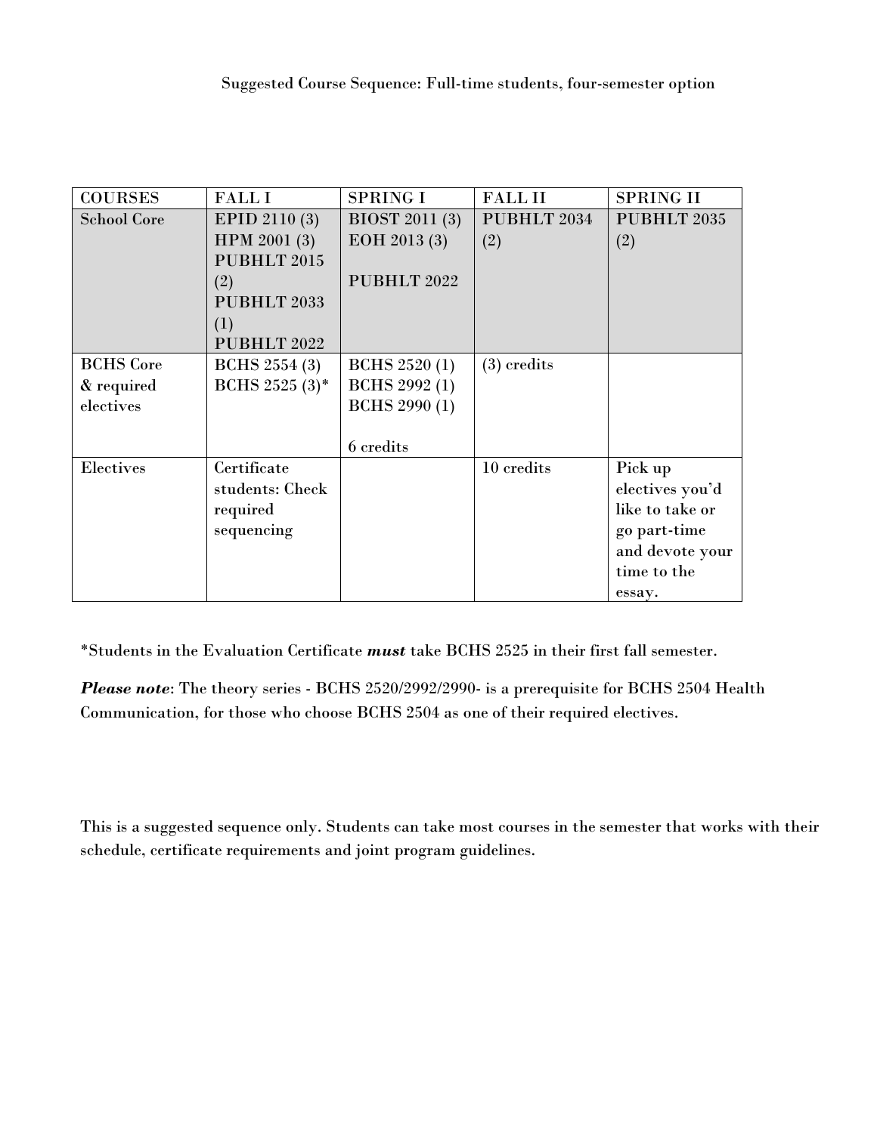| <b>COURSES</b>     | <b>FALLI</b>         | <b>SPRING I</b>       | <b>FALLII</b> | <b>SPRING II</b> |
|--------------------|----------------------|-----------------------|---------------|------------------|
| <b>School Core</b> | <b>EPID 2110 (3)</b> | <b>BIOST 2011 (3)</b> | PUBHLT 2034   | PUBHLT 2035      |
|                    | HPM 2001 (3)         | EOH 2013 (3)          | (2)           | (2)              |
|                    | PUBHLT 2015          |                       |               |                  |
|                    | (2)                  | PUBHLT 2022           |               |                  |
|                    | PUBHLT 2033          |                       |               |                  |
|                    | (1)                  |                       |               |                  |
|                    | PUBHLT 2022          |                       |               |                  |
| <b>BCHS</b> Core   | <b>BCHS</b> 2554 (3) | <b>BCHS</b> 2520 (1)  | $(3)$ credits |                  |
| & required         | BCHS 2525 $(3)^*$    | <b>BCHS</b> 2992 (1)  |               |                  |
| electives          |                      | <b>BCHS</b> 2990 (1)  |               |                  |
|                    |                      |                       |               |                  |
|                    |                      | 6 credits             |               |                  |
| Electives          | Certificate          |                       | 10 credits    | Pick up          |
|                    | students: Check      |                       |               | electives you'd  |
|                    | required             |                       |               | like to take or  |
|                    | sequencing           |                       |               | go part-time     |
|                    |                      |                       |               | and devote your  |
|                    |                      |                       |               | time to the      |
|                    |                      |                       |               | essay.           |

\*Students in the Evaluation Certificate *must* take BCHS 2525 in their first fall semester.

*Please note*: The theory series - BCHS 2520/2992/2990- is a prerequisite for BCHS 2504 Health Communication, for those who choose BCHS 2504 as one of their required electives.

This is a suggested sequence only. Students can take most courses in the semester that works with their schedule, certificate requirements and joint program guidelines.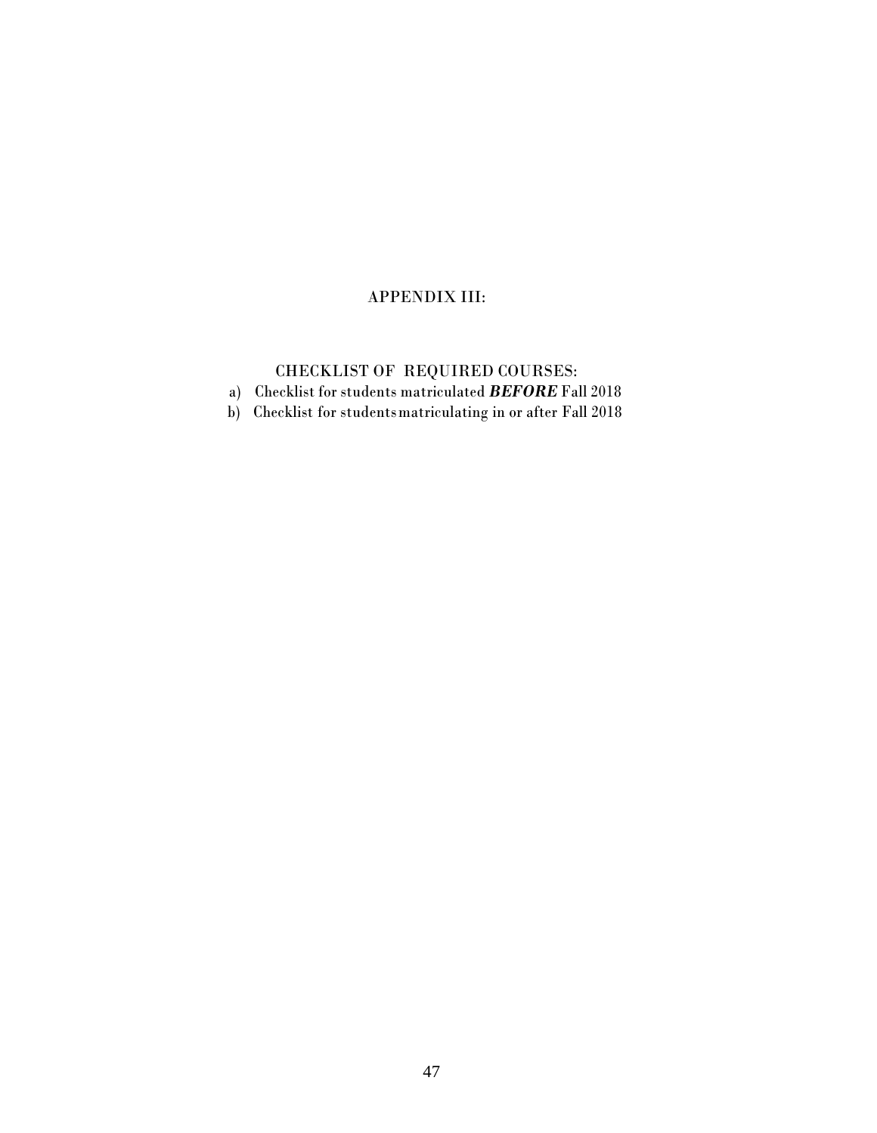# APPENDIX III:

# CHECKLIST OF REQUIRED COURSES:

a) Checklist for students matriculated *BEFORE* Fall 2018

b) Checklist for studentsmatriculating in or after Fall 2018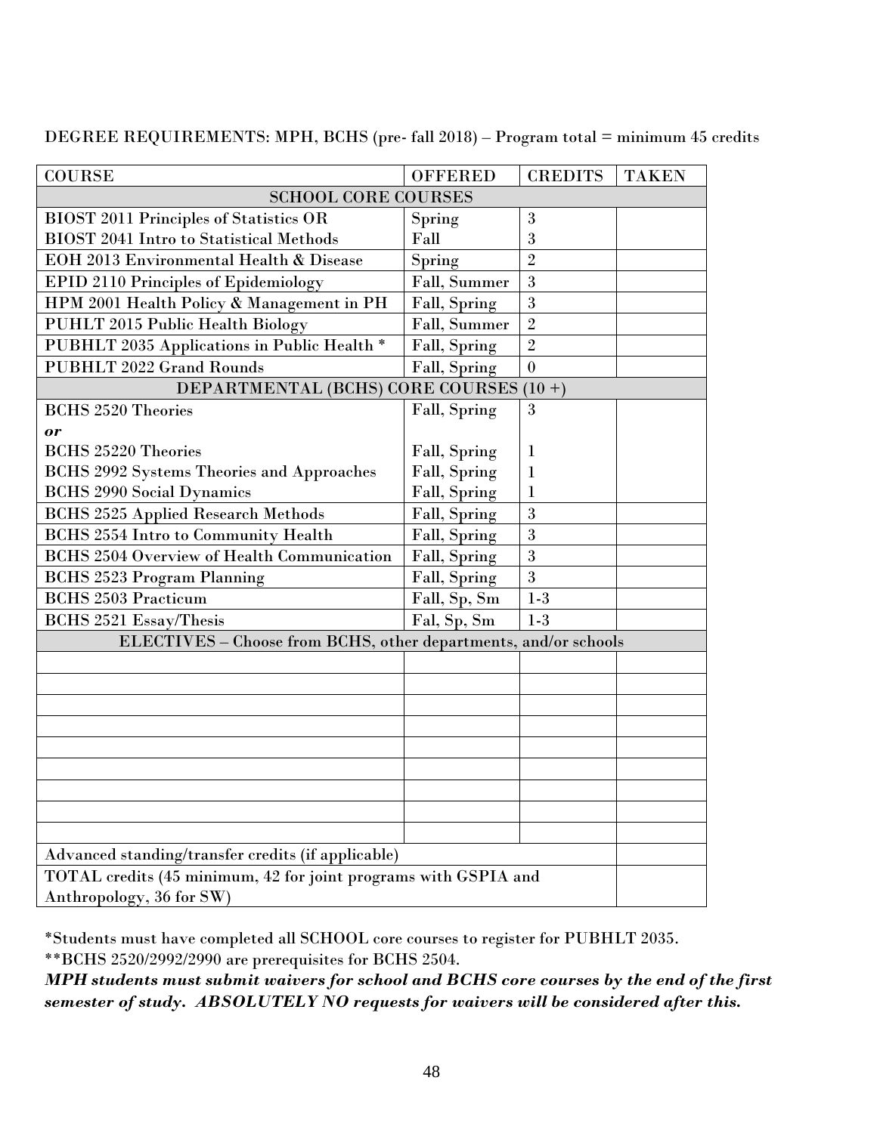| <b>COURSE</b>                                                   | <b>OFFERED</b> | <b>CREDITS</b>   | <b>TAKEN</b> |  |
|-----------------------------------------------------------------|----------------|------------------|--------------|--|
| <b>SCHOOL CORE COURSES</b>                                      |                |                  |              |  |
| <b>BIOST 2011 Principles of Statistics OR</b>                   | Spring         | 3                |              |  |
| <b>BIOST 2041 Intro to Statistical Methods</b>                  | Fall           | 3                |              |  |
| EOH 2013 Environmental Health & Disease                         | Spring         | $\overline{2}$   |              |  |
| <b>EPID 2110 Principles of Epidemiology</b>                     | Fall, Summer   | 3                |              |  |
| HPM 2001 Health Policy & Management in PH                       | Fall, Spring   | 3                |              |  |
| PUHLT 2015 Public Health Biology                                | Fall, Summer   | $\overline{2}$   |              |  |
| PUBHLT 2035 Applications in Public Health *                     | Fall, Spring   | $\overline{2}$   |              |  |
| <b>PUBHLT 2022 Grand Rounds</b>                                 | Fall, Spring   | $\boldsymbol{0}$ |              |  |
| DEPARTMENTAL (BCHS) CORE COURSES (10+)                          |                |                  |              |  |
| <b>BCHS 2520 Theories</b>                                       | Fall, Spring   | 3                |              |  |
| or                                                              |                |                  |              |  |
| <b>BCHS 25220 Theories</b>                                      | Fall, Spring   | 1                |              |  |
| <b>BCHS 2992 Systems Theories and Approaches</b>                | Fall, Spring   | 1                |              |  |
| <b>BCHS 2990 Social Dynamics</b>                                | Fall, Spring   | 1                |              |  |
| <b>BCHS 2525 Applied Research Methods</b>                       | Fall, Spring   | 3                |              |  |
| <b>BCHS 2554 Intro to Community Health</b>                      | Fall, Spring   | 3                |              |  |
| <b>BCHS 2504 Overview of Health Communication</b>               | Fall, Spring   | 3                |              |  |
| <b>BCHS 2523 Program Planning</b>                               | Fall, Spring   | 3                |              |  |
| <b>BCHS 2503 Practicum</b>                                      | Fall, Sp, Sm   | $1-3$            |              |  |
| <b>BCHS 2521 Essay/Thesis</b>                                   | Fal, Sp, Sm    | $1-3$            |              |  |
| ELECTIVES - Choose from BCHS, other departments, and/or schools |                |                  |              |  |
|                                                                 |                |                  |              |  |
|                                                                 |                |                  |              |  |
|                                                                 |                |                  |              |  |
|                                                                 |                |                  |              |  |
|                                                                 |                |                  |              |  |
|                                                                 |                |                  |              |  |
|                                                                 |                |                  |              |  |
|                                                                 |                |                  |              |  |
|                                                                 |                |                  |              |  |
| Advanced standing/transfer credits (if applicable)              |                |                  |              |  |
| TOTAL credits (45 minimum, 42 for joint programs with GSPIA and |                |                  |              |  |
| Anthropology, 36 for SW)                                        |                |                  |              |  |

DEGREE REQUIREMENTS: MPH, BCHS (pre- fall 2018) – Program total = minimum 45 credits

\*Students must have completed all SCHOOL core courses to register for PUBHLT 2035. \*\*BCHS 2520/2992/2990 are prerequisites for BCHS 2504.

*MPH students must submit waivers for school and BCHS core courses by the end of the first semester of study. ABSOLUTELY NO requests for waivers will be considered after this.*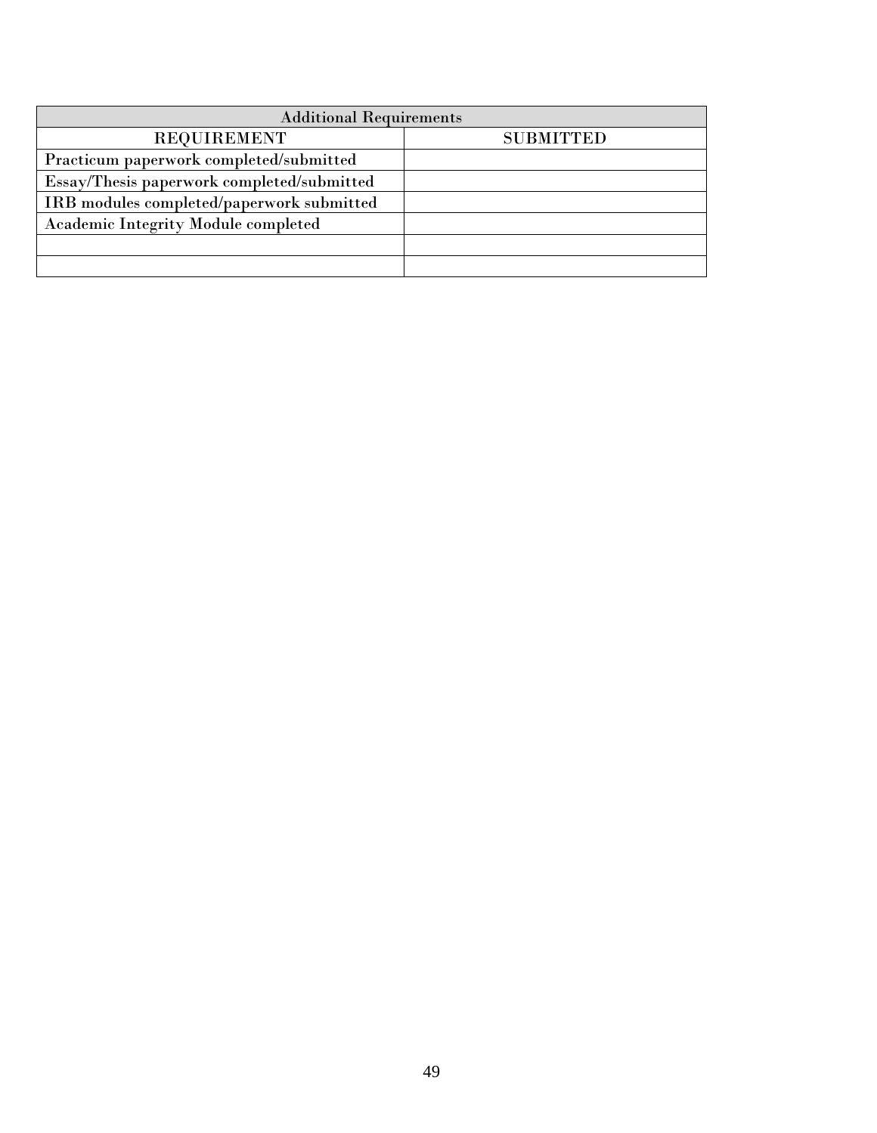| <b>Additional Requirements</b>             |                  |  |  |  |
|--------------------------------------------|------------------|--|--|--|
| <b>REQUIREMENT</b>                         | <b>SUBMITTED</b> |  |  |  |
| Practicum paperwork completed/submitted    |                  |  |  |  |
| Essay/Thesis paperwork completed/submitted |                  |  |  |  |
| IRB modules completed/paperwork submitted  |                  |  |  |  |
| <b>Academic Integrity Module completed</b> |                  |  |  |  |
|                                            |                  |  |  |  |
|                                            |                  |  |  |  |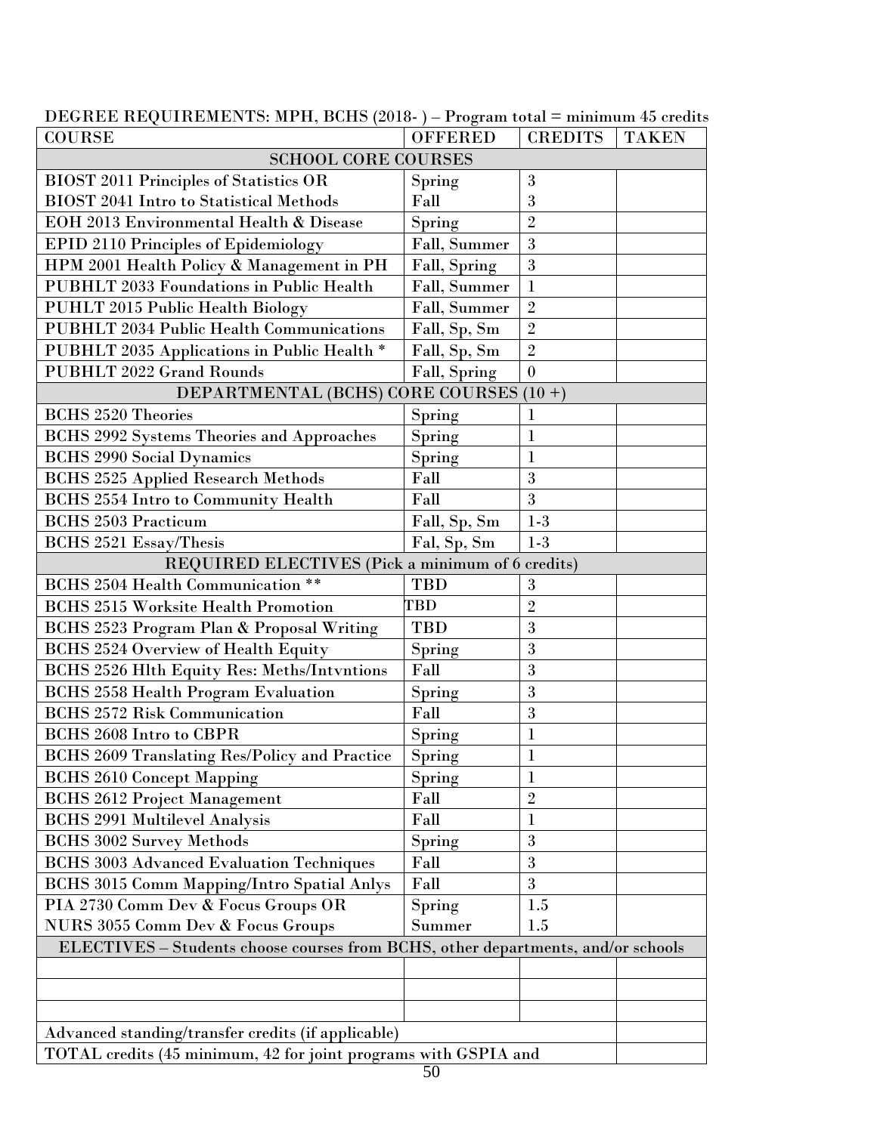| <b>COURSE</b>                                                                    | <b>OFFERED</b> | <b>CREDITS</b> | <b>TAKEN</b> |  |  |
|----------------------------------------------------------------------------------|----------------|----------------|--------------|--|--|
| <b>SCHOOL CORE COURSES</b>                                                       |                |                |              |  |  |
| <b>BIOST 2011 Principles of Statistics OR</b>                                    | Spring         | 3              |              |  |  |
| <b>BIOST 2041 Intro to Statistical Methods</b>                                   | Fall           | 3              |              |  |  |
| EOH 2013 Environmental Health & Disease                                          | Spring         | $\overline{2}$ |              |  |  |
| <b>EPID 2110 Principles of Epidemiology</b>                                      | Fall, Summer   | 3              |              |  |  |
| HPM 2001 Health Policy & Management in PH                                        | Fall, Spring   | 3              |              |  |  |
| PUBHLT 2033 Foundations in Public Health                                         | Fall, Summer   | $\mathbf{1}$   |              |  |  |
| <b>PUHLT 2015 Public Health Biology</b>                                          | Fall, Summer   | $\overline{2}$ |              |  |  |
| <b>PUBHLT 2034 Public Health Communications</b>                                  | Fall, Sp, Sm   | $\overline{2}$ |              |  |  |
| PUBHLT 2035 Applications in Public Health *                                      | Fall, Sp, Sm   | $\overline{2}$ |              |  |  |
| <b>PUBHLT 2022 Grand Rounds</b>                                                  | Fall, Spring   | $\overline{0}$ |              |  |  |
| DEPARTMENTAL (BCHS) CORE COURSES (10+)                                           |                |                |              |  |  |
| <b>BCHS 2520 Theories</b>                                                        | Spring         | $\mathbf 1$    |              |  |  |
| <b>BCHS 2992 Systems Theories and Approaches</b>                                 | Spring         | $\mathbf{l}$   |              |  |  |
| <b>BCHS 2990 Social Dynamics</b>                                                 | Spring         | $\mathbf{1}$   |              |  |  |
| <b>BCHS 2525 Applied Research Methods</b>                                        | Fall           | 3              |              |  |  |
| <b>BCHS 2554 Intro to Community Health</b>                                       | Fall           | 3              |              |  |  |
| <b>BCHS 2503 Practicum</b>                                                       | Fall, Sp, Sm   | $1-3$          |              |  |  |
| <b>BCHS 2521 Essay/Thesis</b>                                                    | Fal, Sp, Sm    | $1-3$          |              |  |  |
| REQUIRED ELECTIVES (Pick a minimum of 6 credits)                                 |                |                |              |  |  |
| BCHS 2504 Health Communication **                                                | <b>TBD</b>     | 3              |              |  |  |
| <b>BCHS 2515 Worksite Health Promotion</b>                                       | <b>TBD</b>     | $\overline{2}$ |              |  |  |
| BCHS 2523 Program Plan & Proposal Writing                                        | <b>TBD</b>     | 3              |              |  |  |
| <b>BCHS 2524 Overview of Health Equity</b>                                       | Spring         | 3              |              |  |  |
| BCHS 2526 Hlth Equity Res: Meths/Intvntions                                      | Fall           | 3              |              |  |  |
| <b>BCHS 2558 Health Program Evaluation</b>                                       | Spring         | 3              |              |  |  |
| <b>BCHS 2572 Risk Communication</b>                                              | Fall           | 3              |              |  |  |
| <b>BCHS 2608 Intro to CBPR</b>                                                   | Spring         | $\mathbf{1}$   |              |  |  |
| <b>BCHS 2609 Translating Res/Policy and Practice</b>                             | Spring         | $\mathbf{1}$   |              |  |  |
| <b>BCHS 2610 Concept Mapping</b>                                                 | Spring         | $\bf{l}$       |              |  |  |
| <b>BCHS 2612 Project Management</b>                                              | Fall           | $\overline{2}$ |              |  |  |
| <b>BCHS 2991 Multilevel Analysis</b>                                             | Fall           | $\mathbf{1}$   |              |  |  |
| <b>BCHS 3002 Survey Methods</b>                                                  | Spring         | 3              |              |  |  |
| <b>BCHS 3003 Advanced Evaluation Techniques</b>                                  | Fall           | 3              |              |  |  |
| <b>BCHS 3015 Comm Mapping/Intro Spatial Anlys</b>                                | Fall           | 3              |              |  |  |
| PIA 2730 Comm Dev & Focus Groups OR                                              | Spring         | 1.5            |              |  |  |
| NURS 3055 Comm Dev & Focus Groups                                                | Summer         | 1.5            |              |  |  |
| ELECTIVES - Students choose courses from BCHS, other departments, and/or schools |                |                |              |  |  |
|                                                                                  |                |                |              |  |  |
|                                                                                  |                |                |              |  |  |
|                                                                                  |                |                |              |  |  |
| Advanced standing/transfer credits (if applicable)                               |                |                |              |  |  |
| TOTAL credits (45 minimum, 42 for joint programs with GSPIA and                  |                |                |              |  |  |

DEGREE REQUIREMENTS: MPH, BCHS (2018- ) – Program total = minimum 45 credits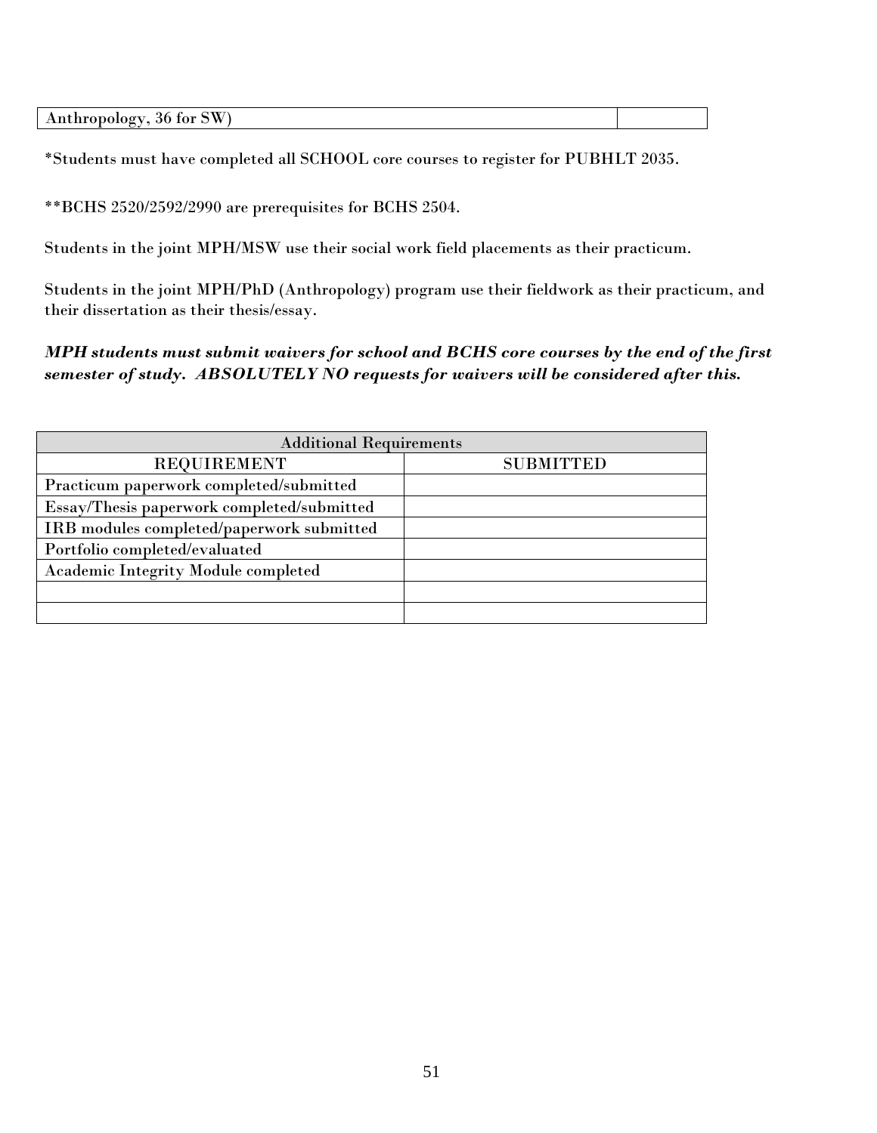| Anthro<br>36<br>$    -$<br>w |  |
|------------------------------|--|
|                              |  |

\*Students must have completed all SCHOOL core courses to register for PUBHLT 2035.

\*\*BCHS 2520/2592/2990 are prerequisites for BCHS 2504.

Students in the joint MPH/MSW use their social work field placements as their practicum.

Students in the joint MPH/PhD (Anthropology) program use their fieldwork as their practicum, and their dissertation as their thesis/essay.

*MPH students must submit waivers for school and BCHS core courses by the end of the first semester of study. ABSOLUTELY NO requests for waivers will be considered after this.*

| <b>Additional Requirements</b>             |                  |  |  |
|--------------------------------------------|------------------|--|--|
| <b>REQUIREMENT</b>                         | <b>SUBMITTED</b> |  |  |
| Practicum paperwork completed/submitted    |                  |  |  |
| Essay/Thesis paperwork completed/submitted |                  |  |  |
| IRB modules completed/paperwork submitted  |                  |  |  |
| Portfolio completed/evaluated              |                  |  |  |
| Academic Integrity Module completed        |                  |  |  |
|                                            |                  |  |  |
|                                            |                  |  |  |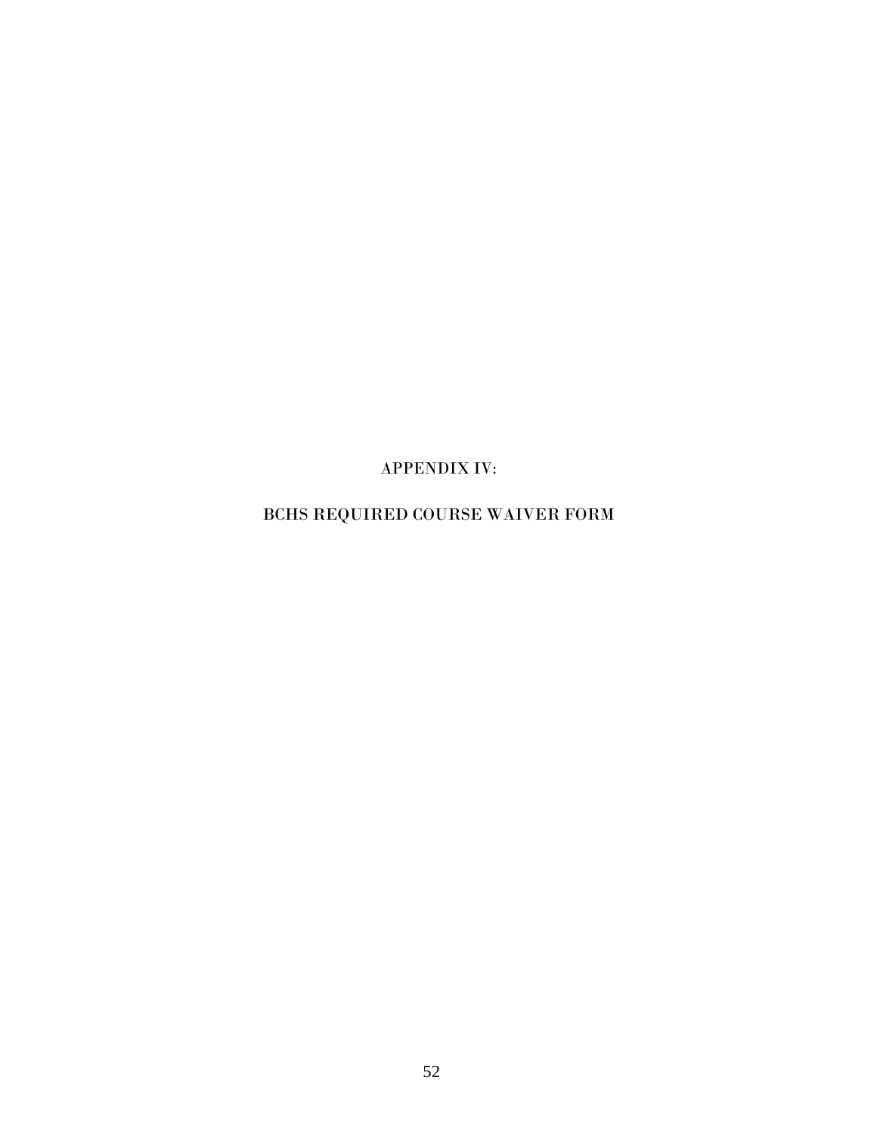APPENDIX IV:

# BCHS REQUIRED COURSE WAIVER FORM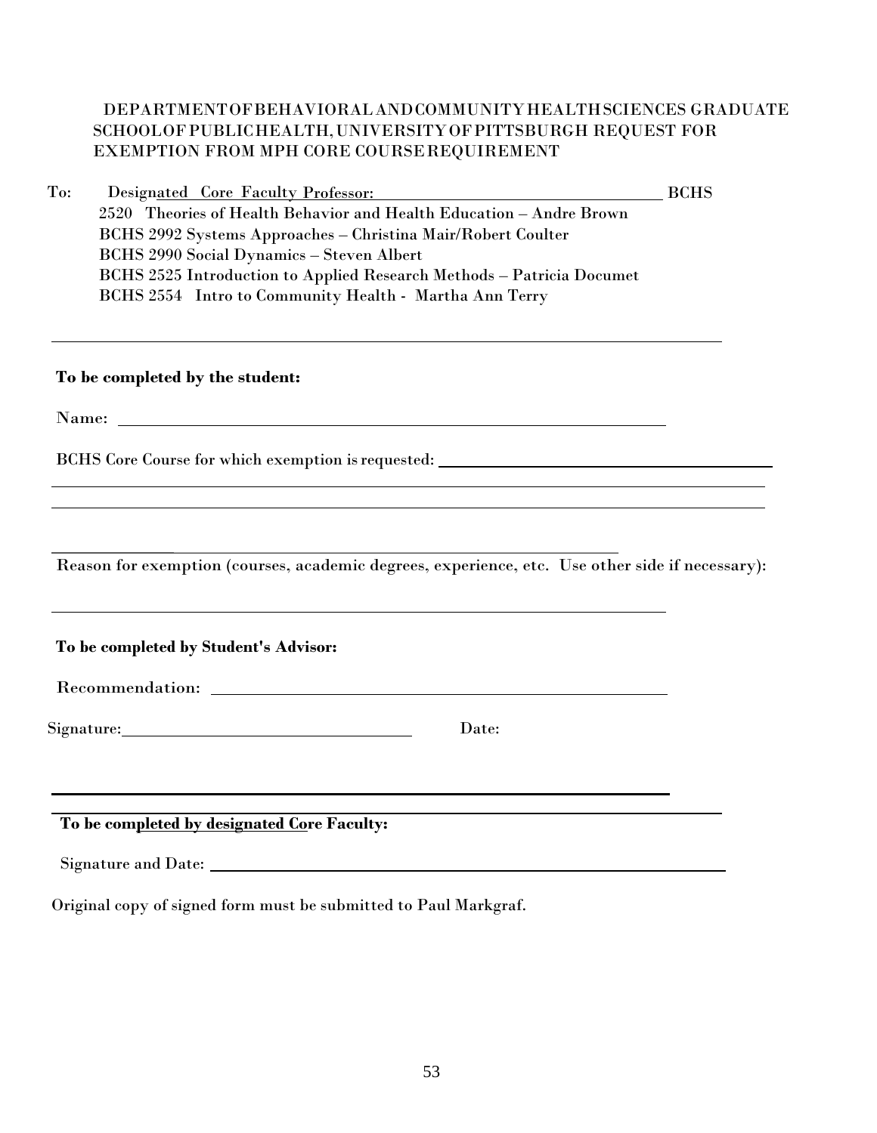# DEPARTMENTOFBEHAVIORALANDCOMMUNITYHEALTHSCIENCES GRADUATE SCHOOLOFPUBLICHEALTH,UNIVERSITYOFPITTSBURGH REQUEST FOR EXEMPTION FROM MPH CORE COURSEREQUIREMENT

| To: | Designated Core Faculty Professor:                                                              | <b>BCHS</b> |
|-----|-------------------------------------------------------------------------------------------------|-------------|
|     | 2520 Theories of Health Behavior and Health Education - Andre Brown                             |             |
|     | BCHS 2992 Systems Approaches - Christina Mair/Robert Coulter                                    |             |
|     | <b>BCHS 2990 Social Dynamics - Steven Albert</b>                                                |             |
|     | BCHS 2525 Introduction to Applied Research Methods - Patricia Documet                           |             |
|     | BCHS 2554 Intro to Community Health - Martha Ann Terry                                          |             |
|     |                                                                                                 |             |
|     | To be completed by the student:                                                                 |             |
|     |                                                                                                 |             |
|     | BCHS Core Course for which exemption is requested: ______________________________               |             |
|     |                                                                                                 |             |
|     |                                                                                                 |             |
|     |                                                                                                 |             |
|     | Reason for exemption (courses, academic degrees, experience, etc. Use other side if necessary): |             |
|     |                                                                                                 |             |
|     | To be completed by Student's Advisor:                                                           |             |
|     |                                                                                                 |             |
|     | Signature: Signature:<br>Date:                                                                  |             |
|     |                                                                                                 |             |
|     |                                                                                                 |             |
|     | To be completed by designated Core Faculty:                                                     |             |
|     |                                                                                                 |             |
|     | Original copy of signed form must be submitted to Paul Markgraf.                                |             |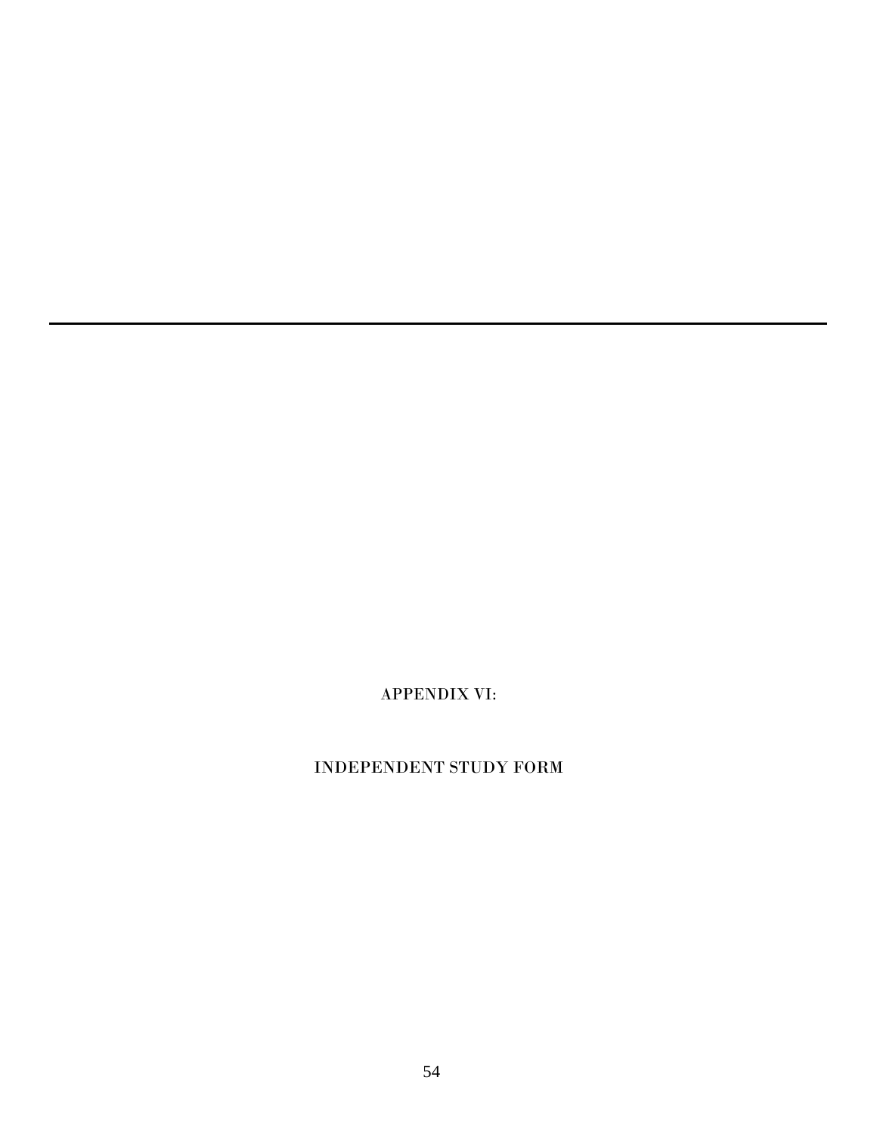APPENDIX VI:

# INDEPENDENT STUDY FORM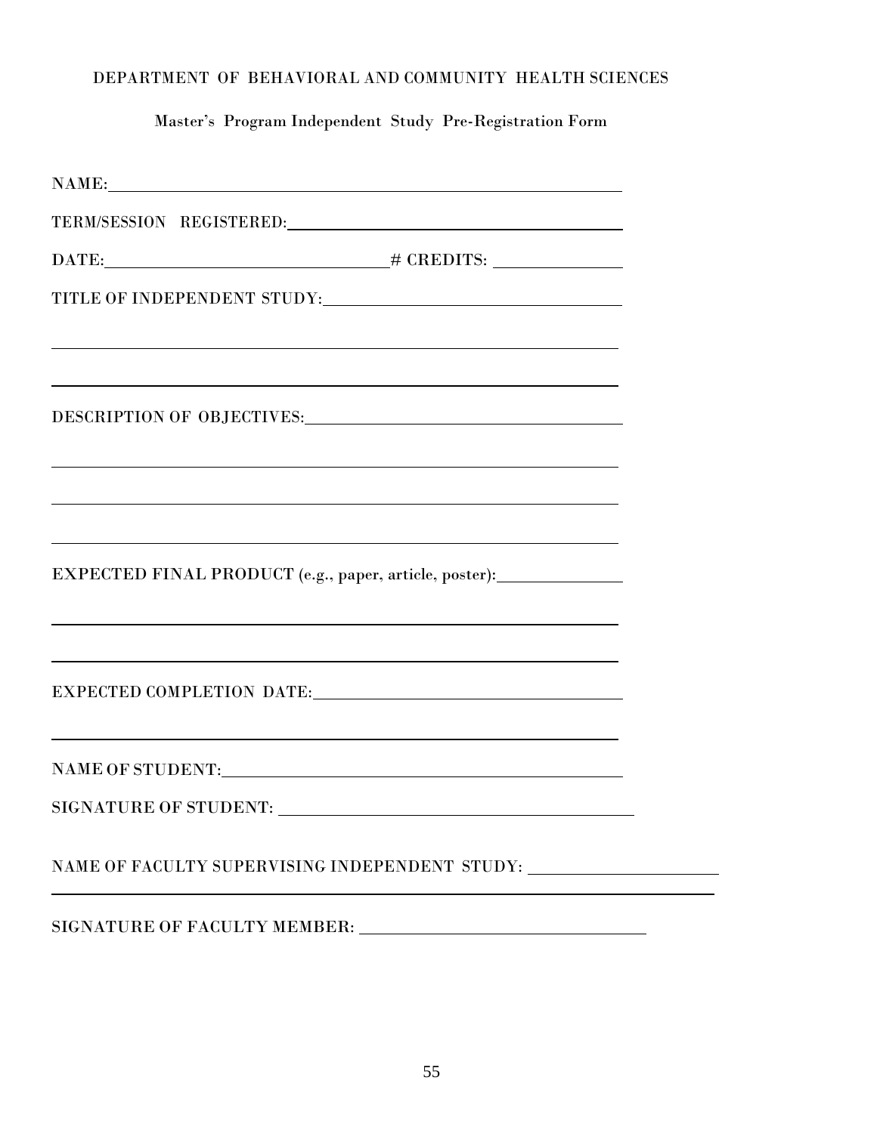# DEPARTMENT OF BEHAVIORAL AND COMMUNITY HEALTH SCIENCES

Master's Program Independent Study Pre-Registration Form

| TERM/SESSION REGISTERED:                                                                                         |  |
|------------------------------------------------------------------------------------------------------------------|--|
|                                                                                                                  |  |
|                                                                                                                  |  |
|                                                                                                                  |  |
|                                                                                                                  |  |
|                                                                                                                  |  |
|                                                                                                                  |  |
| and the control of the control of the control of the control of the control of the control of the control of the |  |
| EXPECTED FINAL PRODUCT (e.g., paper, article, poster):                                                           |  |
|                                                                                                                  |  |
|                                                                                                                  |  |
| and the control of the control of the control of the control of the control of the control of the control of the |  |
|                                                                                                                  |  |
| NAME OF FACULTY SUPERVISING INDEPENDENT STUDY:                                                                   |  |
| SIGNATURE OF FACULTY MEMBER: University of the SIGNATURE OF FACULTY MEMBER:                                      |  |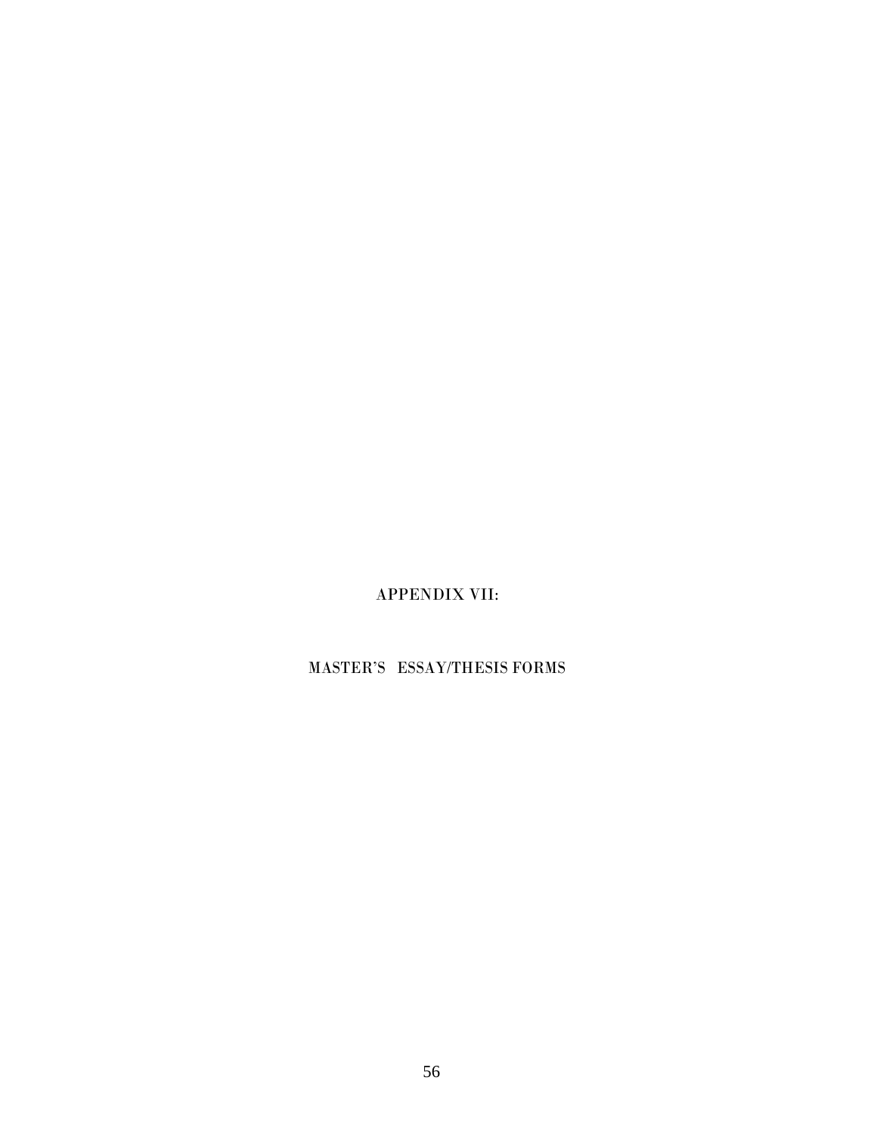APPENDIX VII:

MASTER'S ESSAY/THESIS FORMS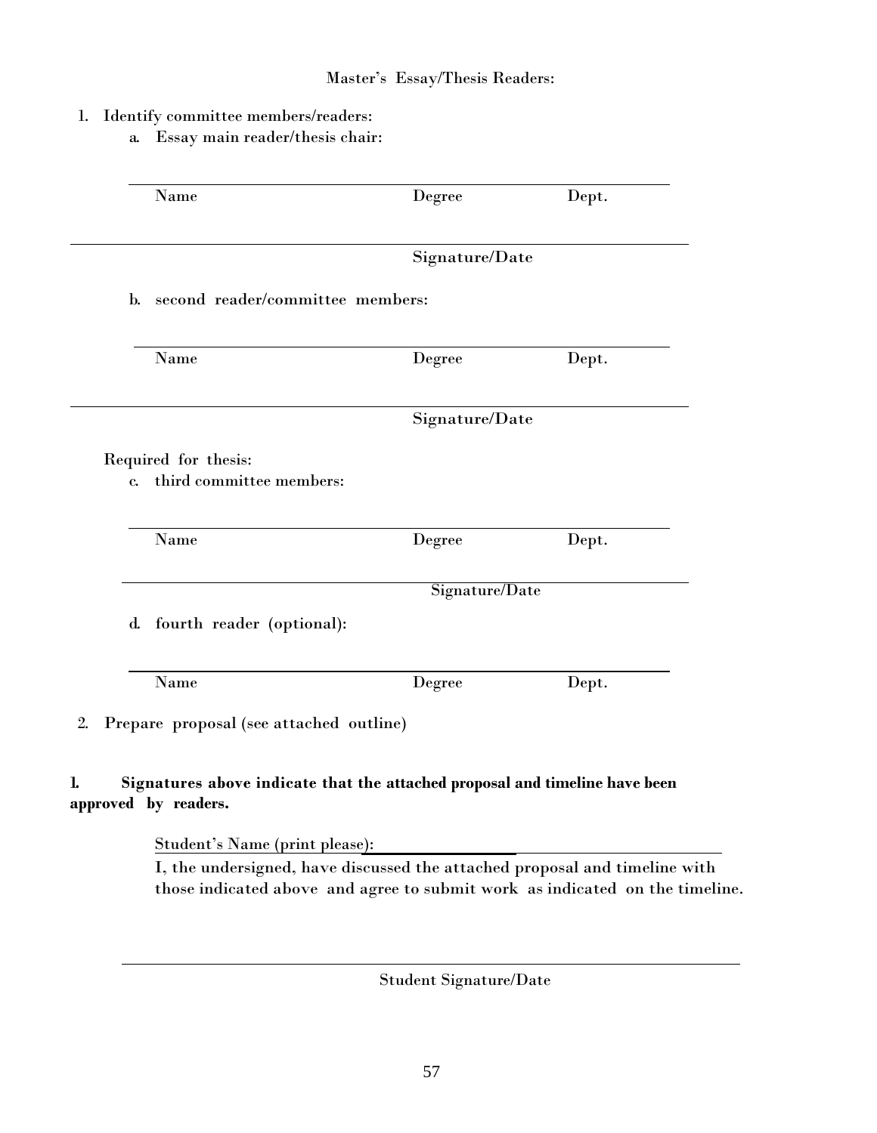## Master's Essay/Thesis Readers:

- 1. Identify committee members/readers:
	- a. Essay main reader/thesis chair:

| Name                                 | Degree                           | Dept. |
|--------------------------------------|----------------------------------|-------|
|                                      | Signature/Date                   |       |
| $\mathbf{b}$ .                       | second reader/committee members: |       |
| Name                                 | Degree                           | Dept. |
|                                      |                                  |       |
|                                      | Signature/Date                   |       |
| Required for thesis:<br>$\mathbf{c}$ | third committee members:         |       |
| Name                                 | Degree                           | Dept. |
|                                      | Signature/Date                   |       |
| $\mathbf{d}$ .                       | fourth reader (optional):        |       |

# **1. Signatures above indicate that the attached proposal and timeline have been approved by readers.**

Student's Name (print please):

I, the undersigned, have discussed the attached proposal and timeline with those indicated above and agree to submit work as indicated on the timeline.

Student Signature/Date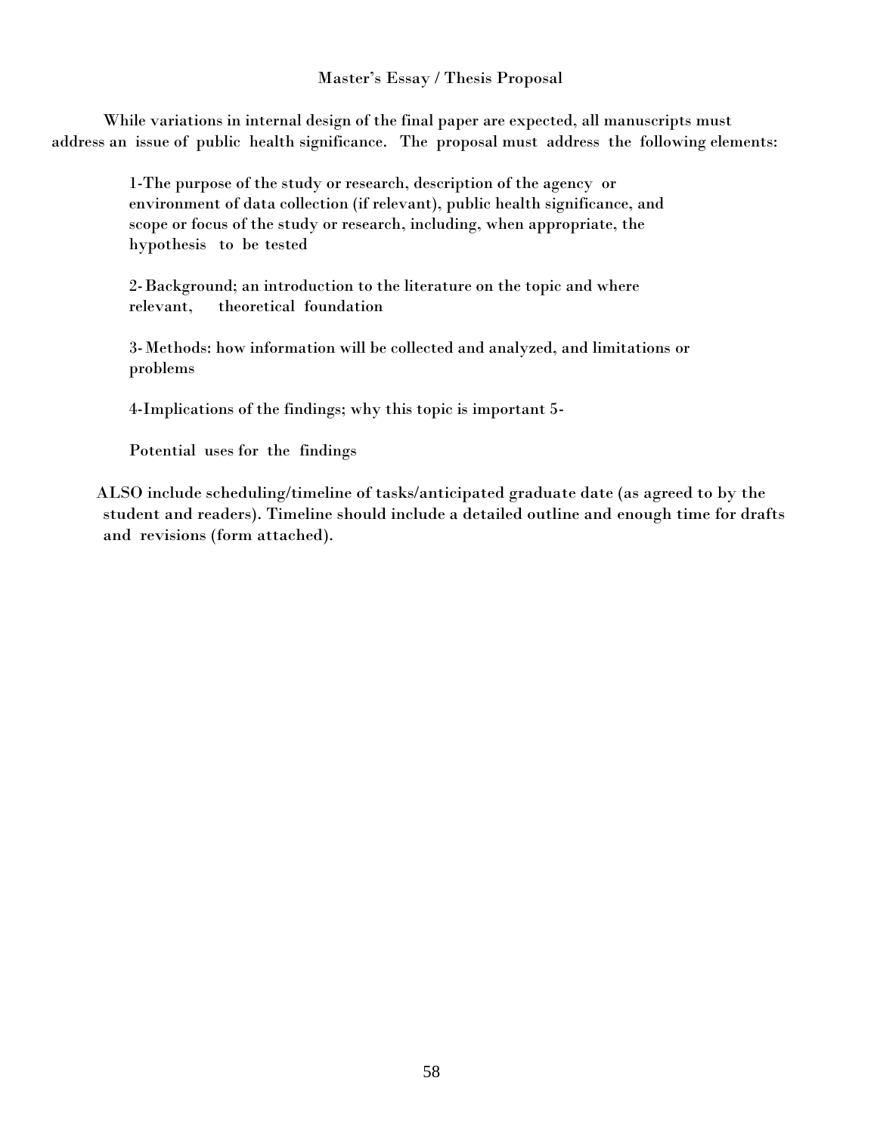## Master's Essay / Thesis Proposal

While variations in internal design of the final paper are expected, all manuscripts must address an issue of public health significance. The proposal must address the following elements:

> 1-The purpose of the study or research, description of the agency or environment of data collection (if relevant), public health significance, and scope or focus of the study or research, including, when appropriate, the hypothesis to be tested

2-Background; an introduction to the literature on the topic and where relevant, theoretical foundation

3-Methods: how information will be collected and analyzed, and limitations or problems

4-Implications of the findings; why this topic is important 5-

Potential uses for the findings

ALSO include scheduling/timeline of tasks/anticipated graduate date (as agreed to by the student and readers). Timeline should include a detailed outline and enough time for drafts and revisions (form attached).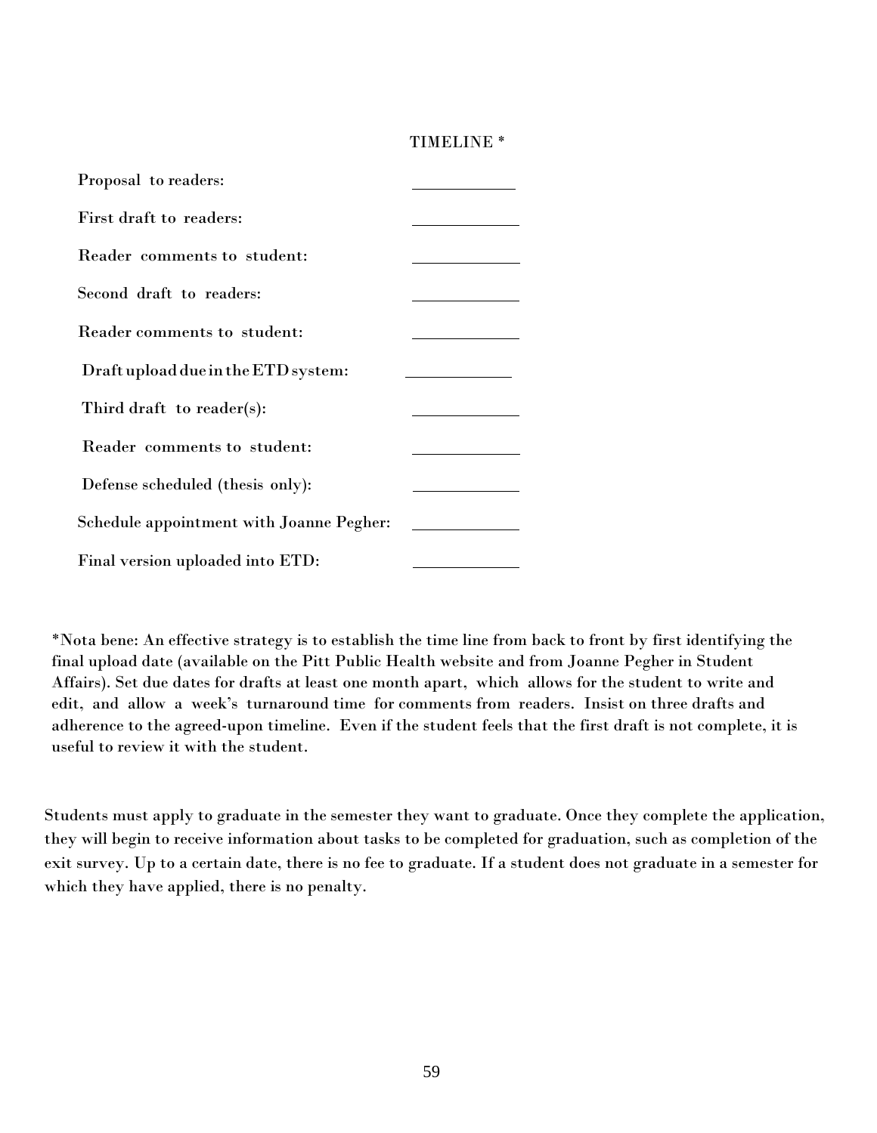## TIMELINE \*

| Proposal to readers:                     |  |
|------------------------------------------|--|
| First draft to readers:                  |  |
| Reader comments to student:              |  |
| Second draft to readers:                 |  |
| Reader comments to student:              |  |
| Draft upload due in the ETD system:      |  |
| Third draft to reader(s):                |  |
| Reader comments to student:              |  |
| Defense scheduled (thesis only):         |  |
| Schedule appointment with Joanne Pegher: |  |
| Final version uploaded into ETD:         |  |

\*Nota bene: An effective strategy is to establish the time line from back to front by first identifying the final upload date (available on the Pitt Public Health website and from Joanne Pegher in Student Affairs). Set due dates for drafts at least one month apart, which allows for the student to write and edit, and allow a week's turnaround time for comments from readers. Insist on three drafts and adherence to the agreed-upon timeline. Even if the student feels that the first draft is not complete, it is useful to review it with the student.

Students must apply to graduate in the semester they want to graduate. Once they complete the application, they will begin to receive information about tasks to be completed for graduation, such as completion of the exit survey. Up to a certain date, there is no fee to graduate. If a student does not graduate in a semester for which they have applied, there is no penalty.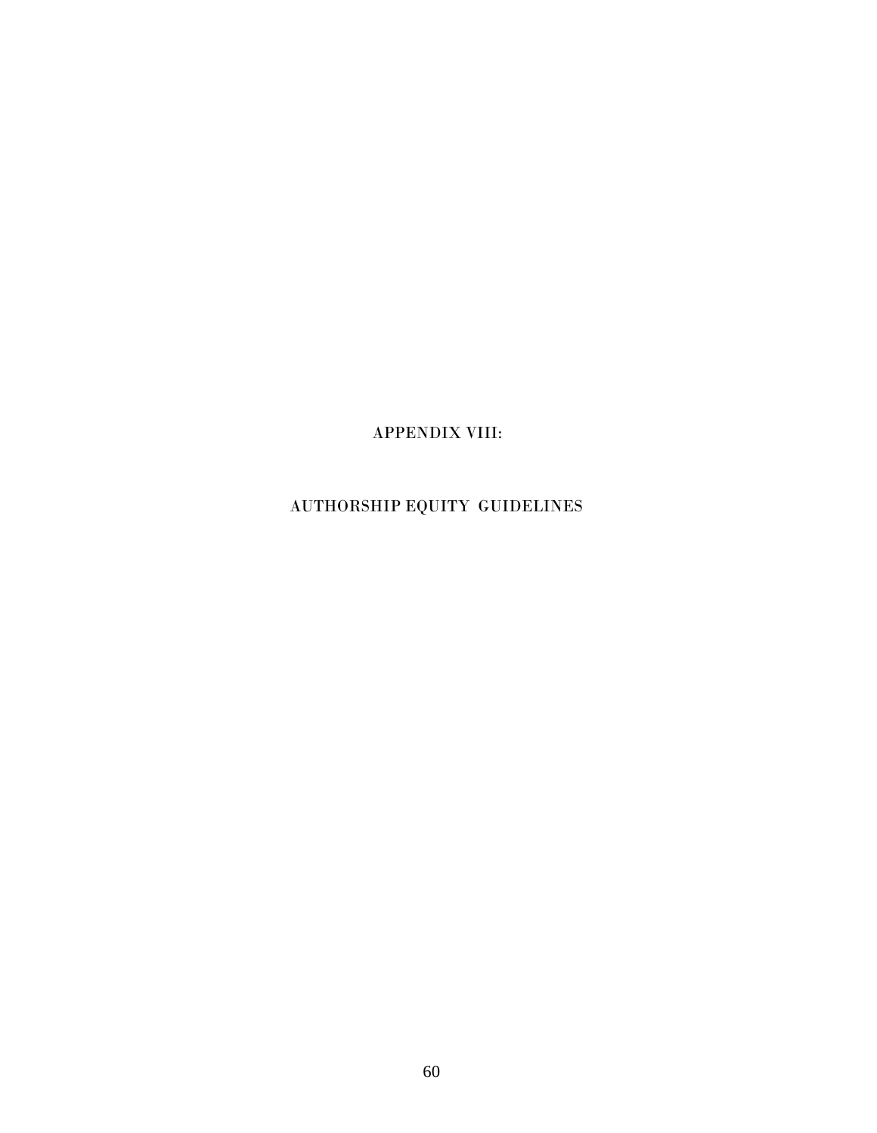APPENDIX VIII:

AUTHORSHIP EQUITY GUIDELINES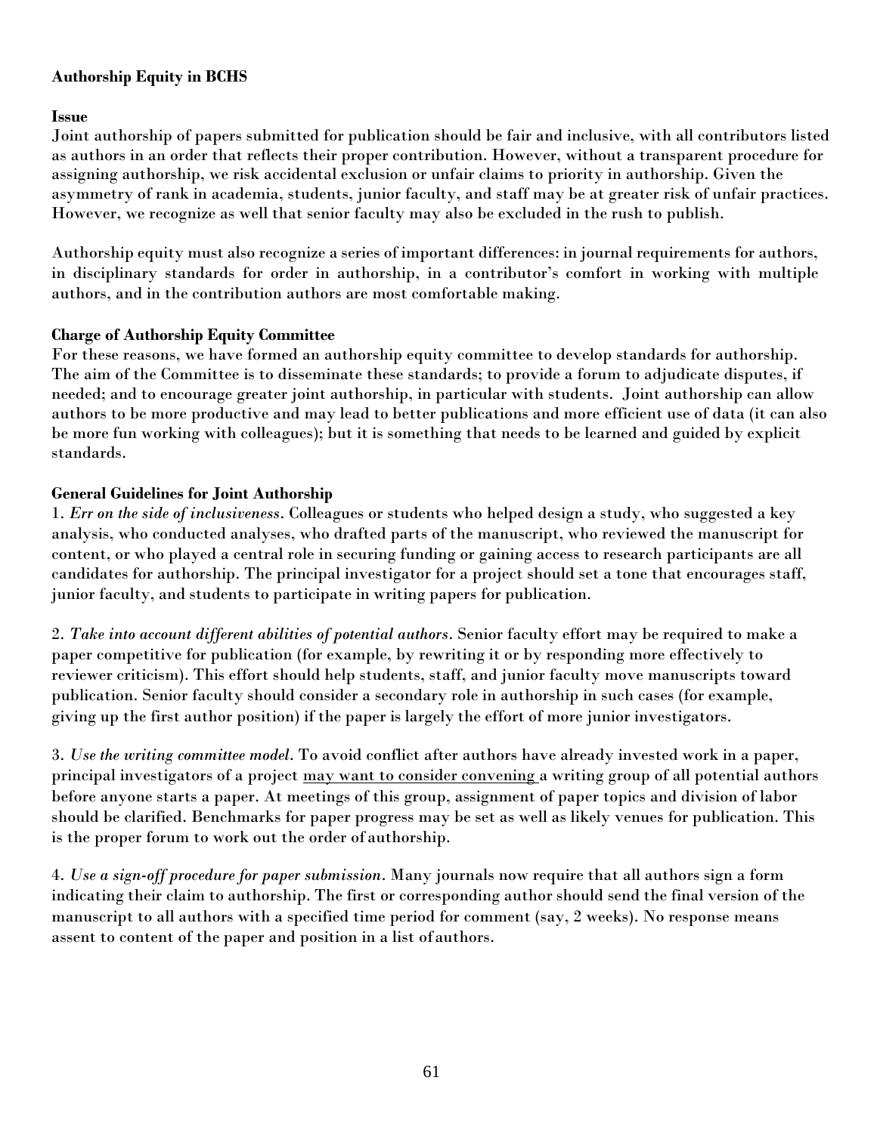# **Authorship Equity in BCHS**

**Issue**

Joint authorship of papers submitted for publication should be fair and inclusive, with all contributors listed as authors in an order that reflects their proper contribution. However, without a transparent procedure for assigning authorship, we risk accidental exclusion or unfair claims to priority in authorship. Given the asymmetry of rank in academia, students, junior faculty, and staff may be at greater risk of unfair practices. However, we recognize as well that senior faculty may also be excluded in the rush to publish.

Authorship equity must also recognize a series of important differences: in journal requirements for authors, in disciplinary standards for order in authorship, in a contributor's comfort in working with multiple authors, and in the contribution authors are most comfortable making.

## **Charge of Authorship Equity Committee**

For these reasons, we have formed an authorship equity committee to develop standards for authorship. The aim of the Committee is to disseminate these standards; to provide a forum to adjudicate disputes, if needed; and to encourage greater joint authorship, in particular with students. Joint authorship can allow authors to be more productive and may lead to better publications and more efficient use of data (it can also be more fun working with colleagues); but it is something that needs to be learned and guided by explicit standards.

## **General Guidelines for Joint Authorship**

1. *Err on the side of inclusiveness*. Colleagues or students who helped design a study, who suggested a key analysis, who conducted analyses, who drafted parts of the manuscript, who reviewed the manuscript for content, or who played a central role in securing funding or gaining access to research participants are all candidates for authorship. The principal investigator for a project should set a tone that encourages staff, junior faculty, and students to participate in writing papers for publication.

2. *Take into account different abilities of potential authors*. Senior faculty effort may be required to make a paper competitive for publication (for example, by rewriting it or by responding more effectively to reviewer criticism). This effort should help students, staff, and junior faculty move manuscripts toward publication. Senior faculty should consider a secondary role in authorship in such cases (for example, giving up the first author position) if the paper is largely the effort of more junior investigators.

3. *Use the writing committee model*. To avoid conflict after authors have already invested work in a paper, principal investigators of a project may want to consider convening a writing group of all potential authors before anyone starts a paper. At meetings of this group, assignment of paper topics and division of labor should be clarified. Benchmarks for paper progress may be set as well as likely venues for publication. This is the proper forum to work out the order of authorship.

4. *Use a sign-off procedure for paper submission*. Many journals now require that all authors sign a form indicating their claim to authorship. The first or corresponding author should send the final version of the manuscript to all authors with a specified time period for comment (say, 2 weeks). No response means assent to content of the paper and position in a list ofauthors.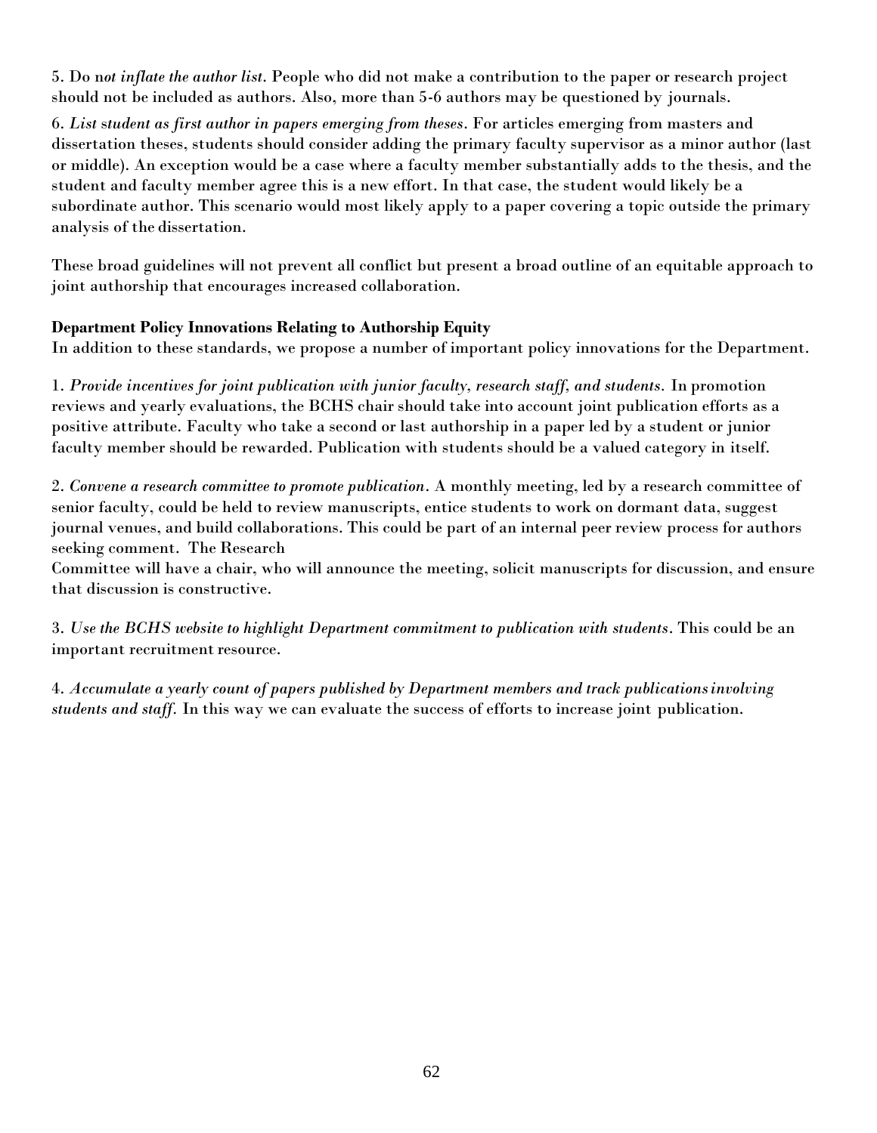5. Do n*ot inflate the author list*. People who did not make a contribution to the paper or research project should not be included as authors. Also, more than 5-6 authors may be questioned by journals.

6. *List* s*tudent as first author in papers emerging from theses*. For articles emerging from masters and dissertation theses, students should consider adding the primary faculty supervisor as a minor author (last or middle). An exception would be a case where a faculty member substantially adds to the thesis, and the student and faculty member agree this is a new effort. In that case, the student would likely be a subordinate author. This scenario would most likely apply to a paper covering a topic outside the primary analysis of the dissertation.

These broad guidelines will not prevent all conflict but present a broad outline of an equitable approach to joint authorship that encourages increased collaboration.

# **Department Policy Innovations Relating to Authorship Equity**

In addition to these standards, we propose a number of important policy innovations for the Department.

1. *Provide incentives for joint publication with junior faculty, research staff, and students.* In promotion reviews and yearly evaluations, the BCHS chair should take into account joint publication efforts as a positive attribute. Faculty who take a second or last authorship in a paper led by a student or junior faculty member should be rewarded. Publication with students should be a valued category in itself.

2. *Convene a research committee to promote publication*. A monthly meeting, led by a research committee of senior faculty, could be held to review manuscripts, entice students to work on dormant data, suggest journal venues, and build collaborations. This could be part of an internal peer review process for authors seeking comment. The Research

Committee will have a chair, who will announce the meeting, solicit manuscripts for discussion, and ensure that discussion is constructive.

3. *Use the BCHS website to highlight Department commitment to publication with students*. This could be an important recruitment resource.

4. *Accumulate a yearly count of papers published by Department members and track publicationsinvolving students and staff.* In this way we can evaluate the success of efforts to increase joint publication.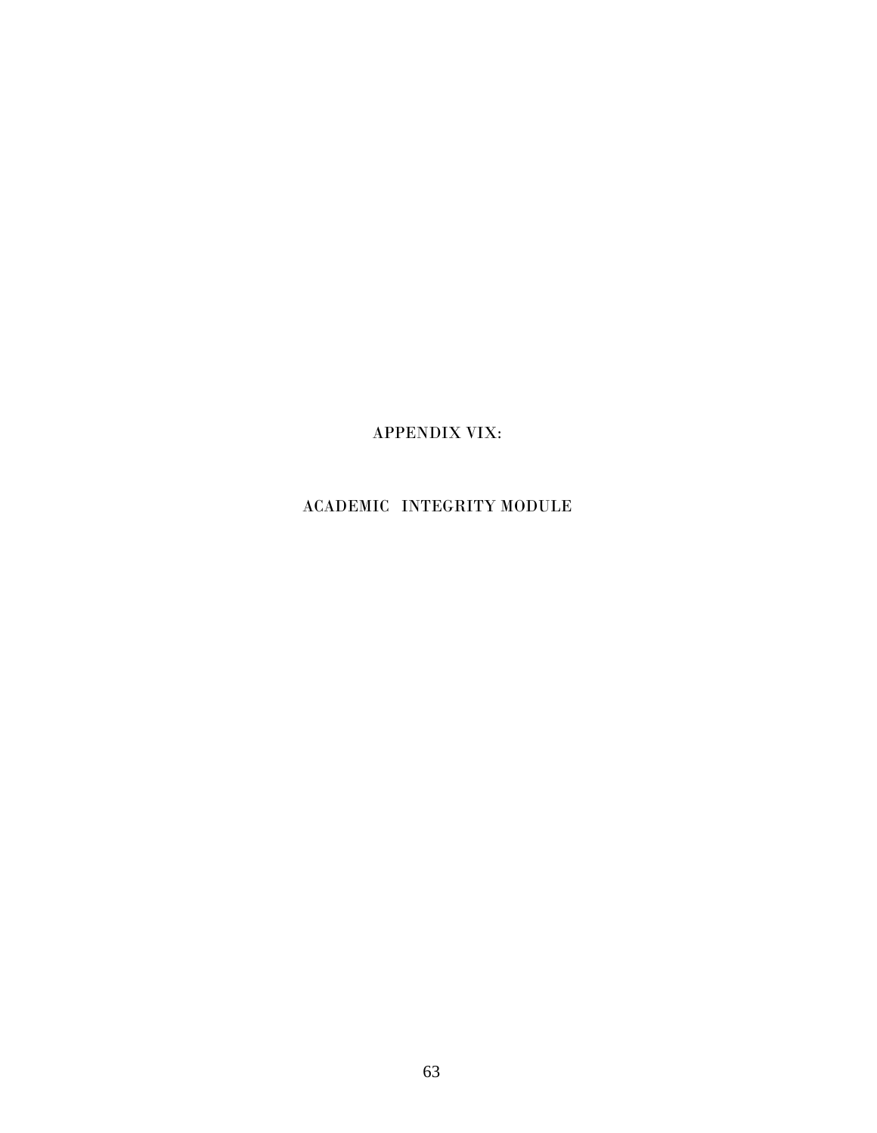APPENDIX VIX:

# ACADEMIC INTEGRITY MODULE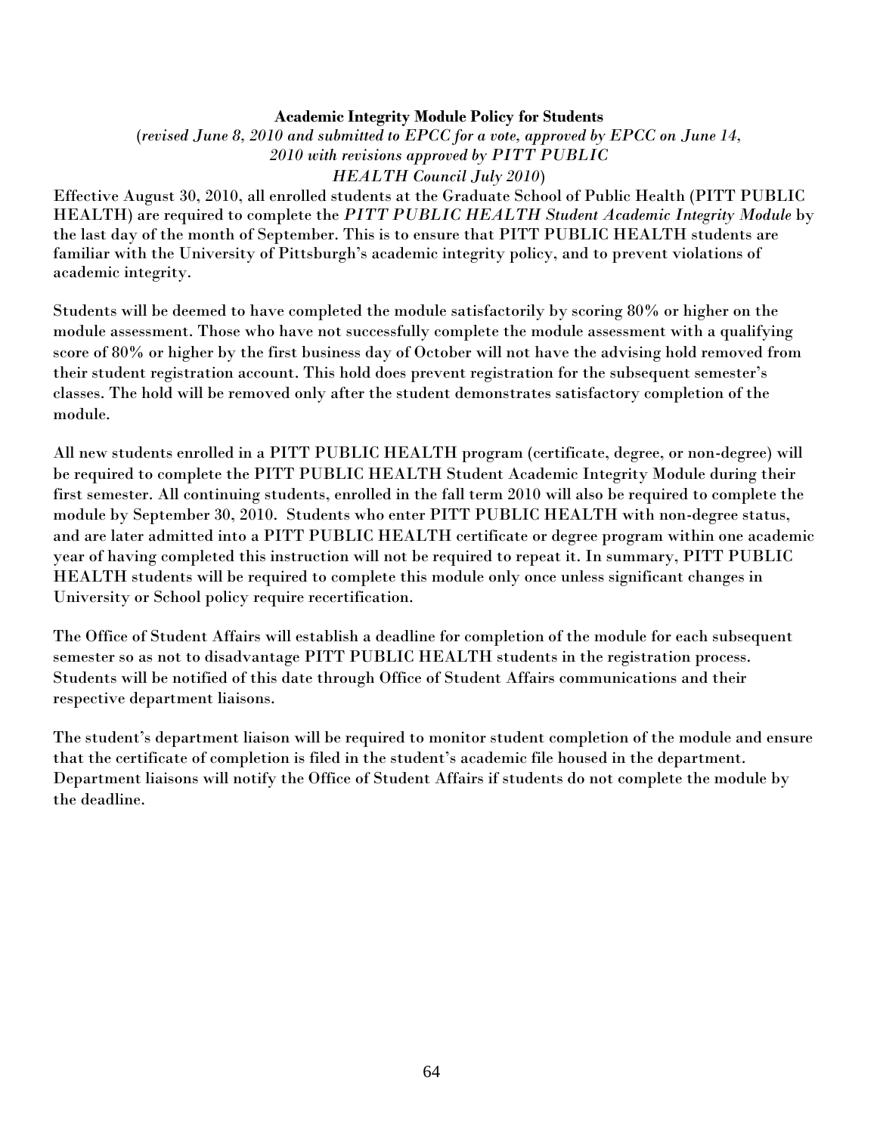## **Academic Integrity Module Policy for Students**

(*revised June 8, 2010 and submitted to EPCC for a vote, approved by EPCC on June 14, 2010 with revisions approved by PITT PUBLIC HEALTH Council July 2010*)

Effective August 30, 2010, all enrolled students at the Graduate School of Public Health (PITT PUBLIC HEALTH) are required to complete the *PITT PUBLIC HEALTH Student Academic Integrity Module* by the last day of the month of September. This is to ensure that PITT PUBLIC HEALTH students are familiar with the University of Pittsburgh's academic integrity policy, and to prevent violations of academic integrity.

Students will be deemed to have completed the module satisfactorily by scoring 80% or higher on the module assessment. Those who have not successfully complete the module assessment with a qualifying score of 80% or higher by the first business day of October will not have the advising hold removed from their student registration account. This hold does prevent registration for the subsequent semester's classes. The hold will be removed only after the student demonstrates satisfactory completion of the module.

All new students enrolled in a PITT PUBLIC HEALTH program (certificate, degree, or non-degree) will be required to complete the PITT PUBLIC HEALTH Student Academic Integrity Module during their first semester. All continuing students, enrolled in the fall term 2010 will also be required to complete the module by September 30, 2010. Students who enter PITT PUBLIC HEALTH with non-degree status, and are later admitted into a PITT PUBLIC HEALTH certificate or degree program within one academic year of having completed this instruction will not be required to repeat it. In summary, PITT PUBLIC HEALTH students will be required to complete this module only once unless significant changes in University or School policy require recertification.

The Office of Student Affairs will establish a deadline for completion of the module for each subsequent semester so as not to disadvantage PITT PUBLIC HEALTH students in the registration process. Students will be notified of this date through Office of Student Affairs communications and their respective department liaisons.

The student's department liaison will be required to monitor student completion of the module and ensure that the certificate of completion is filed in the student's academic file housed in the department. Department liaisons will notify the Office of Student Affairs if students do not complete the module by the deadline.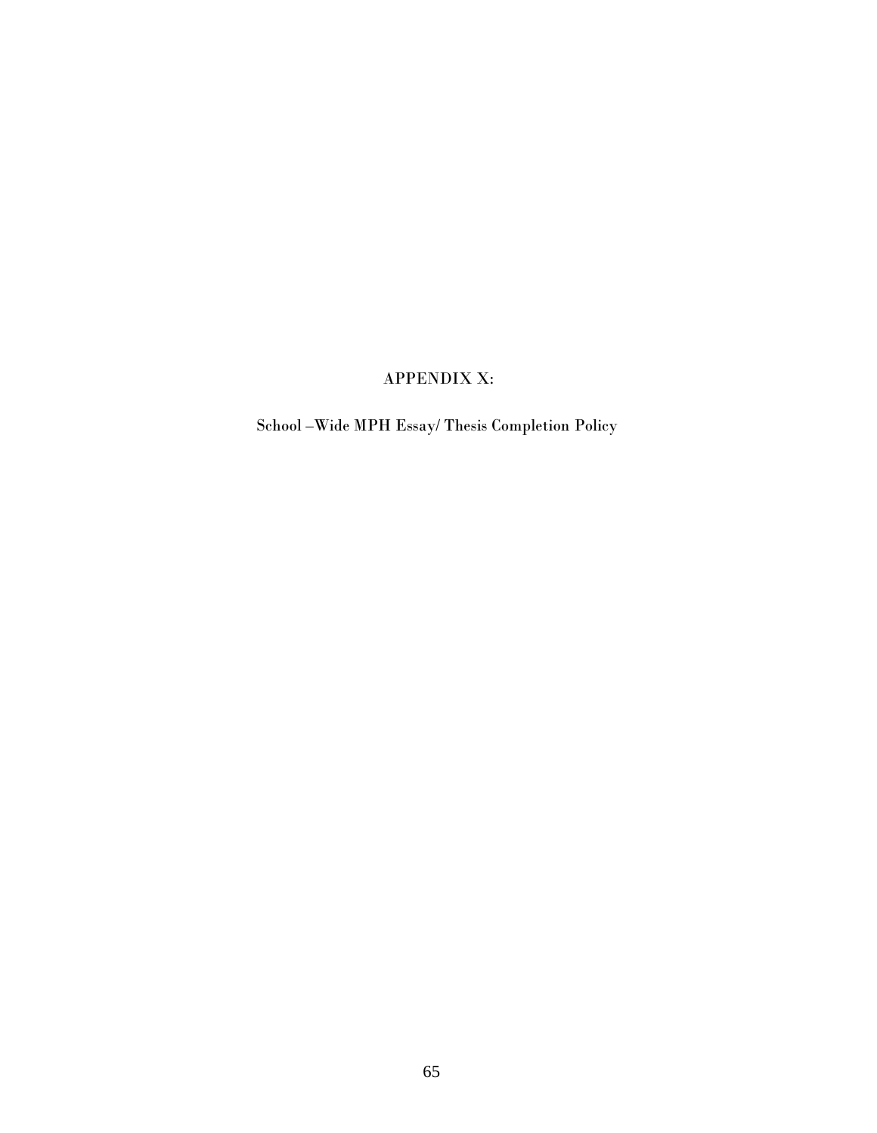# APPENDIX X:

School –Wide MPH Essay/ Thesis Completion Policy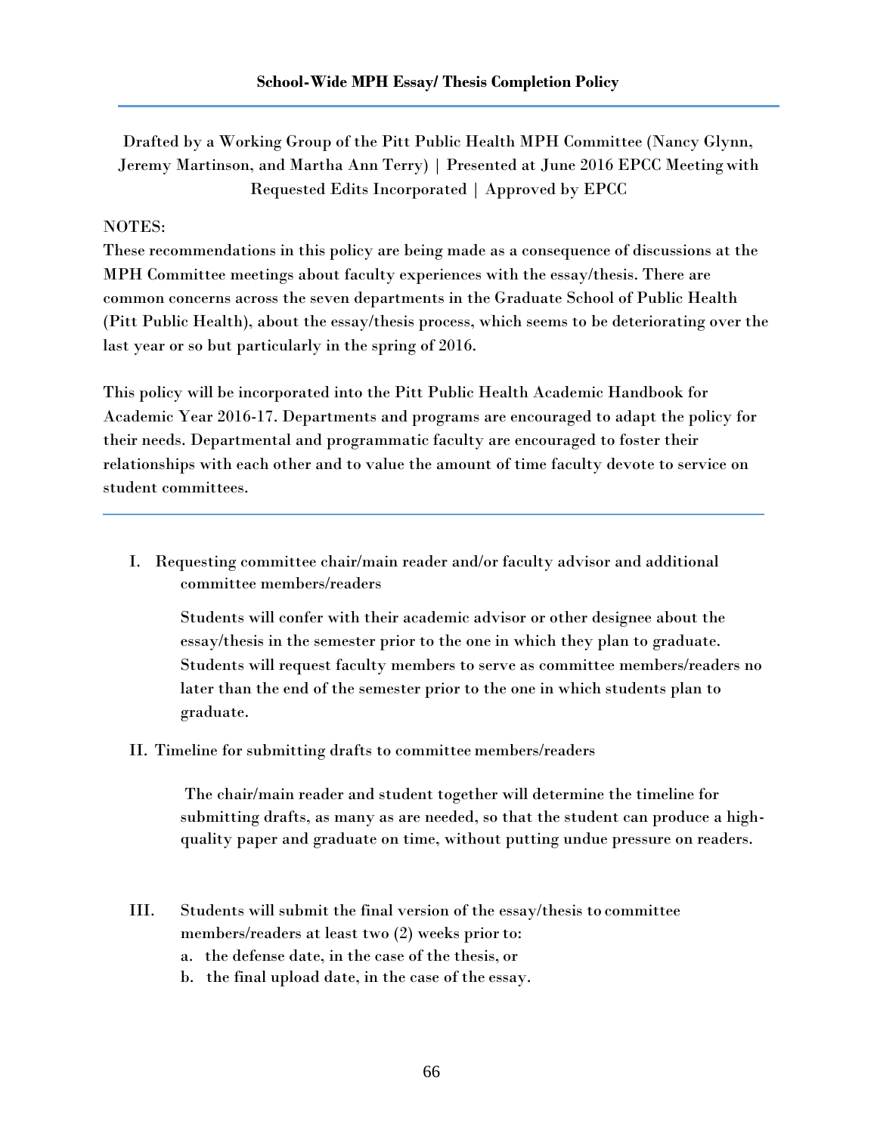Drafted by a Working Group of the Pitt Public Health MPH Committee (Nancy Glynn, Jeremy Martinson, and Martha Ann Terry) | Presented at June 2016 EPCC Meeting with Requested Edits Incorporated | Approved by EPCC

## NOTES:

These recommendations in this policy are being made as a consequence of discussions at the MPH Committee meetings about faculty experiences with the essay/thesis. There are common concerns across the seven departments in the Graduate School of Public Health (Pitt Public Health), about the essay/thesis process, which seems to be deteriorating over the last year or so but particularly in the spring of 2016.

This policy will be incorporated into the Pitt Public Health Academic Handbook for Academic Year 2016-17. Departments and programs are encouraged to adapt the policy for their needs. Departmental and programmatic faculty are encouraged to foster their relationships with each other and to value the amount of time faculty devote to service on student committees.

I. Requesting committee chair/main reader and/or faculty advisor and additional committee members/readers

Students will confer with their academic advisor or other designee about the essay/thesis in the semester prior to the one in which they plan to graduate. Students will request faculty members to serve as committee members/readers no later than the end of the semester prior to the one in which students plan to graduate.

II. Timeline for submitting drafts to committee members/readers

The chair/main reader and student together will determine the timeline for submitting drafts, as many as are needed, so that the student can produce a highquality paper and graduate on time, without putting undue pressure on readers.

- III. Students will submit the final version of the essay/thesis to committee members/readers at least two (2) weeks prior to:
	- a. the defense date, in the case of the thesis, or
	- b. the final upload date, in the case of the essay.